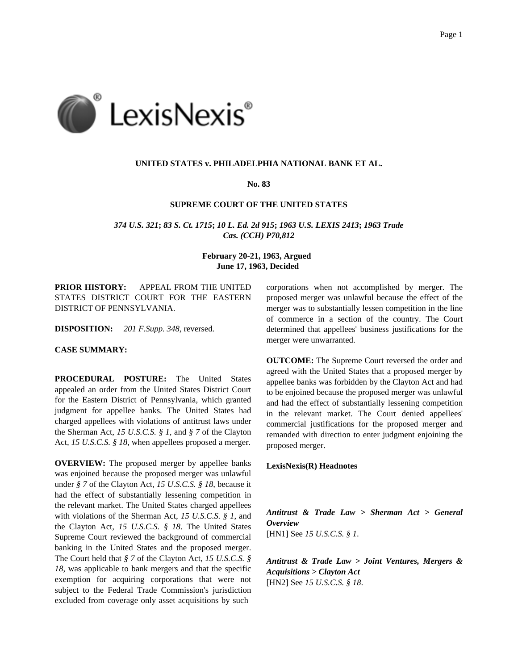

#### **UNITED STATES v. PHILADELPHIA NATIONAL BANK ET AL.**

#### **No. 83**

# **SUPREME COURT OF THE UNITED STATES**

*374 U.S. 321***;** *83 S. Ct. 1715***;** *10 L. Ed. 2d 915***;** *1963 U.S. LEXIS 2413***;** *1963 Trade Cas. (CCH) P70,812*

### **February 20-21, 1963, Argued June 17, 1963, Decided**

**PRIOR HISTORY:** APPEAL FROM THE UNITED STATES DISTRICT COURT FOR THE EASTERN DISTRICT OF PENNSYLVANIA.

**DISPOSITION:** *201 F.Supp. 348*, reversed.

## **CASE SUMMARY:**

**PROCEDURAL POSTURE:** The United States appealed an order from the United States District Court for the Eastern District of Pennsylvania, which granted judgment for appellee banks. The United States had charged appellees with violations of antitrust laws under the Sherman Act, *15 U.S.C.S. § 1*, and *§ 7* of the Clayton Act, *15 U.S.C.S. § 18*, when appellees proposed a merger.

**OVERVIEW:** The proposed merger by appellee banks was enjoined because the proposed merger was unlawful under *§ 7* of the Clayton Act, *15 U.S.C.S. § 18*, because it had the effect of substantially lessening competition in the relevant market. The United States charged appellees with violations of the Sherman Act, *15 U.S.C.S. § 1*, and the Clayton Act, *15 U.S.C.S. § 18*. The United States Supreme Court reviewed the background of commercial banking in the United States and the proposed merger. The Court held that *§ 7* of the Clayton Act, *15 U.S.C.S. § 18*, was applicable to bank mergers and that the specific exemption for acquiring corporations that were not subject to the Federal Trade Commission's jurisdiction excluded from coverage only asset acquisitions by such

corporations when not accomplished by merger. The proposed merger was unlawful because the effect of the merger was to substantially lessen competition in the line of commerce in a section of the country. The Court determined that appellees' business justifications for the merger were unwarranted.

**OUTCOME:** The Supreme Court reversed the order and agreed with the United States that a proposed merger by appellee banks was forbidden by the Clayton Act and had to be enjoined because the proposed merger was unlawful and had the effect of substantially lessening competition in the relevant market. The Court denied appellees' commercial justifications for the proposed merger and remanded with direction to enter judgment enjoining the proposed merger.

#### **LexisNexis(R) Headnotes**

*Antitrust & Trade Law > Sherman Act > General Overview* [HN1] See *15 U.S.C.S. § 1*.

*Antitrust & Trade Law > Joint Ventures, Mergers & Acquisitions > Clayton Act* [HN2] See *15 U.S.C.S. § 18*.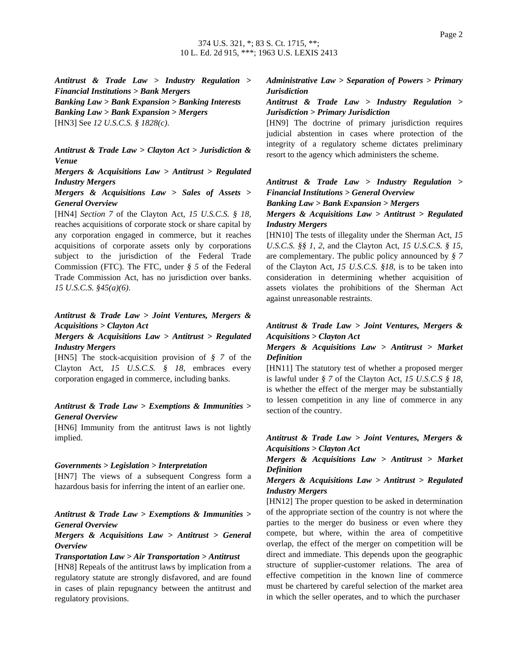*Antitrust & Trade Law > Industry Regulation > Financial Institutions > Bank Mergers Banking Law > Bank Expansion > Banking Interests Banking Law > Bank Expansion > Mergers* [HN3] See *12 U.S.C.S. § 1828(c)*.

*Antitrust & Trade Law > Clayton Act > Jurisdiction & Venue*

*Mergers & Acquisitions Law > Antitrust > Regulated Industry Mergers*

## *Mergers & Acquisitions Law > Sales of Assets > General Overview*

[HN4] *Section 7* of the Clayton Act, *15 U.S.C.S. § 18*, reaches acquisitions of corporate stock or share capital by any corporation engaged in commerce, but it reaches acquisitions of corporate assets only by corporations subject to the jurisdiction of the Federal Trade Commission (FTC). The FTC, under *§ 5* of the Federal Trade Commission Act, has no jurisdiction over banks. *15 U.S.C.S. §45(a)(6)*.

# *Antitrust & Trade Law > Joint Ventures, Mergers & Acquisitions > Clayton Act*

## *Mergers & Acquisitions Law > Antitrust > Regulated Industry Mergers*

[HN5] The stock-acquisition provision of *§ 7* of the Clayton Act, *15 U.S.C.S. § 18*, embraces every corporation engaged in commerce, including banks.

## *Antitrust & Trade Law > Exemptions & Immunities > General Overview*

[HN6] Immunity from the antitrust laws is not lightly implied.

#### *Governments > Legislation > Interpretation*

[HN7] The views of a subsequent Congress form a hazardous basis for inferring the intent of an earlier one.

## *Antitrust & Trade Law > Exemptions & Immunities > General Overview*

## *Mergers & Acquisitions Law > Antitrust > General Overview*

#### *Transportation Law > Air Transportation > Antitrust*

[HN8] Repeals of the antitrust laws by implication from a regulatory statute are strongly disfavored, and are found in cases of plain repugnancy between the antitrust and regulatory provisions.

*Administrative Law > Separation of Powers > Primary Jurisdiction*

## *Antitrust & Trade Law > Industry Regulation > Jurisdiction > Primary Jurisdiction*

[HN9] The doctrine of primary jurisdiction requires judicial abstention in cases where protection of the integrity of a regulatory scheme dictates preliminary resort to the agency which administers the scheme.

# *Antitrust & Trade Law > Industry Regulation > Financial Institutions > General Overview Banking Law > Bank Expansion > Mergers Mergers & Acquisitions Law > Antitrust > Regulated*

# *Industry Mergers*

[HN10] The tests of illegality under the Sherman Act, *15 U.S.C.S. §§ 1*, *2*, and the Clayton Act, *15 U.S.C.S. § 15*, are complementary. The public policy announced by *§ 7* of the Clayton Act, *15 U.S.C.S. §18*, is to be taken into consideration in determining whether acquisition of assets violates the prohibitions of the Sherman Act against unreasonable restraints.

# *Antitrust & Trade Law > Joint Ventures, Mergers & Acquisitions > Clayton Act*

## *Mergers & Acquisitions Law > Antitrust > Market Definition*

[HN11] The statutory test of whether a proposed merger is lawful under *§ 7* of the Clayton Act, *15 U.S.C.S § 18*, is whether the effect of the merger may be substantially to lessen competition in any line of commerce in any section of the country.

## *Antitrust & Trade Law > Joint Ventures, Mergers & Acquisitions > Clayton Act*

*Mergers & Acquisitions Law > Antitrust > Market Definition*

## *Mergers & Acquisitions Law > Antitrust > Regulated Industry Mergers*

[HN12] The proper question to be asked in determination of the appropriate section of the country is not where the parties to the merger do business or even where they compete, but where, within the area of competitive overlap, the effect of the merger on competition will be direct and immediate. This depends upon the geographic structure of supplier-customer relations. The area of effective competition in the known line of commerce must be chartered by careful selection of the market area in which the seller operates, and to which the purchaser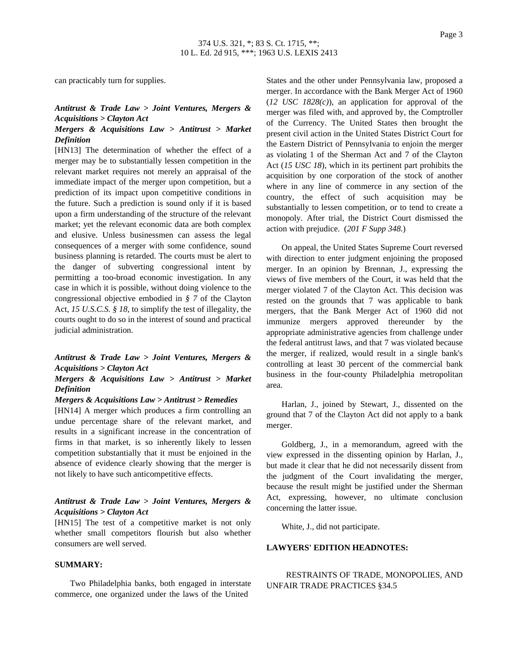can practicably turn for supplies.

## *Antitrust & Trade Law > Joint Ventures, Mergers & Acquisitions > Clayton Act*

## *Mergers & Acquisitions Law > Antitrust > Market Definition*

[HN13] The determination of whether the effect of a merger may be to substantially lessen competition in the relevant market requires not merely an appraisal of the immediate impact of the merger upon competition, but a prediction of its impact upon competitive conditions in the future. Such a prediction is sound only if it is based upon a firm understanding of the structure of the relevant market; yet the relevant economic data are both complex and elusive. Unless businessmen can assess the legal consequences of a merger with some confidence, sound business planning is retarded. The courts must be alert to the danger of subverting congressional intent by permitting a too-broad economic investigation. In any case in which it is possible, without doing violence to the congressional objective embodied in *§ 7* of the Clayton Act, *15 U.S.C.S. § 18*, to simplify the test of illegality, the courts ought to do so in the interest of sound and practical judicial administration.

# *Antitrust & Trade Law > Joint Ventures, Mergers & Acquisitions > Clayton Act*

## *Mergers & Acquisitions Law > Antitrust > Market Definition*

#### *Mergers & Acquisitions Law > Antitrust > Remedies*

[HN14] A merger which produces a firm controlling an undue percentage share of the relevant market, and results in a significant increase in the concentration of firms in that market, is so inherently likely to lessen competition substantially that it must be enjoined in the absence of evidence clearly showing that the merger is not likely to have such anticompetitive effects.

#### *Antitrust & Trade Law > Joint Ventures, Mergers & Acquisitions > Clayton Act*

[HN15] The test of a competitive market is not only whether small competitors flourish but also whether consumers are well served.

#### **SUMMARY:**

Two Philadelphia banks, both engaged in interstate commerce, one organized under the laws of the United

States and the other under Pennsylvania law, proposed a merger. In accordance with the Bank Merger Act of 1960 (*12 USC 1828(c)*), an application for approval of the merger was filed with, and approved by, the Comptroller of the Currency. The United States then brought the present civil action in the United States District Court for the Eastern District of Pennsylvania to enjoin the merger as violating 1 of the Sherman Act and 7 of the Clayton Act (*15 USC 18*), which in its pertinent part prohibits the acquisition by one corporation of the stock of another where in any line of commerce in any section of the country, the effect of such acquisition may be substantially to lessen competition, or to tend to create a monopoly. After trial, the District Court dismissed the action with prejudice. (*201 F Supp 348*.)

On appeal, the United States Supreme Court reversed with direction to enter judgment enjoining the proposed merger. In an opinion by Brennan, J., expressing the views of five members of the Court, it was held that the merger violated 7 of the Clayton Act. This decision was rested on the grounds that 7 was applicable to bank mergers, that the Bank Merger Act of 1960 did not immunize mergers approved thereunder by the appropriate administrative agencies from challenge under the federal antitrust laws, and that 7 was violated because the merger, if realized, would result in a single bank's controlling at least 30 percent of the commercial bank business in the four-county Philadelphia metropolitan area.

Harlan, J., joined by Stewart, J., dissented on the ground that 7 of the Clayton Act did not apply to a bank merger.

Goldberg, J., in a memorandum, agreed with the view expressed in the dissenting opinion by Harlan, J., but made it clear that he did not necessarily dissent from the judgment of the Court invalidating the merger, because the result might be justified under the Sherman Act, expressing, however, no ultimate conclusion concerning the latter issue.

White, J., did not participate.

#### **LAWYERS' EDITION HEADNOTES:**

### RESTRAINTS OF TRADE, MONOPOLIES, AND UNFAIR TRADE PRACTICES §34.5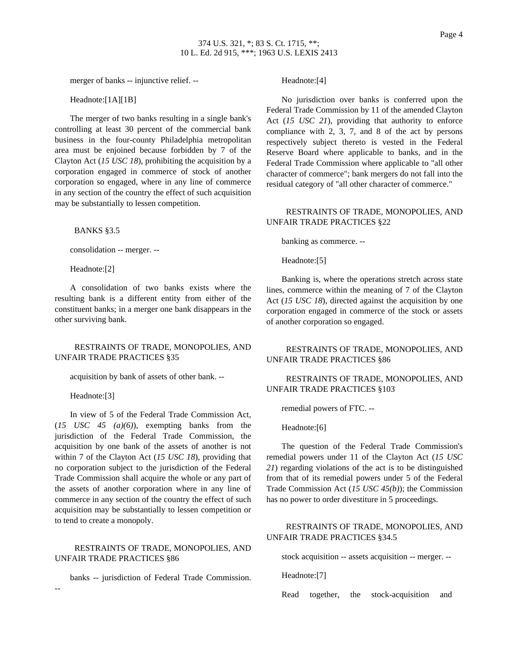#### 374 U.S. 321, \*; 83 S. Ct. 1715, \*\*; 10 L. Ed. 2d 915, \*\*\*; 1963 U.S. LEXIS 2413

merger of banks -- injunctive relief. --

Headnote:[1A][1B]

The merger of two banks resulting in a single bank's controlling at least 30 percent of the commercial bank business in the four-county Philadelphia metropolitan area must be enjoined because forbidden by 7 of the Clayton Act (*15 USC 18*), prohibiting the acquisition by a corporation engaged in commerce of stock of another corporation so engaged, where in any line of commerce in any section of the country the effect of such acquisition may be substantially to lessen competition.

BANKS §3.5

consolidation -- merger. --

Headnote:[2]

A consolidation of two banks exists where the resulting bank is a different entity from either of the constituent banks; in a merger one bank disappears in the other surviving bank.

## RESTRAINTS OF TRADE, MONOPOLIES, AND UNFAIR TRADE PRACTICES §35

acquisition by bank of assets of other bank. --

Headnote:[3]

In view of 5 of the Federal Trade Commission Act, (*15 USC 45 (a)(6)*), exempting banks from the jurisdiction of the Federal Trade Commission, the acquisition by one bank of the assets of another is not within 7 of the Clayton Act (*15 USC 18*), providing that no corporation subject to the jurisdiction of the Federal Trade Commission shall acquire the whole or any part of the assets of another corporation where in any line of commerce in any section of the country the effect of such acquisition may be substantially to lessen competition or to tend to create a monopoly.

RESTRAINTS OF TRADE, MONOPOLIES, AND UNFAIR TRADE PRACTICES §86

banks -- jurisdiction of Federal Trade Commission. --

#### Headnote:[4]

No jurisdiction over banks is conferred upon the Federal Trade Commission by 11 of the amended Clayton Act (*15 USC 21*), providing that authority to enforce compliance with 2, 3, 7, and 8 of the act by persons respectively subject thereto is vested in the Federal Reserve Board where applicable to banks, and in the Federal Trade Commission where applicable to "all other character of commerce"; bank mergers do not fall into the residual category of "all other character of commerce."

#### RESTRAINTS OF TRADE, MONOPOLIES, AND UNFAIR TRADE PRACTICES §22

banking as commerce. --

Headnote:[5]

Banking is, where the operations stretch across state lines, commerce within the meaning of 7 of the Clayton Act (*15 USC 18*), directed against the acquisition by one corporation engaged in commerce of the stock or assets of another corporation so engaged.

RESTRAINTS OF TRADE, MONOPOLIES, AND UNFAIR TRADE PRACTICES §86

RESTRAINTS OF TRADE, MONOPOLIES, AND UNFAIR TRADE PRACTICES §103

remedial powers of FTC. --

Headnote:[6]

The question of the Federal Trade Commission's remedial powers under 11 of the Clayton Act (*15 USC 21*) regarding violations of the act is to be distinguished from that of its remedial powers under 5 of the Federal Trade Commission Act (*15 USC 45(b)*); the Commission has no power to order divestiture in 5 proceedings.

## RESTRAINTS OF TRADE, MONOPOLIES, AND UNFAIR TRADE PRACTICES §34.5

stock acquisition -- assets acquisition -- merger. --

Headnote:[7]

Read together, the stock-acquisition and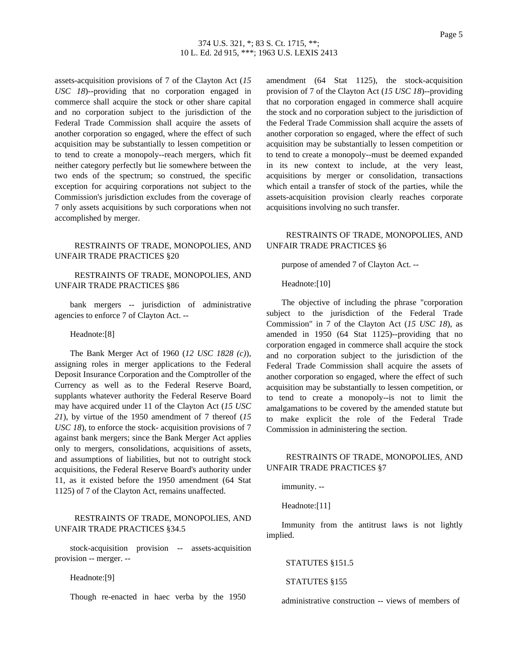assets-acquisition provisions of 7 of the Clayton Act (*15 USC 18*)--providing that no corporation engaged in commerce shall acquire the stock or other share capital and no corporation subject to the jurisdiction of the Federal Trade Commission shall acquire the assets of another corporation so engaged, where the effect of such acquisition may be substantially to lessen competition or to tend to create a monopoly--reach mergers, which fit neither category perfectly but lie somewhere between the two ends of the spectrum; so construed, the specific exception for acquiring corporations not subject to the Commission's jurisdiction excludes from the coverage of 7 only assets acquisitions by such corporations when not accomplished by merger.

## RESTRAINTS OF TRADE, MONOPOLIES, AND UNFAIR TRADE PRACTICES §20

## RESTRAINTS OF TRADE, MONOPOLIES, AND UNFAIR TRADE PRACTICES §86

bank mergers -- jurisdiction of administrative agencies to enforce 7 of Clayton Act. --

#### Headnote:[8]

The Bank Merger Act of 1960 (*12 USC 1828 (c)*), assigning roles in merger applications to the Federal Deposit Insurance Corporation and the Comptroller of the Currency as well as to the Federal Reserve Board, supplants whatever authority the Federal Reserve Board may have acquired under 11 of the Clayton Act (*15 USC 21*), by virtue of the 1950 amendment of 7 thereof (*15 USC 18*), to enforce the stock- acquisition provisions of 7 against bank mergers; since the Bank Merger Act applies only to mergers, consolidations, acquisitions of assets, and assumptions of liabilities, but not to outright stock acquisitions, the Federal Reserve Board's authority under 11, as it existed before the 1950 amendment (64 Stat 1125) of 7 of the Clayton Act, remains unaffected.

#### RESTRAINTS OF TRADE, MONOPOLIES, AND UNFAIR TRADE PRACTICES §34.5

stock-acquisition provision -- assets-acquisition provision -- merger. --

Headnote:[9]

Though re-enacted in haec verba by the 1950

amendment (64 Stat 1125), the stock-acquisition provision of 7 of the Clayton Act (*15 USC 18*)--providing that no corporation engaged in commerce shall acquire the stock and no corporation subject to the jurisdiction of the Federal Trade Commission shall acquire the assets of another corporation so engaged, where the effect of such acquisition may be substantially to lessen competition or to tend to create a monopoly--must be deemed expanded in its new context to include, at the very least, acquisitions by merger or consolidation, transactions which entail a transfer of stock of the parties, while the assets-acquisition provision clearly reaches corporate acquisitions involving no such transfer.

## RESTRAINTS OF TRADE, MONOPOLIES, AND UNFAIR TRADE PRACTICES §6

purpose of amended 7 of Clayton Act. --

Headnote:[10]

The objective of including the phrase "corporation subject to the jurisdiction of the Federal Trade Commission" in 7 of the Clayton Act (*15 USC 18*), as amended in 1950 (64 Stat 1125)--providing that no corporation engaged in commerce shall acquire the stock and no corporation subject to the jurisdiction of the Federal Trade Commission shall acquire the assets of another corporation so engaged, where the effect of such acquisition may be substantially to lessen competition, or to tend to create a monopoly--is not to limit the amalgamations to be covered by the amended statute but to make explicit the role of the Federal Trade Commission in administering the section.

#### RESTRAINTS OF TRADE, MONOPOLIES, AND UNFAIR TRADE PRACTICES §7

immunity. --

Headnote:[11]

Immunity from the antitrust laws is not lightly implied.

#### STATUTES §151.5

STATUTES §155

administrative construction -- views of members of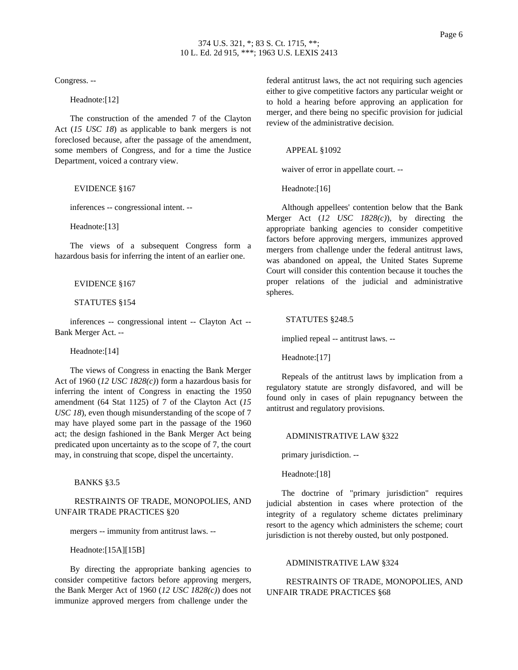Congress. --

Headnote:[12]

The construction of the amended 7 of the Clayton Act (*15 USC 18*) as applicable to bank mergers is not foreclosed because, after the passage of the amendment, some members of Congress, and for a time the Justice Department, voiced a contrary view.

EVIDENCE §167

inferences -- congressional intent. --

Headnote:[13]

The views of a subsequent Congress form a hazardous basis for inferring the intent of an earlier one.

EVIDENCE §167

STATUTES §154

inferences -- congressional intent -- Clayton Act -- Bank Merger Act. --

Headnote:[14]

The views of Congress in enacting the Bank Merger Act of 1960 (*12 USC 1828(c)*) form a hazardous basis for inferring the intent of Congress in enacting the 1950 amendment (64 Stat 1125) of 7 of the Clayton Act (*15 USC 18*), even though misunderstanding of the scope of 7 may have played some part in the passage of the 1960 act; the design fashioned in the Bank Merger Act being predicated upon uncertainty as to the scope of 7, the court may, in construing that scope, dispel the uncertainty.

BANKS §3.5

RESTRAINTS OF TRADE, MONOPOLIES, AND UNFAIR TRADE PRACTICES §20

mergers -- immunity from antitrust laws. --

Headnote:[15A][15B]

By directing the appropriate banking agencies to consider competitive factors before approving mergers, the Bank Merger Act of 1960 (*12 USC 1828(c)*) does not immunize approved mergers from challenge under the

federal antitrust laws, the act not requiring such agencies either to give competitive factors any particular weight or to hold a hearing before approving an application for merger, and there being no specific provision for judicial review of the administrative decision.

APPEAL §1092

waiver of error in appellate court. --

Headnote:[16]

Although appellees' contention below that the Bank Merger Act (*12 USC 1828(c)*), by directing the appropriate banking agencies to consider competitive factors before approving mergers, immunizes approved mergers from challenge under the federal antitrust laws, was abandoned on appeal, the United States Supreme Court will consider this contention because it touches the proper relations of the judicial and administrative spheres.

#### STATUTES §248.5

implied repeal -- antitrust laws. --

Headnote:[17]

Repeals of the antitrust laws by implication from a regulatory statute are strongly disfavored, and will be found only in cases of plain repugnancy between the antitrust and regulatory provisions.

ADMINISTRATIVE LAW §322

primary jurisdiction. --

Headnote:[18]

The doctrine of "primary jurisdiction" requires judicial abstention in cases where protection of the integrity of a regulatory scheme dictates preliminary resort to the agency which administers the scheme; court jurisdiction is not thereby ousted, but only postponed.

#### ADMINISTRATIVE LAW §324

RESTRAINTS OF TRADE, MONOPOLIES, AND UNFAIR TRADE PRACTICES §68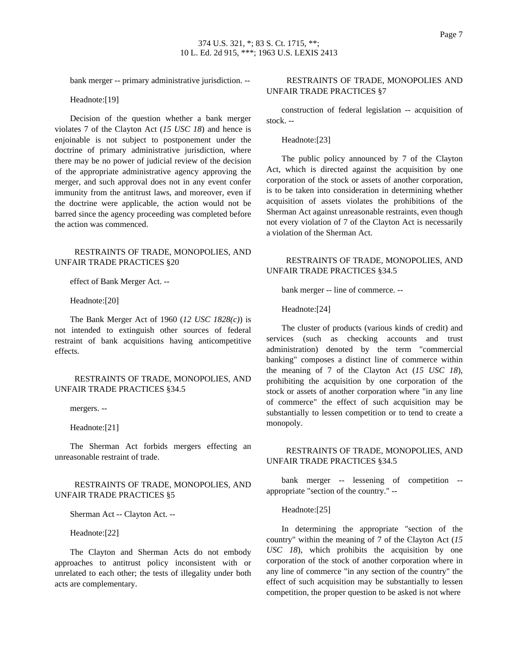bank merger -- primary administrative jurisdiction. --

Headnote:[19]

Decision of the question whether a bank merger violates 7 of the Clayton Act (*15 USC 18*) and hence is enjoinable is not subject to postponement under the doctrine of primary administrative jurisdiction, where there may be no power of judicial review of the decision of the appropriate administrative agency approving the merger, and such approval does not in any event confer immunity from the antitrust laws, and moreover, even if the doctrine were applicable, the action would not be barred since the agency proceeding was completed before the action was commenced.

#### RESTRAINTS OF TRADE, MONOPOLIES, AND UNFAIR TRADE PRACTICES §20

effect of Bank Merger Act. --

Headnote:[20]

The Bank Merger Act of 1960 (*12 USC 1828(c)*) is not intended to extinguish other sources of federal restraint of bank acquisitions having anticompetitive effects.

## RESTRAINTS OF TRADE, MONOPOLIES, AND UNFAIR TRADE PRACTICES §34.5

mergers. --

Headnote:[21]

The Sherman Act forbids mergers effecting an unreasonable restraint of trade.

#### RESTRAINTS OF TRADE, MONOPOLIES, AND UNFAIR TRADE PRACTICES §5

Sherman Act -- Clayton Act. --

Headnote:[22]

The Clayton and Sherman Acts do not embody approaches to antitrust policy inconsistent with or unrelated to each other; the tests of illegality under both acts are complementary.

RESTRAINTS OF TRADE, MONOPOLIES AND UNFAIR TRADE PRACTICES §7

construction of federal legislation -- acquisition of stock. --

Headnote:[23]

The public policy announced by 7 of the Clayton Act, which is directed against the acquisition by one corporation of the stock or assets of another corporation, is to be taken into consideration in determining whether acquisition of assets violates the prohibitions of the Sherman Act against unreasonable restraints, even though not every violation of 7 of the Clayton Act is necessarily a violation of the Sherman Act.

## RESTRAINTS OF TRADE, MONOPOLIES, AND UNFAIR TRADE PRACTICES §34.5

bank merger -- line of commerce. --

Headnote:[24]

The cluster of products (various kinds of credit) and services (such as checking accounts and trust administration) denoted by the term "commercial banking" composes a distinct line of commerce within the meaning of 7 of the Clayton Act (*15 USC 18*), prohibiting the acquisition by one corporation of the stock or assets of another corporation where "in any line of commerce" the effect of such acquisition may be substantially to lessen competition or to tend to create a monopoly.

#### RESTRAINTS OF TRADE, MONOPOLIES, AND UNFAIR TRADE PRACTICES §34.5

bank merger -- lessening of competition -appropriate "section of the country." --

Headnote:[25]

In determining the appropriate "section of the country" within the meaning of 7 of the Clayton Act (*15 USC 18*), which prohibits the acquisition by one corporation of the stock of another corporation where in any line of commerce "in any section of the country" the effect of such acquisition may be substantially to lessen competition, the proper question to be asked is not where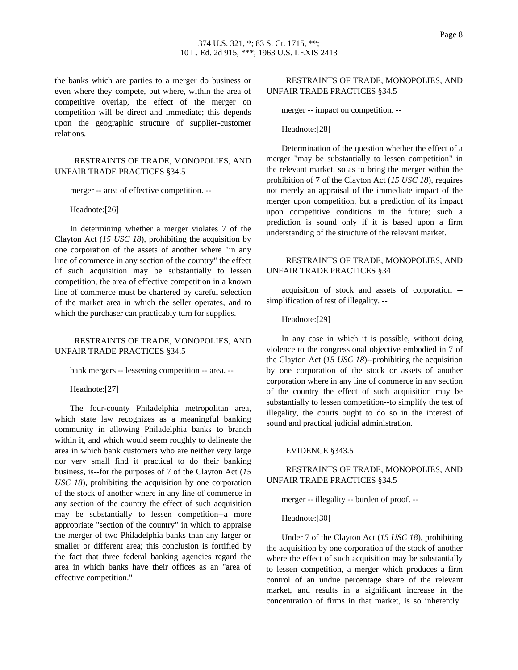the banks which are parties to a merger do business or even where they compete, but where, within the area of competitive overlap, the effect of the merger on competition will be direct and immediate; this depends upon the geographic structure of supplier-customer relations.

#### RESTRAINTS OF TRADE, MONOPOLIES, AND UNFAIR TRADE PRACTICES §34.5

merger -- area of effective competition. --

Headnote:[26]

In determining whether a merger violates 7 of the Clayton Act (*15 USC 18*), prohibiting the acquisition by one corporation of the assets of another where "in any line of commerce in any section of the country" the effect of such acquisition may be substantially to lessen competition, the area of effective competition in a known line of commerce must be chartered by careful selection of the market area in which the seller operates, and to which the purchaser can practicably turn for supplies.

## RESTRAINTS OF TRADE, MONOPOLIES, AND UNFAIR TRADE PRACTICES §34.5

bank mergers -- lessening competition -- area. --

Headnote:[27]

The four-county Philadelphia metropolitan area, which state law recognizes as a meaningful banking community in allowing Philadelphia banks to branch within it, and which would seem roughly to delineate the area in which bank customers who are neither very large nor very small find it practical to do their banking business, is--for the purposes of 7 of the Clayton Act (*15 USC 18*), prohibiting the acquisition by one corporation of the stock of another where in any line of commerce in any section of the country the effect of such acquisition may be substantially to lessen competition--a more appropriate "section of the country" in which to appraise the merger of two Philadelphia banks than any larger or smaller or different area; this conclusion is fortified by the fact that three federal banking agencies regard the area in which banks have their offices as an "area of effective competition."

## RESTRAINTS OF TRADE, MONOPOLIES, AND UNFAIR TRADE PRACTICES §34.5

merger -- impact on competition. --

Headnote:[28]

Determination of the question whether the effect of a merger "may be substantially to lessen competition" in the relevant market, so as to bring the merger within the prohibition of 7 of the Clayton Act (*15 USC 18*), requires not merely an appraisal of the immediate impact of the merger upon competition, but a prediction of its impact upon competitive conditions in the future; such a prediction is sound only if it is based upon a firm understanding of the structure of the relevant market.

## RESTRAINTS OF TRADE, MONOPOLIES, AND UNFAIR TRADE PRACTICES §34

acquisition of stock and assets of corporation - simplification of test of illegality. --

Headnote:[29]

In any case in which it is possible, without doing violence to the congressional objective embodied in 7 of the Clayton Act (*15 USC 18*)--prohibiting the acquisition by one corporation of the stock or assets of another corporation where in any line of commerce in any section of the country the effect of such acquisition may be substantially to lessen competition--to simplify the test of illegality, the courts ought to do so in the interest of sound and practical judicial administration.

#### EVIDENCE §343.5

RESTRAINTS OF TRADE, MONOPOLIES, AND UNFAIR TRADE PRACTICES §34.5

merger -- illegality -- burden of proof. --

Headnote:[30]

Under 7 of the Clayton Act (*15 USC 18*), prohibiting the acquisition by one corporation of the stock of another where the effect of such acquisition may be substantially to lessen competition, a merger which produces a firm control of an undue percentage share of the relevant market, and results in a significant increase in the concentration of firms in that market, is so inherently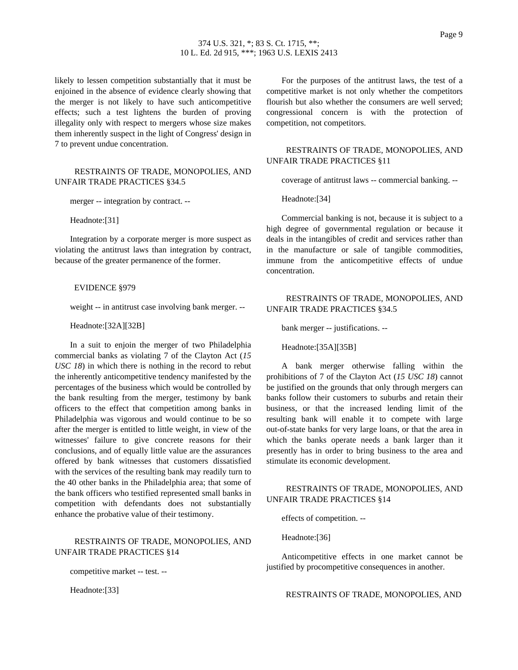likely to lessen competition substantially that it must be enjoined in the absence of evidence clearly showing that the merger is not likely to have such anticompetitive effects; such a test lightens the burden of proving illegality only with respect to mergers whose size makes them inherently suspect in the light of Congress' design in 7 to prevent undue concentration.

## RESTRAINTS OF TRADE, MONOPOLIES, AND UNFAIR TRADE PRACTICES §34.5

merger -- integration by contract. --

Headnote:[31]

Integration by a corporate merger is more suspect as violating the antitrust laws than integration by contract, because of the greater permanence of the former.

#### EVIDENCE §979

weight -- in antitrust case involving bank merger. --

#### Headnote:[32A][32B]

In a suit to enjoin the merger of two Philadelphia commercial banks as violating 7 of the Clayton Act (*15 USC 18*) in which there is nothing in the record to rebut the inherently anticompetitive tendency manifested by the percentages of the business which would be controlled by the bank resulting from the merger, testimony by bank officers to the effect that competition among banks in Philadelphia was vigorous and would continue to be so after the merger is entitled to little weight, in view of the witnesses' failure to give concrete reasons for their conclusions, and of equally little value are the assurances offered by bank witnesses that customers dissatisfied with the services of the resulting bank may readily turn to the 40 other banks in the Philadelphia area; that some of the bank officers who testified represented small banks in competition with defendants does not substantially enhance the probative value of their testimony.

## RESTRAINTS OF TRADE, MONOPOLIES, AND UNFAIR TRADE PRACTICES §14

competitive market -- test. --

Headnote:[33]

For the purposes of the antitrust laws, the test of a competitive market is not only whether the competitors flourish but also whether the consumers are well served; congressional concern is with the protection of competition, not competitors.

# RESTRAINTS OF TRADE, MONOPOLIES, AND UNFAIR TRADE PRACTICES §11

coverage of antitrust laws -- commercial banking. --

Headnote:[34]

Commercial banking is not, because it is subject to a high degree of governmental regulation or because it deals in the intangibles of credit and services rather than in the manufacture or sale of tangible commodities, immune from the anticompetitive effects of undue concentration.

#### RESTRAINTS OF TRADE, MONOPOLIES, AND UNFAIR TRADE PRACTICES §34.5

bank merger -- justifications. --

Headnote:[35A][35B]

A bank merger otherwise falling within the prohibitions of 7 of the Clayton Act (*15 USC 18*) cannot be justified on the grounds that only through mergers can banks follow their customers to suburbs and retain their business, or that the increased lending limit of the resulting bank will enable it to compete with large out-of-state banks for very large loans, or that the area in which the banks operate needs a bank larger than it presently has in order to bring business to the area and stimulate its economic development.

## RESTRAINTS OF TRADE, MONOPOLIES, AND UNFAIR TRADE PRACTICES §14

effects of competition. --

Headnote:[36]

Anticompetitive effects in one market cannot be justified by procompetitive consequences in another.

RESTRAINTS OF TRADE, MONOPOLIES, AND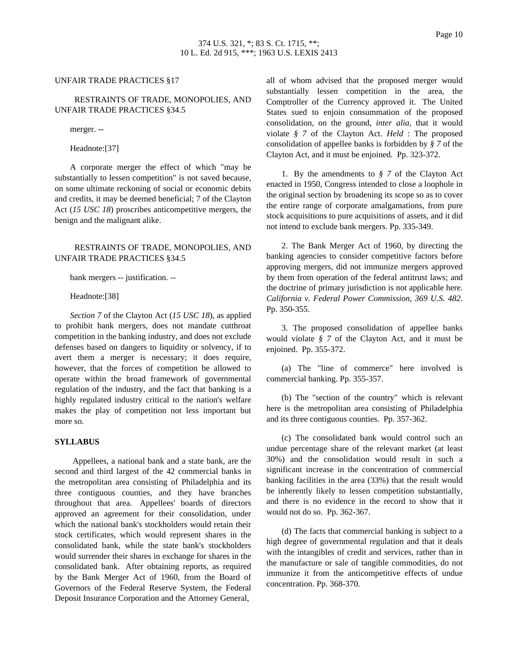#### UNFAIR TRADE PRACTICES §17

#### RESTRAINTS OF TRADE, MONOPOLIES, AND UNFAIR TRADE PRACTICES §34.5

merger. --

Headnote:[37]

A corporate merger the effect of which "may be substantially to lessen competition" is not saved because, on some ultimate reckoning of social or economic debits and credits, it may be deemed beneficial; 7 of the Clayton Act (*15 USC 18*) proscribes anticompetitive mergers, the benign and the malignant alike.

#### RESTRAINTS OF TRADE, MONOPOLIES, AND UNFAIR TRADE PRACTICES §34.5

bank mergers -- justification. --

Headnote:[38]

*Section 7* of the Clayton Act (*15 USC 18*), as applied to prohibit bank mergers, does not mandate cutthroat competition in the banking industry, and does not exclude defenses based on dangers to liquidity or solvency, if to avert them a merger is necessary; it does require, however, that the forces of competition be allowed to operate within the broad framework of governmental regulation of the industry, and the fact that banking is a highly regulated industry critical to the nation's welfare makes the play of competition not less important but more so.

#### **SYLLABUS**

Appellees, a national bank and a state bank, are the second and third largest of the 42 commercial banks in the metropolitan area consisting of Philadelphia and its three contiguous counties, and they have branches throughout that area. Appellees' boards of directors approved an agreement for their consolidation, under which the national bank's stockholders would retain their stock certificates, which would represent shares in the consolidated bank, while the state bank's stockholders would surrender their shares in exchange for shares in the consolidated bank. After obtaining reports, as required by the Bank Merger Act of 1960, from the Board of Governors of the Federal Reserve System, the Federal Deposit Insurance Corporation and the Attorney General,

all of whom advised that the proposed merger would substantially lessen competition in the area, the Comptroller of the Currency approved it. The United States sued to enjoin consummation of the proposed consolidation, on the ground, *inter alia*, that it would violate *§ 7* of the Clayton Act. *Held* : The proposed consolidation of appellee banks is forbidden by *§ 7* of the Clayton Act, and it must be enjoined. Pp. 323-372.

1. By the amendments to *§ 7* of the Clayton Act enacted in 1950, Congress intended to close a loophole in the original section by broadening its scope so as to cover the entire range of corporate amalgamations, from pure stock acquisitions to pure acquisitions of assets, and it did not intend to exclude bank mergers. Pp. 335-349.

2. The Bank Merger Act of 1960, by directing the banking agencies to consider competitive factors before approving mergers, did not immunize mergers approved by them from operation of the federal antitrust laws; and the doctrine of primary jurisdiction is not applicable here. *California v. Federal Power Commission, 369 U.S. 482*. Pp. 350-355.

3. The proposed consolidation of appellee banks would violate *§ 7* of the Clayton Act, and it must be enjoined. Pp. 355-372.

(a) The "line of commerce" here involved is commercial banking. Pp. 355-357.

(b) The "section of the country" which is relevant here is the metropolitan area consisting of Philadelphia and its three contiguous counties. Pp. 357-362.

(c) The consolidated bank would control such an undue percentage share of the relevant market (at least 30%) and the consolidation would result in such a significant increase in the concentration of commercial banking facilities in the area (33%) that the result would be inherently likely to lessen competition substantially, and there is no evidence in the record to show that it would not do so. Pp. 362-367.

(d) The facts that commercial banking is subject to a high degree of governmental regulation and that it deals with the intangibles of credit and services, rather than in the manufacture or sale of tangible commodities, do not immunize it from the anticompetitive effects of undue concentration. Pp. 368-370.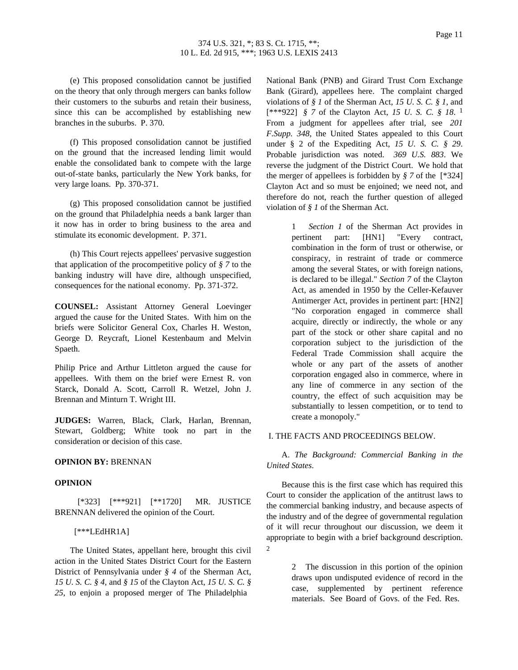(e) This proposed consolidation cannot be justified on the theory that only through mergers can banks follow their customers to the suburbs and retain their business, since this can be accomplished by establishing new branches in the suburbs. P. 370.

(f) This proposed consolidation cannot be justified on the ground that the increased lending limit would enable the consolidated bank to compete with the large out-of-state banks, particularly the New York banks, for very large loans. Pp. 370-371.

(g) This proposed consolidation cannot be justified on the ground that Philadelphia needs a bank larger than it now has in order to bring business to the area and stimulate its economic development. P. 371.

(h) This Court rejects appellees' pervasive suggestion that application of the procompetitive policy of *§ 7* to the banking industry will have dire, although unspecified, consequences for the national economy. Pp. 371-372.

**COUNSEL:** Assistant Attorney General Loevinger argued the cause for the United States. With him on the briefs were Solicitor General Cox, Charles H. Weston, George D. Reycraft, Lionel Kestenbaum and Melvin Spaeth.

Philip Price and Arthur Littleton argued the cause for appellees. With them on the brief were Ernest R. von Starck, Donald A. Scott, Carroll R. Wetzel, John J. Brennan and Minturn T. Wright III.

**JUDGES:** Warren, Black, Clark, Harlan, Brennan, Stewart, Goldberg; White took no part in the consideration or decision of this case.

#### **OPINION BY:** BRENNAN

#### **OPINION**

[\*323] [\*\*\*921] [\*\*1720] MR. JUSTICE BRENNAN delivered the opinion of the Court.

[\*\*\*LEdHR1A]

The United States, appellant here, brought this civil action in the United States District Court for the Eastern District of Pennsylvania under *§ 4* of the Sherman Act, *15 U. S. C. § 4*, and *§ 15* of the Clayton Act, *15 U. S. C. § 25*, to enjoin a proposed merger of The Philadelphia

National Bank (PNB) and Girard Trust Corn Exchange Bank (Girard), appellees here. The complaint charged violations of *§ 1* of the Sherman Act, *15 U. S. C. § 1*, and [\*\*\*922] *§ 7* of the Clayton Act, *15 U. S. C. § 18*. 1 From a judgment for appellees after trial, see *201 F.Supp. 348*, the United States appealed to this Court under § 2 of the Expediting Act, *15 U. S. C. § 29*. Probable jurisdiction was noted. *369 U.S. 883*. We reverse the judgment of the District Court. We hold that the merger of appellees is forbidden by *§ 7* of the [\*324] Clayton Act and so must be enjoined; we need not, and therefore do not, reach the further question of alleged violation of *§ 1* of the Sherman Act.

> 1 *Section 1* of the Sherman Act provides in pertinent part: [HN1] "Every contract, combination in the form of trust or otherwise, or conspiracy, in restraint of trade or commerce among the several States, or with foreign nations, is declared to be illegal." *Section 7* of the Clayton Act, as amended in 1950 by the Celler-Kefauver Antimerger Act, provides in pertinent part: [HN2] "No corporation engaged in commerce shall acquire, directly or indirectly, the whole or any part of the stock or other share capital and no corporation subject to the jurisdiction of the Federal Trade Commission shall acquire the whole or any part of the assets of another corporation engaged also in commerce, where in any line of commerce in any section of the country, the effect of such acquisition may be substantially to lessen competition, or to tend to create a monopoly."

#### I. THE FACTS AND PROCEEDINGS BELOW.

A. *The Background: Commercial Banking in the United States*.

Because this is the first case which has required this Court to consider the application of the antitrust laws to the commercial banking industry, and because aspects of the industry and of the degree of governmental regulation of it will recur throughout our discussion, we deem it appropriate to begin with a brief background description. 2

> 2 The discussion in this portion of the opinion draws upon undisputed evidence of record in the case, supplemented by pertinent reference materials. See Board of Govs. of the Fed. Res.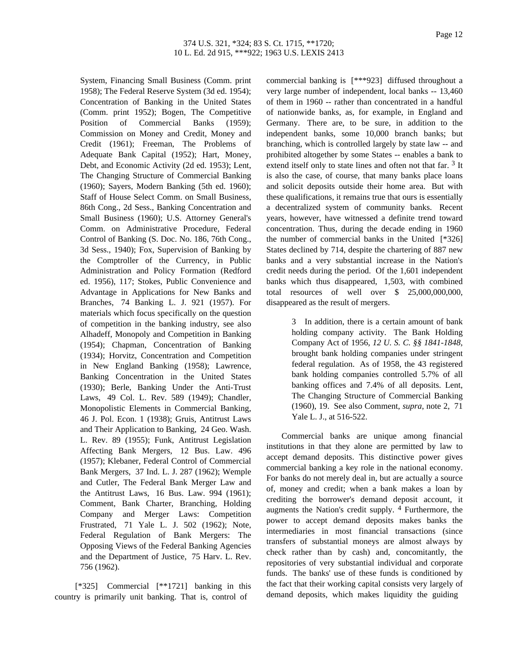System, Financing Small Business (Comm. print 1958); The Federal Reserve System (3d ed. 1954); Concentration of Banking in the United States (Comm. print 1952); Bogen, The Competitive Position of Commercial Banks (1959); Commission on Money and Credit, Money and Credit (1961); Freeman, The Problems of Adequate Bank Capital (1952); Hart, Money, Debt, and Economic Activity (2d ed. 1953); Lent, The Changing Structure of Commercial Banking (1960); Sayers, Modern Banking (5th ed. 1960); Staff of House Select Comm. on Small Business, 86th Cong., 2d Sess., Banking Concentration and Small Business (1960); U.S. Attorney General's Comm. on Administrative Procedure, Federal Control of Banking (S. Doc. No. 186, 76th Cong., 3d Sess., 1940); Fox, Supervision of Banking by the Comptroller of the Currency, in Public Administration and Policy Formation (Redford ed. 1956), 117; Stokes, Public Convenience and Advantage in Applications for New Banks and Branches, 74 Banking L. J. 921 (1957). For materials which focus specifically on the question of competition in the banking industry, see also Alhadeff, Monopoly and Competition in Banking (1954); Chapman, Concentration of Banking (1934); Horvitz, Concentration and Competition in New England Banking (1958); Lawrence, Banking Concentration in the United States (1930); Berle, Banking Under the Anti-Trust Laws, 49 Col. L. Rev. 589 (1949); Chandler, Monopolistic Elements in Commercial Banking, 46 J. Pol. Econ. 1 (1938); Gruis, Antitrust Laws and Their Application to Banking, 24 Geo. Wash. L. Rev. 89 (1955); Funk, Antitrust Legislation Affecting Bank Mergers, 12 Bus. Law. 496 (1957); Klebaner, Federal Control of Commercial Bank Mergers, 37 Ind. L. J. 287 (1962); Wemple and Cutler, The Federal Bank Merger Law and the Antitrust Laws, 16 Bus. Law. 994 (1961); Comment, Bank Charter, Branching, Holding Company and Merger Laws: Competition Frustrated, 71 Yale L. J. 502 (1962); Note, Federal Regulation of Bank Mergers: The Opposing Views of the Federal Banking Agencies and the Department of Justice, 75 Harv. L. Rev. 756 (1962).

[\*325] Commercial [\*\*1721] banking in this country is primarily unit banking. That is, control of

commercial banking is [\*\*\*923] diffused throughout a very large number of independent, local banks -- 13,460 of them in 1960 -- rather than concentrated in a handful of nationwide banks, as, for example, in England and Germany. There are, to be sure, in addition to the independent banks, some 10,000 branch banks; but branching, which is controlled largely by state law -- and prohibited altogether by some States -- enables a bank to extend itself only to state lines and often not that far. <sup>3</sup> It is also the case, of course, that many banks place loans and solicit deposits outside their home area. But with these qualifications, it remains true that ours is essentially a decentralized system of community banks. Recent years, however, have witnessed a definite trend toward concentration. Thus, during the decade ending in 1960 the number of commercial banks in the United [\*326] States declined by 714, despite the chartering of 887 new banks and a very substantial increase in the Nation's credit needs during the period. Of the 1,601 independent banks which thus disappeared, 1,503, with combined total resources of well over \$ 25,000,000,000, disappeared as the result of mergers.

> 3 In addition, there is a certain amount of bank holding company activity. The Bank Holding Company Act of 1956, *12 U. S. C. §§ 1841-1848*, brought bank holding companies under stringent federal regulation. As of 1958, the 43 registered bank holding companies controlled 5.7% of all banking offices and 7.4% of all deposits. Lent, The Changing Structure of Commercial Banking (1960), 19. See also Comment, *supra*, note 2, 71 Yale L. J., at 516-522.

Commercial banks are unique among financial institutions in that they alone are permitted by law to accept demand deposits. This distinctive power gives commercial banking a key role in the national economy. For banks do not merely deal in, but are actually a source of, money and credit; when a bank makes a loan by crediting the borrower's demand deposit account, it augments the Nation's credit supply. 4 Furthermore, the power to accept demand deposits makes banks the intermediaries in most financial transactions (since transfers of substantial moneys are almost always by check rather than by cash) and, concomitantly, the repositories of very substantial individual and corporate funds. The banks' use of these funds is conditioned by the fact that their working capital consists very largely of demand deposits, which makes liquidity the guiding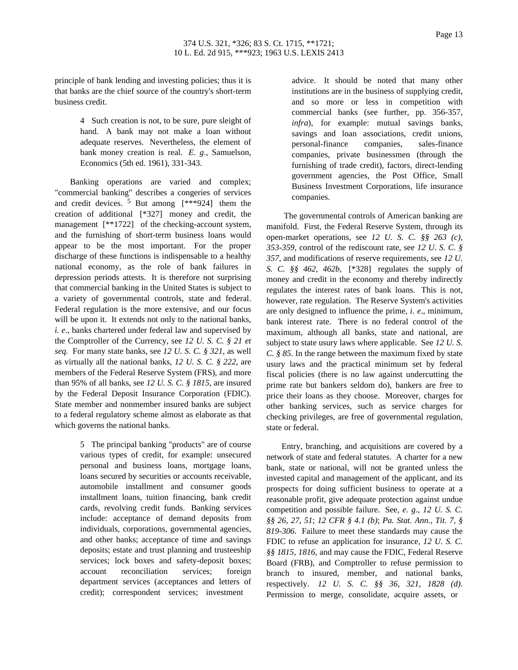principle of bank lending and investing policies; thus it is that banks are the chief source of the country's short-term business credit.

> 4 Such creation is not, to be sure, pure sleight of hand. A bank may not make a loan without adequate reserves. Nevertheless, the element of bank money creation is real. *E. g*., Samuelson, Economics (5th ed. 1961), 331-343.

Banking operations are varied and complex; "commercial banking" describes a congeries of services and credit devices.  $5$  But among  $[***924]$  them the creation of additional [\*327] money and credit, the management [\*\*1722] of the checking-account system, and the furnishing of short-term business loans would appear to be the most important. For the proper discharge of these functions is indispensable to a healthy national economy, as the role of bank failures in depression periods attests. It is therefore not surprising that commercial banking in the United States is subject to a variety of governmental controls, state and federal. Federal regulation is the more extensive, and our focus will be upon it. It extends not only to the national banks, *i. e*., banks chartered under federal law and supervised by the Comptroller of the Currency, see *12 U. S. C. § 21 et seq.* For many state banks, see *12 U. S. C. § 321*, as well as virtually all the national banks, *12 U. S. C. § 222*, are members of the Federal Reserve System (FRS), and more than 95% of all banks, see *12 U. S. C. § 1815*, are insured by the Federal Deposit Insurance Corporation (FDIC). State member and nonmember insured banks are subject to a federal regulatory scheme almost as elaborate as that which governs the national banks.

> 5 The principal banking "products" are of course various types of credit, for example: unsecured personal and business loans, mortgage loans, loans secured by securities or accounts receivable, automobile installment and consumer goods installment loans, tuition financing, bank credit cards, revolving credit funds. Banking services include: acceptance of demand deposits from individuals, corporations, governmental agencies, and other banks; acceptance of time and savings deposits; estate and trust planning and trusteeship services; lock boxes and safety-deposit boxes; account reconciliation services; foreign department services (acceptances and letters of credit); correspondent services; investment

advice. It should be noted that many other institutions are in the business of supplying credit, and so more or less in competition with commercial banks (see further, pp. 356-357, *infra*), for example: mutual savings banks, savings and loan associations, credit unions, personal-finance companies, sales-finance companies, private businessmen (through the furnishing of trade credit), factors, direct-lending government agencies, the Post Office, Small Business Investment Corporations, life insurance companies.

The governmental controls of American banking are manifold. First, the Federal Reserve System, through its open-market operations, see *12 U. S. C. §§ 263 (c)*, *353-359*, control of the rediscount rate, see *12 U. S. C. § 357*, and modifications of reserve requirements, see *12 U. S. C. §§ 462*, *462b*, [\*328] regulates the supply of money and credit in the economy and thereby indirectly regulates the interest rates of bank loans. This is not, however, rate regulation. The Reserve System's activities are only designed to influence the prime, *i. e*., minimum, bank interest rate. There is no federal control of the maximum, although all banks, state and national, are subject to state usury laws where applicable. See *12 U. S. C. § 85*. In the range between the maximum fixed by state usury laws and the practical minimum set by federal fiscal policies (there is no law against undercutting the prime rate but bankers seldom do), bankers are free to price their loans as they choose. Moreover, charges for other banking services, such as service charges for checking privileges, are free of governmental regulation, state or federal.

Entry, branching, and acquisitions are covered by a network of state and federal statutes. A charter for a new bank, state or national, will not be granted unless the invested capital and management of the applicant, and its prospects for doing sufficient business to operate at a reasonable profit, give adequate protection against undue competition and possible failure. See, *e. g*., *12 U. S. C. §§ 26*, *27*, *51*; *12 CFR § 4.1 (b)*; *Pa. Stat. Ann., Tit. 7, § 819-306*. Failure to meet these standards may cause the FDIC to refuse an application for insurance, *12 U. S. C. §§ 1815*, *1816*, and may cause the FDIC, Federal Reserve Board (FRB), and Comptroller to refuse permission to branch to insured, member, and national banks, respectively. *12 U. S. C. §§ 36*, *321*, *1828 (d)*. Permission to merge, consolidate, acquire assets, or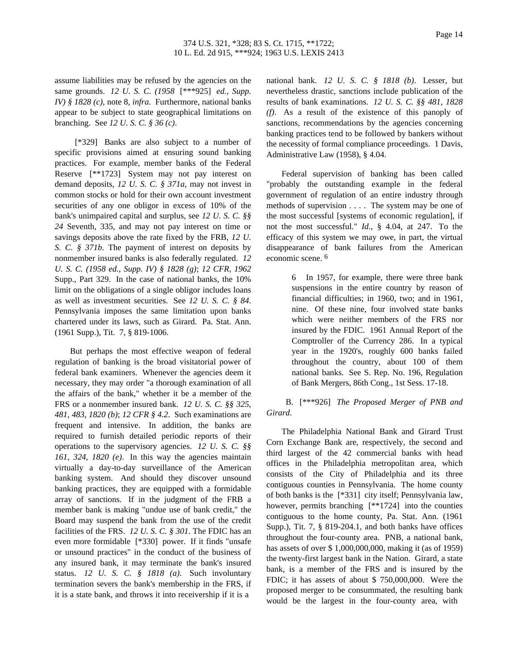assume liabilities may be refused by the agencies on the same grounds. *12 U. S. C. (1958* [\*\*\*925] *ed., Supp. IV) § 1828 (c)*, note 8, *infra*. Furthermore, national banks appear to be subject to state geographical limitations on branching. See *12 U. S. C. § 36 (c)*.

[\*329] Banks are also subject to a number of specific provisions aimed at ensuring sound banking practices. For example, member banks of the Federal Reserve [\*\*1723] System may not pay interest on demand deposits, *12 U. S. C. § 371a*, may not invest in common stocks or hold for their own account investment securities of any one obligor in excess of 10% of the bank's unimpaired capital and surplus, see *12 U. S. C. §§ 24* Seventh, 335, and may not pay interest on time or savings deposits above the rate fixed by the FRB, *12 U. S. C. § 371b*. The payment of interest on deposits by nonmember insured banks is also federally regulated. *12 U. S. C. (1958 ed., Supp. IV) § 1828 (g)*; *12 CFR, 1962* Supp., Part 329. In the case of national banks, the 10% limit on the obligations of a single obligor includes loans as well as investment securities. See *12 U. S. C. § 84*. Pennsylvania imposes the same limitation upon banks chartered under its laws, such as Girard. Pa. Stat. Ann. (1961 Supp.), Tit. 7, § 819-1006.

But perhaps the most effective weapon of federal regulation of banking is the broad visitatorial power of federal bank examiners. Whenever the agencies deem it necessary, they may order "a thorough examination of all the affairs of the bank," whether it be a member of the FRS or a nonmember insured bank. *12 U. S. C. §§ 325*, *481*, *483*, *1820 (b)*; *12 CFR § 4.2*. Such examinations are frequent and intensive. In addition, the banks are required to furnish detailed periodic reports of their operations to the supervisory agencies. *12 U. S. C. §§ 161*, *324*, *1820 (e)*. In this way the agencies maintain virtually a day-to-day surveillance of the American banking system. And should they discover unsound banking practices, they are equipped with a formidable array of sanctions. If in the judgment of the FRB a member bank is making "undue use of bank credit," the Board may suspend the bank from the use of the credit facilities of the FRS. *12 U. S. C. § 301*. The FDIC has an even more formidable [\*330] power. If it finds "unsafe or unsound practices" in the conduct of the business of any insured bank, it may terminate the bank's insured status. *12 U. S. C. § 1818 (a)*. Such involuntary termination severs the bank's membership in the FRS, if it is a state bank, and throws it into receivership if it is a

national bank. *12 U. S. C. § 1818 (b)*. Lesser, but nevertheless drastic, sanctions include publication of the results of bank examinations. *12 U. S. C. §§ 481*, *1828 (f)*. As a result of the existence of this panoply of sanctions, recommendations by the agencies concerning banking practices tend to be followed by bankers without the necessity of formal compliance proceedings. 1 Davis, Administrative Law (1958), § 4.04.

Federal supervision of banking has been called "probably the outstanding example in the federal government of regulation of an entire industry through methods of supervision . . . . The system may be one of the most successful [systems of economic regulation], if not the most successful." *Id*., § 4.04, at 247. To the efficacy of this system we may owe, in part, the virtual disappearance of bank failures from the American economic scene. 6

> 6 In 1957, for example, there were three bank suspensions in the entire country by reason of financial difficulties; in 1960, two; and in 1961, nine. Of these nine, four involved state banks which were neither members of the FRS nor insured by the FDIC. 1961 Annual Report of the Comptroller of the Currency 286. In a typical year in the 1920's, roughly 600 banks failed throughout the country, about 100 of them national banks. See S. Rep. No. 196, Regulation of Bank Mergers, 86th Cong., 1st Sess. 17-18.

B. [\*\*\*926] *The Proposed Merger of PNB and Girard*.

The Philadelphia National Bank and Girard Trust Corn Exchange Bank are, respectively, the second and third largest of the 42 commercial banks with head offices in the Philadelphia metropolitan area, which consists of the City of Philadelphia and its three contiguous counties in Pennsylvania. The home county of both banks is the [\*331] city itself; Pennsylvania law, however, permits branching [\*\*1724] into the counties contiguous to the home county, Pa. Stat. Ann. (1961 Supp.), Tit. 7, § 819-204.1, and both banks have offices throughout the four-county area. PNB, a national bank, has assets of over \$ 1,000,000,000, making it (as of 1959) the twenty-first largest bank in the Nation. Girard, a state bank, is a member of the FRS and is insured by the FDIC; it has assets of about \$ 750,000,000. Were the proposed merger to be consummated, the resulting bank would be the largest in the four-county area, with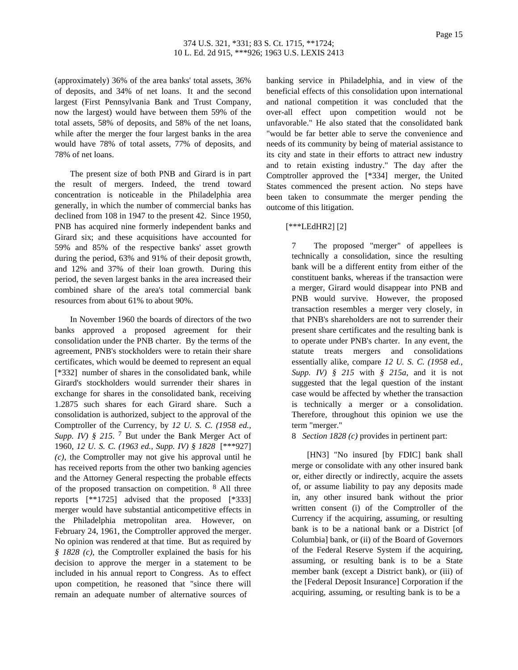(approximately) 36% of the area banks' total assets, 36% of deposits, and 34% of net loans. It and the second largest (First Pennsylvania Bank and Trust Company, now the largest) would have between them 59% of the total assets, 58% of deposits, and 58% of the net loans, while after the merger the four largest banks in the area would have 78% of total assets, 77% of deposits, and 78% of net loans.

The present size of both PNB and Girard is in part the result of mergers. Indeed, the trend toward concentration is noticeable in the Philadelphia area generally, in which the number of commercial banks has declined from 108 in 1947 to the present 42. Since 1950, PNB has acquired nine formerly independent banks and Girard six; and these acquisitions have accounted for 59% and 85% of the respective banks' asset growth during the period, 63% and 91% of their deposit growth, and 12% and 37% of their loan growth. During this period, the seven largest banks in the area increased their combined share of the area's total commercial bank resources from about 61% to about 90%.

In November 1960 the boards of directors of the two banks approved a proposed agreement for their consolidation under the PNB charter. By the terms of the agreement, PNB's stockholders were to retain their share certificates, which would be deemed to represent an equal [\*332] number of shares in the consolidated bank, while Girard's stockholders would surrender their shares in exchange for shares in the consolidated bank, receiving 1.2875 such shares for each Girard share. Such a consolidation is authorized, subject to the approval of the Comptroller of the Currency, by *12 U. S. C. (1958 ed., Supp. IV) § 215*. 7 But under the Bank Merger Act of 1960, *12 U. S. C. (1963 ed., Supp. IV) § 1828* [\*\*\*927] *(c)*, the Comptroller may not give his approval until he has received reports from the other two banking agencies and the Attorney General respecting the probable effects of the proposed transaction on competition. 8 All three reports [\*\*1725] advised that the proposed [\*333] merger would have substantial anticompetitive effects in the Philadelphia metropolitan area. However, on February 24, 1961, the Comptroller approved the merger. No opinion was rendered at that time. But as required by *§ 1828 (c)*, the Comptroller explained the basis for his decision to approve the merger in a statement to be included in his annual report to Congress. As to effect upon competition, he reasoned that "since there will remain an adequate number of alternative sources of

banking service in Philadelphia, and in view of the beneficial effects of this consolidation upon international and national competition it was concluded that the over-all effect upon competition would not be unfavorable." He also stated that the consolidated bank "would be far better able to serve the convenience and needs of its community by being of material assistance to its city and state in their efforts to attract new industry and to retain existing industry." The day after the Comptroller approved the [\*334] merger, the United States commenced the present action. No steps have been taken to consummate the merger pending the outcome of this litigation.

#### [\*\*\*LEdHR2] [2]

7 The proposed "merger" of appellees is technically a consolidation, since the resulting bank will be a different entity from either of the constituent banks, whereas if the transaction were a merger, Girard would disappear into PNB and PNB would survive. However, the proposed transaction resembles a merger very closely, in that PNB's shareholders are not to surrender their present share certificates and the resulting bank is to operate under PNB's charter. In any event, the statute treats mergers and consolidations essentially alike, compare *12 U. S. C. (1958 ed., Supp. IV) § 215* with *§ 215a*, and it is not suggested that the legal question of the instant case would be affected by whether the transaction is technically a merger or a consolidation. Therefore, throughout this opinion we use the term "merger."

8 *Section 1828 (c)* provides in pertinent part:

[HN3] "No insured [by FDIC] bank shall merge or consolidate with any other insured bank or, either directly or indirectly, acquire the assets of, or assume liability to pay any deposits made in, any other insured bank without the prior written consent (i) of the Comptroller of the Currency if the acquiring, assuming, or resulting bank is to be a national bank or a District [of Columbia] bank, or (ii) of the Board of Governors of the Federal Reserve System if the acquiring, assuming, or resulting bank is to be a State member bank (except a District bank), or (iii) of the [Federal Deposit Insurance] Corporation if the acquiring, assuming, or resulting bank is to be a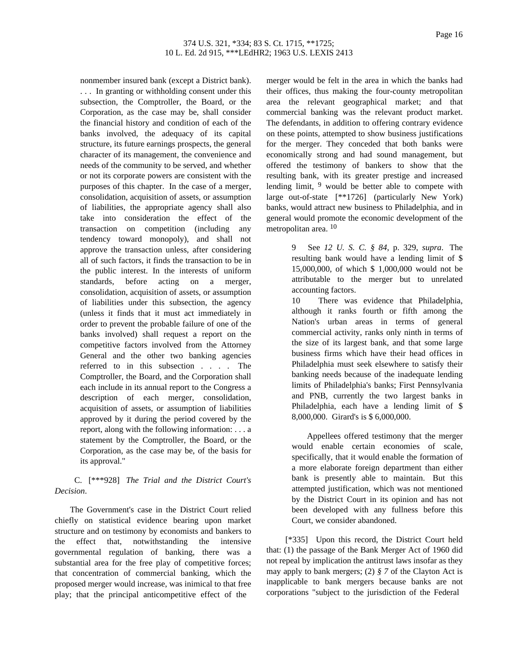nonmember insured bank (except a District bank). . . . In granting or withholding consent under this subsection, the Comptroller, the Board, or the Corporation, as the case may be, shall consider the financial history and condition of each of the banks involved, the adequacy of its capital structure, its future earnings prospects, the general character of its management, the convenience and needs of the community to be served, and whether or not its corporate powers are consistent with the purposes of this chapter. In the case of a merger, consolidation, acquisition of assets, or assumption of liabilities, the appropriate agency shall also take into consideration the effect of the transaction on competition (including any tendency toward monopoly), and shall not approve the transaction unless, after considering all of such factors, it finds the transaction to be in the public interest. In the interests of uniform standards, before acting on a merger, consolidation, acquisition of assets, or assumption of liabilities under this subsection, the agency (unless it finds that it must act immediately in order to prevent the probable failure of one of the banks involved) shall request a report on the competitive factors involved from the Attorney General and the other two banking agencies referred to in this subsection . . . . The Comptroller, the Board, and the Corporation shall each include in its annual report to the Congress a description of each merger, consolidation, acquisition of assets, or assumption of liabilities approved by it during the period covered by the report, along with the following information: . . . a statement by the Comptroller, the Board, or the Corporation, as the case may be, of the basis for its approval."

## C. [\*\*\*928] *The Trial and the District Court's Decision*.

The Government's case in the District Court relied chiefly on statistical evidence bearing upon market structure and on testimony by economists and bankers to the effect that, notwithstanding the intensive governmental regulation of banking, there was a substantial area for the free play of competitive forces; that concentration of commercial banking, which the proposed merger would increase, was inimical to that free play; that the principal anticompetitive effect of the

merger would be felt in the area in which the banks had their offices, thus making the four-county metropolitan area the relevant geographical market; and that commercial banking was the relevant product market. The defendants, in addition to offering contrary evidence on these points, attempted to show business justifications for the merger. They conceded that both banks were economically strong and had sound management, but offered the testimony of bankers to show that the resulting bank, with its greater prestige and increased lending limit, <sup>9</sup> would be better able to compete with large out-of-state [\*\*1726] (particularly New York) banks, would attract new business to Philadelphia, and in general would promote the economic development of the metropolitan area. 10

> 9 See *12 U. S. C. § 84*, p. 329, *supra*. The resulting bank would have a lending limit of \$ 15,000,000, of which \$ 1,000,000 would not be attributable to the merger but to unrelated accounting factors.

10 There was evidence that Philadelphia, although it ranks fourth or fifth among the Nation's urban areas in terms of general commercial activity, ranks only ninth in terms of the size of its largest bank, and that some large business firms which have their head offices in Philadelphia must seek elsewhere to satisfy their banking needs because of the inadequate lending limits of Philadelphia's banks; First Pennsylvania and PNB, currently the two largest banks in Philadelphia, each have a lending limit of \$ 8,000,000. Girard's is \$ 6,000,000.

Appellees offered testimony that the merger would enable certain economies of scale, specifically, that it would enable the formation of a more elaborate foreign department than either bank is presently able to maintain. But this attempted justification, which was not mentioned by the District Court in its opinion and has not been developed with any fullness before this Court, we consider abandoned.

[\*335] Upon this record, the District Court held that: (1) the passage of the Bank Merger Act of 1960 did not repeal by implication the antitrust laws insofar as they may apply to bank mergers; (2) *§ 7* of the Clayton Act is inapplicable to bank mergers because banks are not corporations "subject to the jurisdiction of the Federal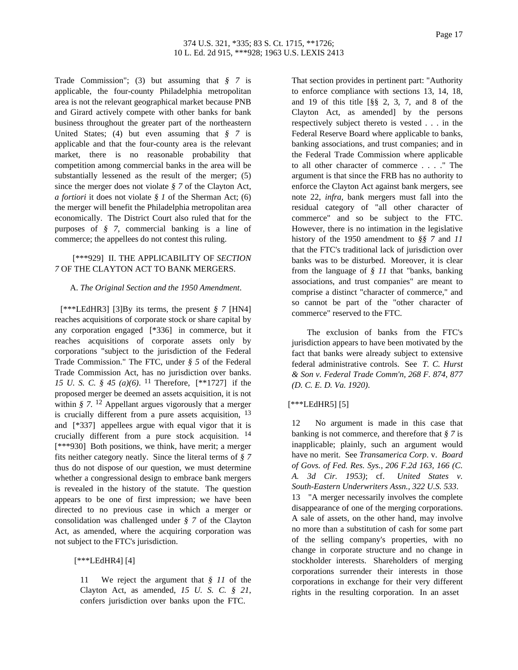Trade Commission"; (3) but assuming that *§ 7* is applicable, the four-county Philadelphia metropolitan area is not the relevant geographical market because PNB and Girard actively compete with other banks for bank business throughout the greater part of the northeastern United States; (4) but even assuming that *§ 7* is applicable and that the four-county area is the relevant market, there is no reasonable probability that competition among commercial banks in the area will be substantially lessened as the result of the merger; (5) since the merger does not violate *§ 7* of the Clayton Act, *a fortiori* it does not violate *§ 1* of the Sherman Act; (6) the merger will benefit the Philadelphia metropolitan area economically. The District Court also ruled that for the purposes of *§ 7*, commercial banking is a line of commerce; the appellees do not contest this ruling.

## [\*\*\*929] II. THE APPLICABILITY OF *SECTION 7* OF THE CLAYTON ACT TO BANK MERGERS.

#### A. *The Original Section and the 1950 Amendment*.

[\*\*\*LEdHR3] [3]By its terms, the present *§ 7* [HN4] reaches acquisitions of corporate stock or share capital by any corporation engaged [\*336] in commerce, but it reaches acquisitions of corporate assets only by corporations "subject to the jurisdiction of the Federal Trade Commission." The FTC, under *§ 5* of the Federal Trade Commission Act, has no jurisdiction over banks. *15 U. S. C. § 45 (a)(6)*. 11 Therefore, [\*\*1727] if the proposed merger be deemed an assets acquisition, it is not within *§ 7*. 12 Appellant argues vigorously that a merger is crucially different from a pure assets acquisition, <sup>13</sup> and [\*337] appellees argue with equal vigor that it is crucially different from a pure stock acquisition. 14 [\*\*\*930] Both positions, we think, have merit; a merger fits neither category neatly. Since the literal terms of *§ 7* thus do not dispose of our question, we must determine whether a congressional design to embrace bank mergers is revealed in the history of the statute. The question appears to be one of first impression; we have been directed to no previous case in which a merger or consolidation was challenged under *§ 7* of the Clayton Act, as amended, where the acquiring corporation was not subject to the FTC's jurisdiction.

[\*\*\*LEdHR4] [4]

11 We reject the argument that *§ 11* of the Clayton Act, as amended, *15 U. S. C. § 21*, confers jurisdiction over banks upon the FTC.

That section provides in pertinent part: "Authority to enforce compliance with sections 13, 14, 18, and 19 of this title [§§ 2, 3, 7, and 8 of the Clayton Act, as amended] by the persons respectively subject thereto is vested . . . in the Federal Reserve Board where applicable to banks, banking associations, and trust companies; and in the Federal Trade Commission where applicable to all other character of commerce . . . ." The argument is that since the FRB has no authority to enforce the Clayton Act against bank mergers, see note 22, *infra*, bank mergers must fall into the residual category of "all other character of commerce" and so be subject to the FTC. However, there is no intimation in the legislative history of the 1950 amendment to *§§ 7* and *11* that the FTC's traditional lack of jurisdiction over banks was to be disturbed. Moreover, it is clear from the language of *§ 11* that "banks, banking associations, and trust companies" are meant to comprise a distinct "character of commerce," and so cannot be part of the "other character of commerce" reserved to the FTC.

The exclusion of banks from the FTC's jurisdiction appears to have been motivated by the fact that banks were already subject to extensive federal administrative controls. See *T. C. Hurst & Son v. Federal Trade Comm'n, 268 F. 874, 877 (D. C. E. D. Va. 1920)*.

#### [\*\*\*LEdHR5] [5]

12 No argument is made in this case that banking is not commerce, and therefore that *§ 7* is inapplicable; plainly, such an argument would have no merit. See *Transamerica Corp*. v. *Board of Govs. of Fed. Res. Sys., 206 F.2d 163, 166 (C. A. 3d Cir. 1953)*; cf. *United States v. South-Eastern Underwriters Assn., 322 U.S. 533*. 13 "A merger necessarily involves the complete disappearance of one of the merging corporations. A sale of assets, on the other hand, may involve no more than a substitution of cash for some part of the selling company's properties, with no change in corporate structure and no change in stockholder interests. Shareholders of merging corporations surrender their interests in those corporations in exchange for their very different rights in the resulting corporation. In an asset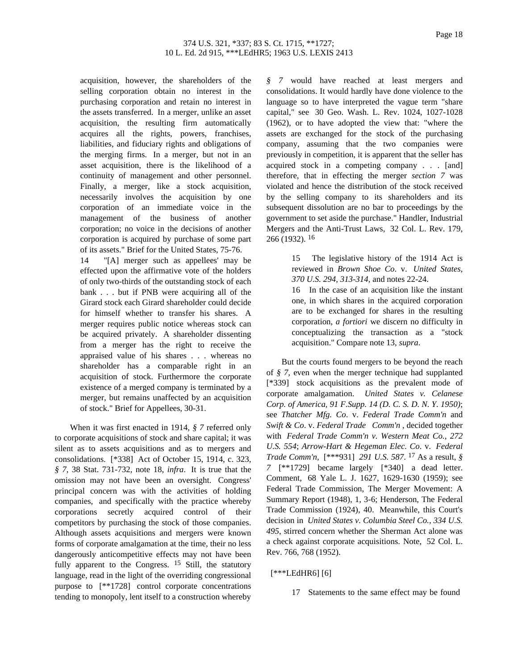acquisition, however, the shareholders of the selling corporation obtain no interest in the purchasing corporation and retain no interest in the assets transferred. In a merger, unlike an asset acquisition, the resulting firm automatically acquires all the rights, powers, franchises, liabilities, and fiduciary rights and obligations of the merging firms. In a merger, but not in an asset acquisition, there is the likelihood of a continuity of management and other personnel. Finally, a merger, like a stock acquisition, necessarily involves the acquisition by one corporation of an immediate voice in the management of the business of another corporation; no voice in the decisions of another corporation is acquired by purchase of some part of its assets." Brief for the United States, 75-76. 14 "[A] merger such as appellees' may be effected upon the affirmative vote of the holders of only two-thirds of the outstanding stock of each bank . . . but if PNB were acquiring all of the Girard stock each Girard shareholder could decide for himself whether to transfer his shares. A merger requires public notice whereas stock can be acquired privately. A shareholder dissenting from a merger has the right to receive the appraised value of his shares . . . whereas no shareholder has a comparable right in an acquisition of stock. Furthermore the corporate existence of a merged company is terminated by a merger, but remains unaffected by an acquisition of stock." Brief for Appellees, 30-31.

When it was first enacted in 1914, *§ 7* referred only to corporate acquisitions of stock and share capital; it was silent as to assets acquisitions and as to mergers and consolidations. [\*338] Act of October 15, 1914, c. 323, *§ 7*, 38 Stat. 731-732, note 18, *infra*. It is true that the omission may not have been an oversight. Congress' principal concern was with the activities of holding companies, and specifically with the practice whereby corporations secretly acquired control of their competitors by purchasing the stock of those companies. Although assets acquisitions and mergers were known forms of corporate amalgamation at the time, their no less dangerously anticompetitive effects may not have been fully apparent to the Congress. <sup>15</sup> Still, the statutory language, read in the light of the overriding congressional purpose to [\*\*1728] control corporate concentrations tending to monopoly, lent itself to a construction whereby

*§ 7* would have reached at least mergers and consolidations. It would hardly have done violence to the language so to have interpreted the vague term "share capital," see 30 Geo. Wash. L. Rev. 1024, 1027-1028 (1962), or to have adopted the view that: "where the assets are exchanged for the stock of the purchasing company, assuming that the two companies were previously in competition, it is apparent that the seller has acquired stock in a competing company . . . [and] therefore, that in effecting the merger *section 7* was violated and hence the distribution of the stock received by the selling company to its shareholders and its subsequent dissolution are no bar to proceedings by the government to set aside the purchase." Handler, Industrial Mergers and the Anti-Trust Laws, 32 Col. L. Rev. 179, 266 (1932). 16

> 15 The legislative history of the 1914 Act is reviewed in *Brown Shoe Co*. v. *United States, 370 U.S. 294, 313-314*, and notes 22-24.

> 16 In the case of an acquisition like the instant one, in which shares in the acquired corporation are to be exchanged for shares in the resulting corporation, *a fortiori* we discern no difficulty in conceptualizing the transaction as a "stock acquisition." Compare note 13, *supra*.

But the courts found mergers to be beyond the reach of *§ 7*, even when the merger technique had supplanted [\*339] stock acquisitions as the prevalent mode of corporate amalgamation. *United States v. Celanese Corp. of America, 91 F.Supp. 14 (D. C. S. D. N. Y. 1950)*; see *Thatcher Mfg. Co*. v. *Federal Trade Comm'n* and *Swift & Co*. v. *Federal Trade Comm'n* , decided together with *Federal Trade Comm'n v. Western Meat Co., 272 U.S. 554*; *Arrow-Hart & Hegeman Elec. Co*. v. *Federal Trade Comm'n,* [\*\*\*931] *291 U.S. 587*. 17 As a result, *§ 7* [\*\*1729] became largely [\*340] a dead letter. Comment, 68 Yale L. J. 1627, 1629-1630 (1959); see Federal Trade Commission, The Merger Movement: A Summary Report (1948), 1, 3-6; Henderson, The Federal Trade Commission (1924), 40. Meanwhile, this Court's decision in *United States v. Columbia Steel Co., 334 U.S. 495*, stirred concern whether the Sherman Act alone was a check against corporate acquisitions. Note, 52 Col. L. Rev. 766, 768 (1952).

[\*\*\*LEdHR6] [6]

17 Statements to the same effect may be found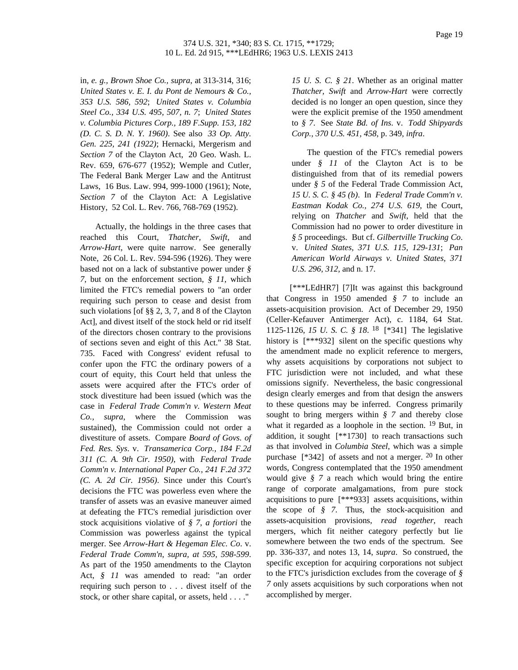in, *e. g., Brown Shoe Co., supra*, at 313-314, 316; *United States v. E. I. du Pont de Nemours & Co., 353 U.S. 586, 592*; *United States v. Columbia Steel Co., 334 U.S. 495, 507, n. 7*; *United States v. Columbia Pictures Corp., 189 F.Supp. 153, 182 (D. C. S. D. N. Y. 1960)*. See also *33 Op. Atty. Gen. 225, 241 (1922)*; Hernacki, Mergerism and *Section 7* of the Clayton Act, 20 Geo. Wash. L. Rev. 659, 676-677 (1952); Wemple and Cutler, The Federal Bank Merger Law and the Antitrust Laws, 16 Bus. Law. 994, 999-1000 (1961); Note, *Section 7* of the Clayton Act: A Legislative History, 52 Col. L. Rev. 766, 768-769 (1952).

Actually, the holdings in the three cases that reached this Court, *Thatcher, Swift*, and *Arrow-Hart*, were quite narrow. See generally Note, 26 Col. L. Rev. 594-596 (1926). They were based not on a lack of substantive power under *§ 7*, but on the enforcement section, *§ 11*, which limited the FTC's remedial powers to "an order requiring such person to cease and desist from such violations [of §§ 2, 3, 7, and 8 of the Clayton Act], and divest itself of the stock held or rid itself of the directors chosen contrary to the provisions of sections seven and eight of this Act." 38 Stat. 735. Faced with Congress' evident refusal to confer upon the FTC the ordinary powers of a court of equity, this Court held that unless the assets were acquired after the FTC's order of stock divestiture had been issued (which was the case in *Federal Trade Comm'n v. Western Meat Co., supra*, where the Commission was sustained), the Commission could not order a divestiture of assets. Compare *Board of Govs. of Fed. Res. Sys*. v. *Transamerica Corp., 184 F.2d 311 (C. A. 9th Cir. 1950)*, with *Federal Trade Comm'n v. International Paper Co., 241 F.2d 372 (C. A. 2d Cir. 1956)*. Since under this Court's decisions the FTC was powerless even where the transfer of assets was an evasive maneuver aimed at defeating the FTC's remedial jurisdiction over stock acquisitions violative of *§ 7*, *a fortiori* the Commission was powerless against the typical merger. See *Arrow-Hart & Hegeman Elec. Co*. v. *Federal Trade Comm'n, supra, at 595, 598-599*. As part of the 1950 amendments to the Clayton Act, *§ 11* was amended to read: "an order requiring such person to . . . divest itself of the stock, or other share capital, or assets, held . . . ."

*15 U. S. C. § 21*. Whether as an original matter *Thatcher, Swift* and *Arrow-Hart* were correctly decided is no longer an open question, since they were the explicit premise of the 1950 amendment to *§ 7*. See *State Bd. of Ins*. v. *Todd Shipyards Corp., 370 U.S. 451, 458*, p. 349, *infra*.

The question of the FTC's remedial powers under *§ 11* of the Clayton Act is to be distinguished from that of its remedial powers under *§ 5* of the Federal Trade Commission Act, *15 U. S. C. § 45 (b)*. In *Federal Trade Comm'n v. Eastman Kodak Co., 274 U.S. 619*, the Court, relying on *Thatcher* and *Swift*, held that the Commission had no power to order divestiture in *§ 5* proceedings. But cf. *Gilbertville Trucking Co*. v. *United States, 371 U.S. 115, 129-131*; *Pan American World Airways v. United States, 371 U.S. 296, 312*, and n. 17.

[\*\*\*LEdHR7] [7]It was against this background that Congress in 1950 amended *§ 7* to include an assets-acquisition provision. Act of December 29, 1950 (Celler-Kefauver Antimerger Act), c. 1184, 64 Stat. 1125-1126, *15 U. S. C. § 18*. 18 [\*341] The legislative history is  $[***932]$  silent on the specific questions why the amendment made no explicit reference to mergers, why assets acquisitions by corporations not subject to FTC jurisdiction were not included, and what these omissions signify. Nevertheless, the basic congressional design clearly emerges and from that design the answers to these questions may be inferred. Congress primarily sought to bring mergers within *§ 7* and thereby close what it regarded as a loophole in the section. 19 But, in addition, it sought [\*\*1730] to reach transactions such as that involved in *Columbia Steel*, which was a simple purchase [\*342] of assets and not a merger. 20 In other words, Congress contemplated that the 1950 amendment would give *§ 7* a reach which would bring the entire range of corporate amalgamations, from pure stock acquisitions to pure [\*\*\*933] assets acquisitions, within the scope of *§ 7*. Thus, the stock-acquisition and assets-acquisition provisions, *read together*, reach mergers, which fit neither category perfectly but lie somewhere between the two ends of the spectrum. See pp. 336-337, and notes 13, 14, *supra*. So construed, the specific exception for acquiring corporations not subject to the FTC's jurisdiction excludes from the coverage of *§ 7* only assets acquisitions by such corporations when not accomplished by merger.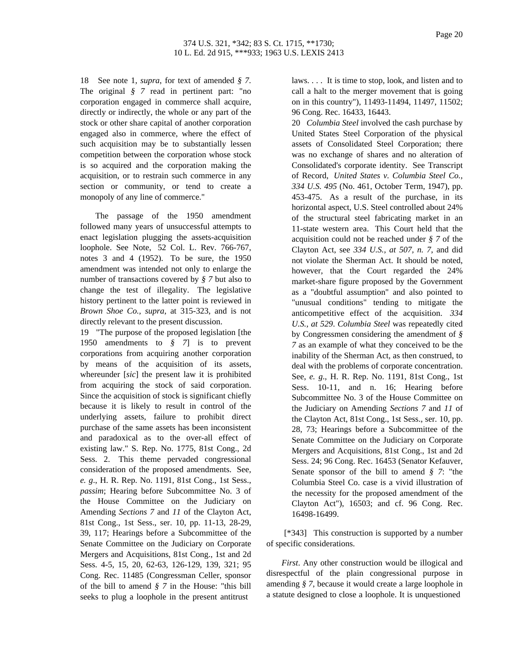18 See note 1, *supra*, for text of amended *§ 7*. The original *§ 7* read in pertinent part: "no corporation engaged in commerce shall acquire, directly or indirectly, the whole or any part of the stock or other share capital of another corporation engaged also in commerce, where the effect of such acquisition may be to substantially lessen competition between the corporation whose stock is so acquired and the corporation making the acquisition, or to restrain such commerce in any section or community, or tend to create a monopoly of any line of commerce."

The passage of the 1950 amendment followed many years of unsuccessful attempts to enact legislation plugging the assets-acquisition loophole. See Note, 52 Col. L. Rev. 766-767, notes 3 and 4 (1952). To be sure, the 1950 amendment was intended not only to enlarge the number of transactions covered by *§ 7* but also to change the test of illegality. The legislative history pertinent to the latter point is reviewed in *Brown Shoe Co., supra*, at 315-323, and is not directly relevant to the present discussion.

19 "The purpose of the proposed legislation [the 1950 amendments to *§ 7*] is to prevent corporations from acquiring another corporation by means of the acquisition of its assets, whereunder [*sic*] the present law it is prohibited from acquiring the stock of said corporation. Since the acquisition of stock is significant chiefly because it is likely to result in control of the underlying assets, failure to prohibit direct purchase of the same assets has been inconsistent and paradoxical as to the over-all effect of existing law." S. Rep. No. 1775, 81st Cong., 2d Sess. 2. This theme pervaded congressional consideration of the proposed amendments. See, *e. g*., H. R. Rep. No. 1191, 81st Cong., 1st Sess., *passim*; Hearing before Subcommittee No. 3 of the House Committee on the Judiciary on Amending *Sections 7* and *11* of the Clayton Act, 81st Cong., 1st Sess., ser. 10, pp. 11-13, 28-29, 39, 117; Hearings before a Subcommittee of the Senate Committee on the Judiciary on Corporate Mergers and Acquisitions, 81st Cong., 1st and 2d Sess. 4-5, 15, 20, 62-63, 126-129, 139, 321; 95 Cong. Rec. 11485 (Congressman Celler, sponsor of the bill to amend *§ 7* in the House: "this bill seeks to plug a loophole in the present antitrust

laws. . . . It is time to stop, look, and listen and to call a halt to the merger movement that is going on in this country"), 11493-11494, 11497, 11502; 96 Cong. Rec. 16433, 16443.

20 *Columbia Steel* involved the cash purchase by United States Steel Corporation of the physical assets of Consolidated Steel Corporation; there was no exchange of shares and no alteration of Consolidated's corporate identity. See Transcript of Record, *United States v. Columbia Steel Co., 334 U.S. 495* (No. 461, October Term, 1947), pp. 453-475. As a result of the purchase, in its horizontal aspect, U.S. Steel controlled about 24% of the structural steel fabricating market in an 11-state western area. This Court held that the acquisition could not be reached under *§ 7* of the Clayton Act, see *334 U.S., at 507, n. 7*, and did not violate the Sherman Act. It should be noted, however, that the Court regarded the 24% market-share figure proposed by the Government as a "doubtful assumption" and also pointed to "unusual conditions" tending to mitigate the anticompetitive effect of the acquisition. *334 U.S., at 529*. *Columbia Steel* was repeatedly cited by Congressmen considering the amendment of *§ 7* as an example of what they conceived to be the inability of the Sherman Act, as then construed, to deal with the problems of corporate concentration. See, *e. g*., H. R. Rep. No. 1191, 81st Cong., 1st Sess. 10-11, and n. 16; Hearing before Subcommittee No. 3 of the House Committee on the Judiciary on Amending *Sections 7* and *11* of the Clayton Act, 81st Cong., 1st Sess., ser. 10, pp. 28, 73; Hearings before a Subcommittee of the Senate Committee on the Judiciary on Corporate Mergers and Acquisitions, 81st Cong., 1st and 2d Sess. 24; 96 Cong. Rec. 16453 (Senator Kefauver, Senate sponsor of the bill to amend *§ 7*: "the Columbia Steel Co. case is a vivid illustration of the necessity for the proposed amendment of the Clayton Act"), 16503; and cf. 96 Cong. Rec. 16498-16499.

[\*343] This construction is supported by a number of specific considerations.

*First*. Any other construction would be illogical and disrespectful of the plain congressional purpose in amending *§ 7*, because it would create a large loophole in a statute designed to close a loophole. It is unquestioned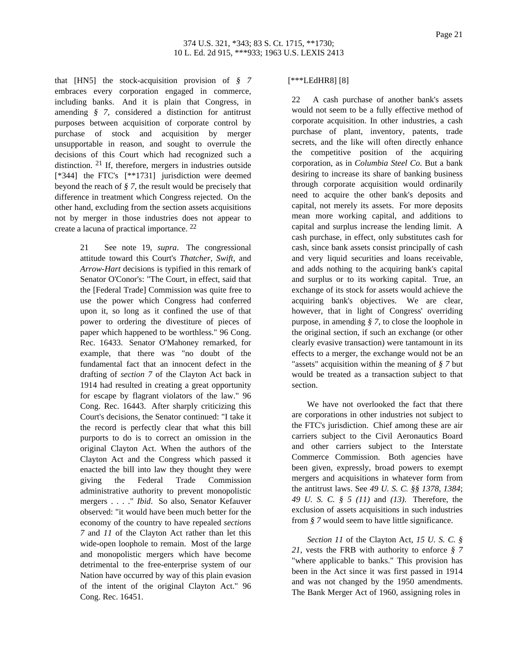that [HN5] the stock-acquisition provision of *§ 7* embraces every corporation engaged in commerce, including banks. And it is plain that Congress, in amending *§ 7*, considered a distinction for antitrust purposes between acquisition of corporate control by purchase of stock and acquisition by merger unsupportable in reason, and sought to overrule the decisions of this Court which had recognized such a distinction. 21 If, therefore, mergers in industries outside [\*344] the FTC's [\*\*1731] jurisdiction were deemed beyond the reach of *§ 7*, the result would be precisely that difference in treatment which Congress rejected. On the other hand, excluding from the section assets acquisitions not by merger in those industries does not appear to create a lacuna of practical importance. 22

> 21 See note 19, *supra*. The congressional attitude toward this Court's *Thatcher, Swift*, and *Arrow-Hart* decisions is typified in this remark of Senator O'Conor's: "The Court, in effect, said that the [Federal Trade] Commission was quite free to use the power which Congress had conferred upon it, so long as it confined the use of that power to ordering the divestiture of pieces of paper which happened to be worthless." 96 Cong. Rec. 16433. Senator O'Mahoney remarked, for example, that there was "no doubt of the fundamental fact that an innocent defect in the drafting of *section 7* of the Clayton Act back in 1914 had resulted in creating a great opportunity for escape by flagrant violators of the law." 96 Cong. Rec. 16443. After sharply criticizing this Court's decisions, the Senator continued: "I take it the record is perfectly clear that what this bill purports to do is to correct an omission in the original Clayton Act. When the authors of the Clayton Act and the Congress which passed it enacted the bill into law they thought they were giving the Federal Trade Commission administrative authority to prevent monopolistic mergers . . . ." *Ibid*. So also, Senator Kefauver observed: "it would have been much better for the economy of the country to have repealed *sections 7* and *11* of the Clayton Act rather than let this wide-open loophole to remain. Most of the large and monopolistic mergers which have become detrimental to the free-enterprise system of our Nation have occurred by way of this plain evasion of the intent of the original Clayton Act." 96 Cong. Rec. 16451.

#### [\*\*\*LEdHR8] [8]

22 A cash purchase of another bank's assets would not seem to be a fully effective method of corporate acquisition. In other industries, a cash purchase of plant, inventory, patents, trade secrets, and the like will often directly enhance the competitive position of the acquiring corporation, as in *Columbia Steel Co*. But a bank desiring to increase its share of banking business through corporate acquisition would ordinarily need to acquire the other bank's deposits and capital, not merely its assets. For more deposits mean more working capital, and additions to capital and surplus increase the lending limit. A cash purchase, in effect, only substitutes cash for cash, since bank assets consist principally of cash and very liquid securities and loans receivable, and adds nothing to the acquiring bank's capital and surplus or to its working capital. True, an exchange of its stock for assets would achieve the acquiring bank's objectives. We are clear, however, that in light of Congress' overriding purpose, in amending *§ 7*, to close the loophole in the original section, if such an exchange (or other clearly evasive transaction) were tantamount in its effects to a merger, the exchange would not be an "assets" acquisition within the meaning of *§ 7* but would be treated as a transaction subject to that section.

We have not overlooked the fact that there are corporations in other industries not subject to the FTC's jurisdiction. Chief among these are air carriers subject to the Civil Aeronautics Board and other carriers subject to the Interstate Commerce Commission. Both agencies have been given, expressly, broad powers to exempt mergers and acquisitions in whatever form from the antitrust laws. See *49 U. S. C. §§ 1378*, *1384*; *49 U. S. C. § 5 (11)* and *(13)*. Therefore, the exclusion of assets acquisitions in such industries from *§ 7* would seem to have little significance.

*Section 11* of the Clayton Act, *15 U. S. C. § 21*, vests the FRB with authority to enforce *§ 7* "where applicable to banks." This provision has been in the Act since it was first passed in 1914 and was not changed by the 1950 amendments. The Bank Merger Act of 1960, assigning roles in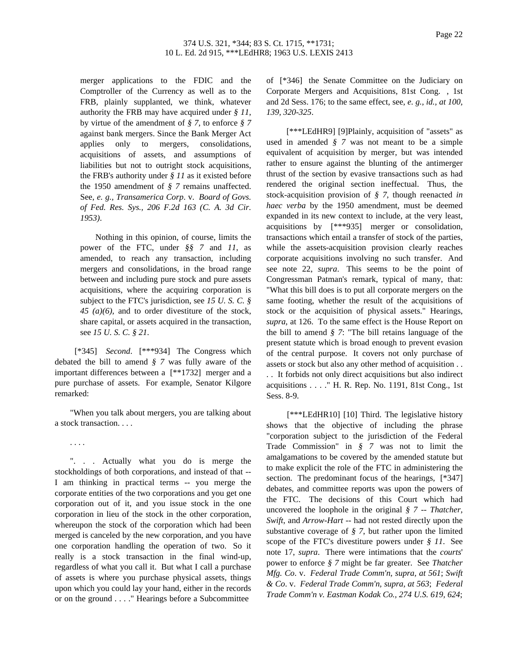merger applications to the FDIC and the Comptroller of the Currency as well as to the FRB, plainly supplanted, we think, whatever authority the FRB may have acquired under *§ 11*, by virtue of the amendment of *§ 7*, to enforce *§ 7* against bank mergers. Since the Bank Merger Act applies only to mergers, consolidations, acquisitions of assets, and assumptions of liabilities but not to outright stock acquisitions, the FRB's authority under *§ 11* as it existed before the 1950 amendment of *§ 7* remains unaffected. See, *e. g., Transamerica Corp*. v. *Board of Govs. of Fed. Res. Sys., 206 F.2d 163 (C. A. 3d Cir. 1953)*.

Nothing in this opinion, of course, limits the power of the FTC, under *§§ 7* and *11*, as amended, to reach any transaction, including mergers and consolidations, in the broad range between and including pure stock and pure assets acquisitions, where the acquiring corporation is subject to the FTC's jurisdiction, see *15 U. S. C. § 45 (a)(6)*, and to order divestiture of the stock, share capital, or assets acquired in the transaction, see *15 U. S. C. § 21*.

[\*345] *Second*. [\*\*\*934] The Congress which debated the bill to amend *§ 7* was fully aware of the important differences between a [\*\*1732] merger and a pure purchase of assets. For example, Senator Kilgore remarked:

"When you talk about mergers, you are talking about a stock transaction. . . .

. . . .

". . . Actually what you do is merge the stockholdings of both corporations, and instead of that -- I am thinking in practical terms -- you merge the corporate entities of the two corporations and you get one corporation out of it, and you issue stock in the one corporation in lieu of the stock in the other corporation, whereupon the stock of the corporation which had been merged is canceled by the new corporation, and you have one corporation handling the operation of two. So it really is a stock transaction in the final wind-up, regardless of what you call it. But what I call a purchase of assets is where you purchase physical assets, things upon which you could lay your hand, either in the records or on the ground . . . ." Hearings before a Subcommittee

of [\*346] the Senate Committee on the Judiciary on Corporate Mergers and Acquisitions, 81st Cong. , 1st and 2d Sess. 176; to the same effect, see, *e. g., id., at 100, 139, 320-325*.

[\*\*\*LEdHR9] [9]Plainly, acquisition of "assets" as used in amended *§ 7* was not meant to be a simple equivalent of acquisition by merger, but was intended rather to ensure against the blunting of the antimerger thrust of the section by evasive transactions such as had rendered the original section ineffectual. Thus, the stock-acquisition provision of *§ 7*, though reenacted *in haec verba* by the 1950 amendment, must be deemed expanded in its new context to include, at the very least, acquisitions by [\*\*\*935] merger or consolidation, transactions which entail a transfer of stock of the parties, while the assets-acquisition provision clearly reaches corporate acquisitions involving no such transfer. And see note 22, *supra*. This seems to be the point of Congressman Patman's remark, typical of many, that: "What this bill does is to put all corporate mergers on the same footing, whether the result of the acquisitions of stock or the acquisition of physical assets." Hearings, *supra*, at 126. To the same effect is the House Report on the bill to amend *§ 7*: "The bill retains language of the present statute which is broad enough to prevent evasion of the central purpose. It covers not only purchase of assets or stock but also any other method of acquisition . . . . It forbids not only direct acquisitions but also indirect acquisitions . . . ." H. R. Rep. No. 1191, 81st Cong., 1st Sess. 8-9.

[\*\*\*LEdHR10] [10] Third. The legislative history shows that the objective of including the phrase "corporation subject to the jurisdiction of the Federal Trade Commission" in *§ 7* was not to limit the amalgamations to be covered by the amended statute but to make explicit the role of the FTC in administering the section. The predominant focus of the hearings,  $[*347]$ debates, and committee reports was upon the powers of the FTC. The decisions of this Court which had uncovered the loophole in the original *§ 7 -- Thatcher, Swift*, and *Arrow-Hart* -- had not rested directly upon the substantive coverage of *§ 7*, but rather upon the limited scope of the FTC's divestiture powers under *§ 11*. See note 17, *supra*. There were intimations that the *courts*' power to enforce *§ 7* might be far greater. See *Thatcher Mfg. Co*. v. *Federal Trade Comm'n, supra, at 561*; *Swift & Co*. v. *Federal Trade Comm'n, supra, at 563*; *Federal Trade Comm'n v. Eastman Kodak Co., 274 U.S. 619, 624*;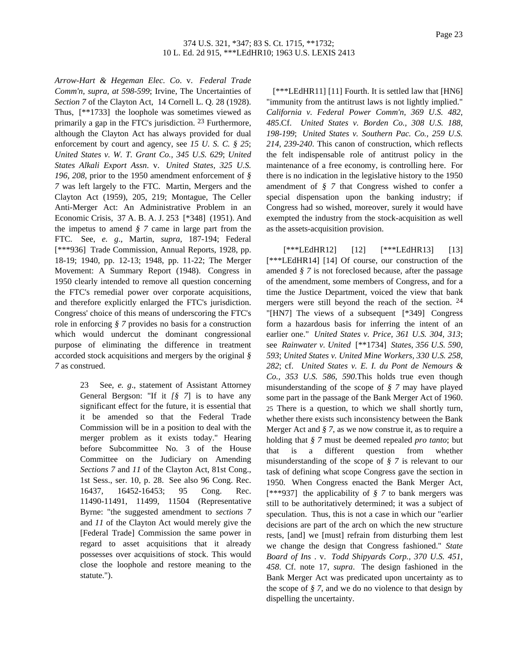*Arrow-Hart & Hegeman Elec. Co*. v. *Federal Trade Comm'n, supra, at 598-599*; Irvine, The Uncertainties of *Section 7* of the Clayton Act, 14 Cornell L. Q. 28 (1928). Thus, [\*\*1733] the loophole was sometimes viewed as primarily a gap in the FTC's jurisdiction. 23 Furthermore, although the Clayton Act has always provided for dual enforcement by court and agency, see *15 U. S. C. § 25*; *United States v. W. T. Grant Co., 345 U.S. 629*; *United States Alkali Export Assn*. v. *United States, 325 U.S. 196, 208*, prior to the 1950 amendment enforcement of *§ 7* was left largely to the FTC. Martin, Mergers and the Clayton Act (1959), 205, 219; Montague, The Celler Anti-Merger Act: An Administrative Problem in an Economic Crisis, 37 A. B. A. J. 253 [\*348] (1951). And the impetus to amend *§ 7* came in large part from the FTC. See, *e. g*., Martin, *supra*, 187-194; Federal [\*\*\*936] Trade Commission, Annual Reports, 1928, pp. 18-19; 1940, pp. 12-13; 1948, pp. 11-22; The Merger Movement: A Summary Report (1948). Congress in 1950 clearly intended to remove all question concerning the FTC's remedial power over corporate acquisitions, and therefore explicitly enlarged the FTC's jurisdiction. Congress' choice of this means of underscoring the FTC's role in enforcing *§ 7* provides no basis for a construction which would undercut the dominant congressional purpose of eliminating the difference in treatment accorded stock acquisitions and mergers by the original *§ 7* as construed.

> 23 See, *e. g*., statement of Assistant Attorney General Bergson: "If it *[§ 7*] is to have any significant effect for the future, it is essential that it be amended so that the Federal Trade Commission will be in a position to deal with the merger problem as it exists today." Hearing before Subcommittee No. 3 of the House Committee on the Judiciary on Amending *Sections 7* and *11* of the Clayton Act, 81st Cong., 1st Sess., ser. 10, p. 28. See also 96 Cong. Rec. 16437, 16452-16453; 95 Cong. Rec. 11490-11491, 11499, 11504 (Representative Byrne: "the suggested amendment to *sections 7* and *11* of the Clayton Act would merely give the [Federal Trade] Commission the same power in regard to asset acquisitions that it already possesses over acquisitions of stock. This would close the loophole and restore meaning to the statute.").

 $[***LEdHR11] [11]$  Fourth. It is settled law that [HN6] "immunity from the antitrust laws is not lightly implied." *California v. Federal Power Comm'n, 369 U.S. 482, 485*.Cf. *United States v. Borden Co., 308 U.S. 188, 198-199*; *United States v. Southern Pac. Co., 259 U.S. 214, 239-240*. This canon of construction, which reflects the felt indispensable role of antitrust policy in the maintenance of a free economy, is controlling here. For there is no indication in the legislative history to the 1950 amendment of *§ 7* that Congress wished to confer a special dispensation upon the banking industry; if Congress had so wished, moreover, surely it would have exempted the industry from the stock-acquisition as well as the assets-acquisition provision.

[\*\*\*LEdHR12] [12] [\*\*\*LEdHR13] [13] [\*\*\*LEdHR14] [14] Of course, our construction of the amended *§ 7* is not foreclosed because, after the passage of the amendment, some members of Congress, and for a time the Justice Department, voiced the view that bank mergers were still beyond the reach of the section. <sup>24</sup> "[HN7] The views of a subsequent [\*349] Congress form a hazardous basis for inferring the intent of an earlier one." *United States v. Price, 361 U.S. 304, 313*; see *Rainwater v. United* [\*\*1734] *States, 356 U.S. 590, 593*; *United States v. United Mine Workers, 330 U.S. 258, 282*; cf. *United States v. E. I. du Pont de Nemours & Co., 353 U.S. 586, 590*.This holds true even though misunderstanding of the scope of *§ 7* may have played some part in the passage of the Bank Merger Act of 1960. 25 There is a question, to which we shall shortly turn, whether there exists such inconsistency between the Bank Merger Act and *§ 7*, as we now construe it, as to require a holding that *§ 7* must be deemed repealed *pro tanto*; but that is a different question from whether misunderstanding of the scope of *§ 7* is relevant to our task of defining what scope Congress gave the section in 1950. When Congress enacted the Bank Merger Act, [\*\*\*937] the applicability of *§ 7* to bank mergers was still to be authoritatively determined; it was a subject of speculation. Thus, this is not a case in which our "earlier decisions are part of the arch on which the new structure rests, [and] we [must] refrain from disturbing them lest we change the design that Congress fashioned." *State Board of Ins* . v. *Todd Shipyards Corp., 370 U.S. 451, 458*. Cf. note 17, *supra*. The design fashioned in the Bank Merger Act was predicated upon uncertainty as to the scope of *§ 7*, and we do no violence to that design by dispelling the uncertainty.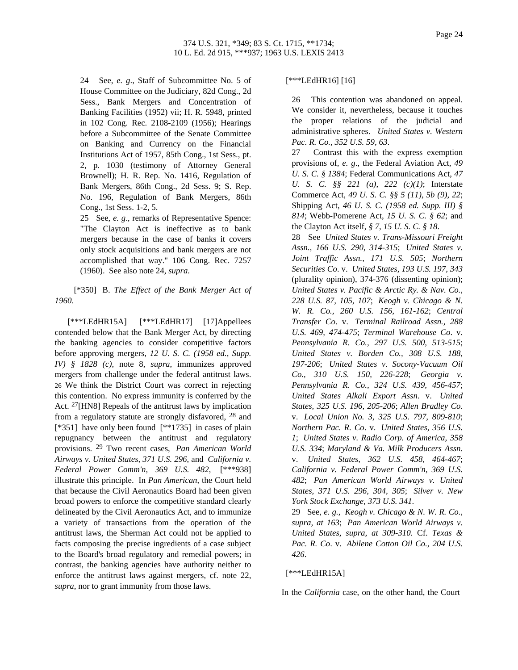24 See, *e. g*., Staff of Subcommittee No. 5 of House Committee on the Judiciary, 82d Cong., 2d Sess., Bank Mergers and Concentration of Banking Facilities (1952) vii; H. R. 5948, printed in 102 Cong. Rec. 2108-2109 (1956); Hearings before a Subcommittee of the Senate Committee on Banking and Currency on the Financial Institutions Act of 1957, 85th Cong., 1st Sess., pt. 2, p. 1030 (testimony of Attorney General Brownell); H. R. Rep. No. 1416, Regulation of Bank Mergers, 86th Cong., 2d Sess. 9; S. Rep. No. 196, Regulation of Bank Mergers, 86th Cong., 1st Sess. 1-2, 5.

25 See, *e. g*., remarks of Representative Spence: "The Clayton Act is ineffective as to bank mergers because in the case of banks it covers only stock acquisitions and bank mergers are not accomplished that way." 106 Cong. Rec. 7257 (1960). See also note 24, *supra*.

[\*350] B. *The Effect of the Bank Merger Act of 1960*.

[\*\*\*LEdHR15A] [\*\*\*LEdHR17] [17]Appellees contended below that the Bank Merger Act, by directing the banking agencies to consider competitive factors before approving mergers, *12 U. S. C. (1958 ed., Supp. IV) § 1828 (c)*, note 8, *supra*, immunizes approved mergers from challenge under the federal antitrust laws. 26 We think the District Court was correct in rejecting this contention. No express immunity is conferred by the Act. <sup>27</sup>[HN8] Repeals of the antitrust laws by implication from a regulatory statute are strongly disfavored, 28 and [\*351] have only been found [\*\*1735] in cases of plain repugnancy between the antitrust and regulatory provisions. 29 Two recent cases, *Pan American World Airways v. United States, 371 U.S. 296*, and *California v. Federal Power Comm'n, 369 U.S. 482*, [\*\*\*938] illustrate this principle. In *Pan American*, the Court held that because the Civil Aeronautics Board had been given broad powers to enforce the competitive standard clearly delineated by the Civil Aeronautics Act, and to immunize a variety of transactions from the operation of the antitrust laws, the Sherman Act could not be applied to facts composing the precise ingredients of a case subject to the Board's broad regulatory and remedial powers; in contrast, the banking agencies have authority neither to enforce the antitrust laws against mergers, cf. note 22, *supra*, nor to grant immunity from those laws.

#### [\*\*\*LEdHR16] [16]

26 This contention was abandoned on appeal. We consider it, nevertheless, because it touches the proper relations of the judicial and administrative spheres. *United States v. Western Pac. R. Co., 352 U.S. 59, 63*.

27 Contrast this with the express exemption provisions of, *e. g*., the Federal Aviation Act, *49 U. S. C. § 1384*; Federal Communications Act, *47 U. S. C. §§ 221 (a)*, *222 (c)(1)*; Interstate Commerce Act, *49 U. S. C. §§ 5 (11)*, *5b (9)*, *22*; Shipping Act, *46 U. S. C. (1958 ed. Supp. III) § 814*; Webb-Pomerene Act, *15 U. S. C. § 62*; and the Clayton Act itself, *§ 7*, *15 U. S. C. § 18*.

28 See *United States v. Trans-Missouri Freight Assn., 166 U.S. 290, 314-315*; *United States v. Joint Traffic Assn., 171 U.S. 505*; *Northern Securities Co*. v. *United States, 193 U.S. 197, 343* (plurality opinion), 374-376 (dissenting opinion); *United States v. Pacific & Arctic Ry. & Nav. Co., 228 U.S. 87, 105, 107*; *Keogh v. Chicago & N. W. R. Co., 260 U.S. 156, 161-162*; *Central Transfer Co*. v. *Terminal Railroad Assn., 288 U.S. 469, 474-475*; *Terminal Warehouse Co*. v. *Pennsylvania R. Co., 297 U.S. 500, 513-515*; *United States v. Borden Co., 308 U.S. 188, 197-206*; *United States v. Socony-Vacuum Oil Co., 310 U.S. 150, 226-228*; *Georgia v. Pennsylvania R. Co., 324 U.S. 439, 456-457*; *United States Alkali Export Assn*. v. *United States, 325 U.S. 196, 205-206*; *Allen Bradley Co*. v. *Local Union No. 3, 325 U.S. 797, 809-810*; *Northern Pac. R. Co*. v. *United States, 356 U.S. 1*; *United States v. Radio Corp. of America, 358 U.S. 334*; *Maryland & Va. Milk Producers Assn*. v. *United States, 362 U.S. 458, 464-467*; *California v. Federal Power Comm'n, 369 U.S. 482*; *Pan American World Airways v. United States, 371 U.S. 296, 304, 305*; *Silver v. New York Stock Exchange, 373 U.S. 341*.

29 See, *e. g., Keogh v. Chicago & N. W. R. Co., supra, at 163*; *Pan American World Airways v. United States, supra, at 309-310*. Cf. *Texas & Pac. R. Co*. v. *Abilene Cotton Oil Co., 204 U.S. 426*.

[\*\*\*LEdHR15A]

In the *California* case, on the other hand, the Court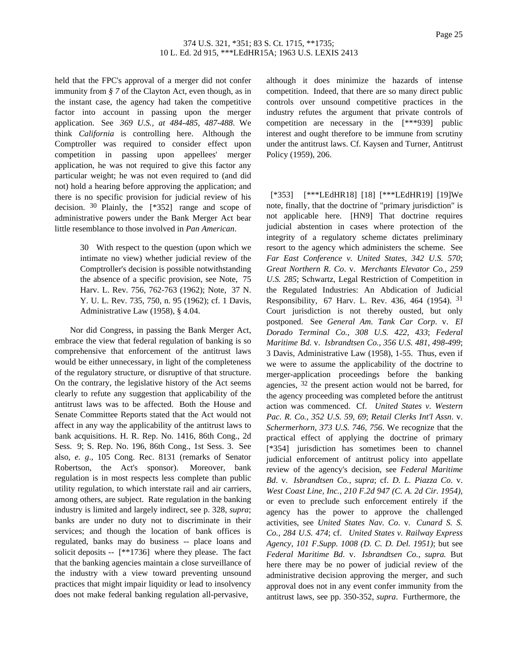held that the FPC's approval of a merger did not confer immunity from *§ 7* of the Clayton Act, even though, as in the instant case, the agency had taken the competitive factor into account in passing upon the merger application. See *369 U.S., at 484-485, 487-488*. We think *California* is controlling here. Although the Comptroller was required to consider effect upon competition in passing upon appellees' merger application, he was not required to give this factor any particular weight; he was not even required to (and did not) hold a hearing before approving the application; and there is no specific provision for judicial review of his decision.  $30$  Plainly, the [\*352] range and scope of administrative powers under the Bank Merger Act bear little resemblance to those involved in *Pan American*.

> 30 With respect to the question (upon which we intimate no view) whether judicial review of the Comptroller's decision is possible notwithstanding the absence of a specific provision, see Note, 75 Harv. L. Rev. 756, 762-763 (1962); Note, 37 N. Y. U. L. Rev. 735, 750, n. 95 (1962); cf. 1 Davis, Administrative Law (1958), § 4.04.

Nor did Congress, in passing the Bank Merger Act, embrace the view that federal regulation of banking is so comprehensive that enforcement of the antitrust laws would be either unnecessary, in light of the completeness of the regulatory structure, or disruptive of that structure. On the contrary, the legislative history of the Act seems clearly to refute any suggestion that applicability of the antitrust laws was to be affected. Both the House and Senate Committee Reports stated that the Act would not affect in any way the applicability of the antitrust laws to bank acquisitions. H. R. Rep. No. 1416, 86th Cong., 2d Sess. 9; S. Rep. No. 196, 86th Cong., 1st Sess. 3. See also, *e. g*., 105 Cong. Rec. 8131 (remarks of Senator Robertson, the Act's sponsor). Moreover, bank regulation is in most respects less complete than public utility regulation, to which interstate rail and air carriers, among others, are subject. Rate regulation in the banking industry is limited and largely indirect, see p. 328, *supra*; banks are under no duty not to discriminate in their services; and though the location of bank offices is regulated, banks may do business -- place loans and solicit deposits -- [\*\*1736] where they please. The fact that the banking agencies maintain a close surveillance of the industry with a view toward preventing unsound practices that might impair liquidity or lead to insolvency does not make federal banking regulation all-pervasive,

although it does minimize the hazards of intense competition. Indeed, that there are so many direct public controls over unsound competitive practices in the industry refutes the argument that private controls of competition are necessary in the [\*\*\*939] public interest and ought therefore to be immune from scrutiny under the antitrust laws. Cf. Kaysen and Turner, Antitrust Policy (1959), 206.

[\*353] [\*\*\*LEdHR18] [18] [\*\*\*LEdHR19] [19]We note, finally, that the doctrine of "primary jurisdiction" is not applicable here. [HN9] That doctrine requires judicial abstention in cases where protection of the integrity of a regulatory scheme dictates preliminary resort to the agency which administers the scheme. See *Far East Conference v. United States, 342 U.S. 570*; *Great Northern R. Co*. v. *Merchants Elevator Co., 259 U.S. 285*; Schwartz, Legal Restriction of Competition in the Regulated Industries: An Abdication of Judicial Responsibility, 67 Harv. L. Rev. 436, 464 (1954). 31 Court jurisdiction is not thereby ousted, but only postponed. See *General Am. Tank Car Corp*. v. *El Dorado Terminal Co., 308 U.S. 422, 433*; *Federal Maritime Bd*. v. *Isbrandtsen Co., 356 U.S. 481, 498-499*; 3 Davis, Administrative Law (1958), 1-55. Thus, even if we were to assume the applicability of the doctrine to merger-application proceedings before the banking agencies, 32 the present action would not be barred, for the agency proceeding was completed before the antitrust action was commenced. Cf. *United States v. Western Pac. R. Co., 352 U.S. 59, 69*; *Retail Clerks Int'l Assn*. v. *Schermerhorn, 373 U.S. 746, 756*. We recognize that the practical effect of applying the doctrine of primary [\*354] jurisdiction has sometimes been to channel judicial enforcement of antitrust policy into appellate review of the agency's decision, see *Federal Maritime Bd*. v. *Isbrandtsen Co., supra*; cf. *D. L. Piazza Co*. v. *West Coast Line, Inc., 210 F.2d 947 (C. A. 2d Cir. 1954)*, or even to preclude such enforcement entirely if the agency has the power to approve the challenged activities, see *United States Nav. Co*. v. *Cunard S. S. Co., 284 U.S. 474*; cf. *United States v. Railway Express Agency, 101 F.Supp. 1008 (D. C. D. Del. 1951)*; but see *Federal Maritime Bd*. v. *Isbrandtsen Co., supra.* But here there may be no power of judicial review of the administrative decision approving the merger, and such approval does not in any event confer immunity from the antitrust laws, see pp. 350-352, *supra*. Furthermore, the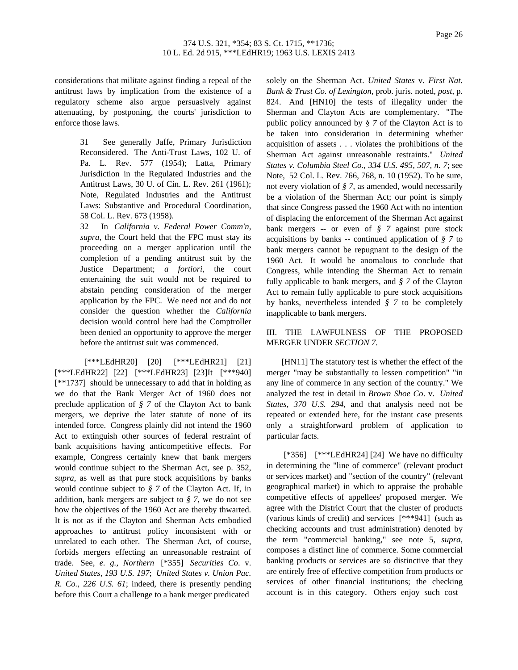considerations that militate against finding a repeal of the antitrust laws by implication from the existence of a regulatory scheme also argue persuasively against attenuating, by postponing, the courts' jurisdiction to enforce those laws.

> 31 See generally Jaffe, Primary Jurisdiction Reconsidered. The Anti-Trust Laws, 102 U. of Pa. L. Rev. 577 (1954); Latta, Primary Jurisdiction in the Regulated Industries and the Antitrust Laws, 30 U. of Cin. L. Rev. 261 (1961); Note, Regulated Industries and the Antitrust Laws: Substantive and Procedural Coordination, 58 Col. L. Rev. 673 (1958).

> 32 In *California v. Federal Power Comm'n, supra*, the Court held that the FPC must stay its proceeding on a merger application until the completion of a pending antitrust suit by the Justice Department; *a fortiori*, the court entertaining the suit would not be required to abstain pending consideration of the merger application by the FPC. We need not and do not consider the question whether the *California* decision would control here had the Comptroller been denied an opportunity to approve the merger before the antitrust suit was commenced.

[\*\*\*LEdHR20] [20] [\*\*\*LEdHR21] [21] [\*\*\*LEdHR22] [22] [\*\*\*LEdHR23] [23]It [\*\*\*940] [\*\*1737] should be unnecessary to add that in holding as we do that the Bank Merger Act of 1960 does not preclude application of *§ 7* of the Clayton Act to bank mergers, we deprive the later statute of none of its intended force. Congress plainly did not intend the 1960 Act to extinguish other sources of federal restraint of bank acquisitions having anticompetitive effects. For example, Congress certainly knew that bank mergers would continue subject to the Sherman Act, see p. 352, *supra*, as well as that pure stock acquisitions by banks would continue subject to *§ 7* of the Clayton Act. If, in addition, bank mergers are subject to *§ 7*, we do not see how the objectives of the 1960 Act are thereby thwarted. It is not as if the Clayton and Sherman Acts embodied approaches to antitrust policy inconsistent with or unrelated to each other. The Sherman Act, of course, forbids mergers effecting an unreasonable restraint of trade. See, *e. g., Northern* [\*355] *Securities Co*. v. *United States, 193 U.S. 197*; *United States v. Union Pac. R. Co., 226 U.S. 61*; indeed, there is presently pending before this Court a challenge to a bank merger predicated

solely on the Sherman Act. *United States* v. *First Nat. Bank & Trust Co. of Lexington*, prob. juris. noted, *post*, p. 824. And [HN10] the tests of illegality under the Sherman and Clayton Acts are complementary. "The public policy announced by *§ 7* of the Clayton Act is to be taken into consideration in determining whether acquisition of assets . . . violates the prohibitions of the Sherman Act against unreasonable restraints." *United States v. Columbia Steel Co., 334 U.S. 495, 507, n. 7*; see Note, 52 Col. L. Rev. 766, 768, n. 10 (1952). To be sure, not every violation of *§ 7*, as amended, would necessarily be a violation of the Sherman Act; our point is simply that since Congress passed the 1960 Act with no intention of displacing the enforcement of the Sherman Act against bank mergers -- or even of *§ 7* against pure stock acquisitions by banks -- continued application of *§ 7* to bank mergers cannot be repugnant to the design of the 1960 Act. It would be anomalous to conclude that Congress, while intending the Sherman Act to remain fully applicable to bank mergers, and *§ 7* of the Clayton Act to remain fully applicable to pure stock acquisitions by banks, nevertheless intended *§ 7* to be completely inapplicable to bank mergers.

# III. THE LAWFULNESS OF THE PROPOSED MERGER UNDER *SECTION 7*.

[HN11] The statutory test is whether the effect of the merger "may be substantially to lessen competition" "in any line of commerce in any section of the country." We analyzed the test in detail in *Brown Shoe Co*. v. *United States, 370 U.S. 294*, and that analysis need not be repeated or extended here, for the instant case presents only a straightforward problem of application to particular facts.

[\*356] [\*\*\*LEdHR24] [24] We have no difficulty in determining the "line of commerce" (relevant product or services market) and "section of the country" (relevant geographical market) in which to appraise the probable competitive effects of appellees' proposed merger. We agree with the District Court that the cluster of products (various kinds of credit) and services [\*\*\*941] (such as checking accounts and trust administration) denoted by the term "commercial banking," see note 5, *supra*, composes a distinct line of commerce. Some commercial banking products or services are so distinctive that they are entirely free of effective competition from products or services of other financial institutions; the checking account is in this category. Others enjoy such cost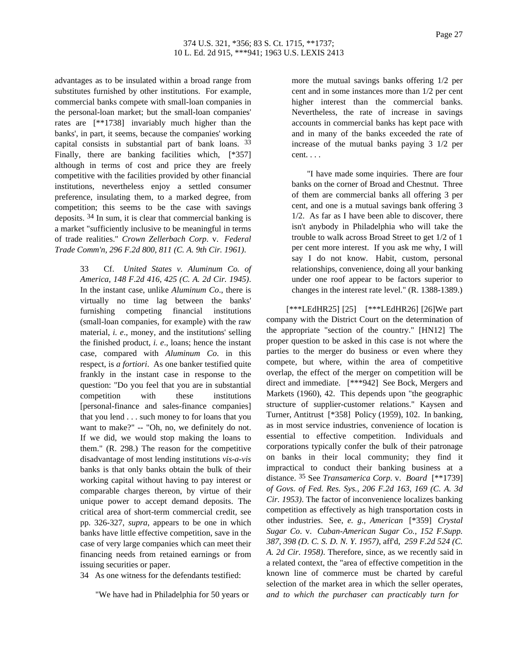advantages as to be insulated within a broad range from substitutes furnished by other institutions. For example, commercial banks compete with small-loan companies in the personal-loan market; but the small-loan companies' rates are [\*\*1738] invariably much higher than the banks', in part, it seems, because the companies' working capital consists in substantial part of bank loans. 33 Finally, there are banking facilities which, [\*357] although in terms of cost and price they are freely competitive with the facilities provided by other financial institutions, nevertheless enjoy a settled consumer preference, insulating them, to a marked degree, from competition; this seems to be the case with savings deposits. 34 In sum, it is clear that commercial banking is a market "sufficiently inclusive to be meaningful in terms of trade realities." *Crown Zellerbach Corp*. v. *Federal Trade Comm'n, 296 F.2d 800, 811 (C. A. 9th Cir. 1961)*.

> 33 Cf. *United States v. Aluminum Co. of America, 148 F.2d 416, 425 (C. A. 2d Cir. 1945)*. In the instant case, unlike *Aluminum Co*., there is virtually no time lag between the banks' furnishing competing financial institutions (small-loan companies, for example) with the raw material, *i. e*., money, and the institutions' selling the finished product, *i. e*., loans; hence the instant case, compared with *Aluminum Co*. in this respect, is *a fortiori*. As one banker testified quite frankly in the instant case in response to the question: "Do you feel that you are in substantial competition with these institutions [personal-finance and sales-finance companies] that you lend . . . such money to for loans that you want to make?" -- "Oh, no, we definitely do not. If we did, we would stop making the loans to them." (R. 298.) The reason for the competitive disadvantage of most lending institutions *vis-a-vis* banks is that only banks obtain the bulk of their working capital without having to pay interest or comparable charges thereon, by virtue of their unique power to accept demand deposits. The critical area of short-term commercial credit, see pp. 326-327, *supra*, appears to be one in which banks have little effective competition, save in the case of very large companies which can meet their financing needs from retained earnings or from issuing securities or paper.

34 As one witness for the defendants testified:

"We have had in Philadelphia for 50 years or

more the mutual savings banks offering 1/2 per cent and in some instances more than 1/2 per cent higher interest than the commercial banks. Nevertheless, the rate of increase in savings accounts in commercial banks has kept pace with and in many of the banks exceeded the rate of increase of the mutual banks paying 3 1/2 per cent. . . .

"I have made some inquiries. There are four banks on the corner of Broad and Chestnut. Three of them are commercial banks all offering 3 per cent, and one is a mutual savings bank offering 3 1/2. As far as I have been able to discover, there isn't anybody in Philadelphia who will take the trouble to walk across Broad Street to get 1/2 of 1 per cent more interest. If you ask me why, I will say I do not know. Habit, custom, personal relationships, convenience, doing all your banking under one roof appear to be factors superior to changes in the interest rate level." (R. 1388-1389.)

[\*\*\*LEdHR25] [25] [\*\*\*LEdHR26] [26]We part company with the District Court on the determination of the appropriate "section of the country." [HN12] The proper question to be asked in this case is not where the parties to the merger do business or even where they compete, but where, within the area of competitive overlap, the effect of the merger on competition will be direct and immediate. [\*\*\*942] See Bock, Mergers and Markets (1960), 42. This depends upon "the geographic structure of supplier-customer relations." Kaysen and Turner, Antitrust [\*358] Policy (1959), 102. In banking, as in most service industries, convenience of location is essential to effective competition. Individuals and corporations typically confer the bulk of their patronage on banks in their local community; they find it impractical to conduct their banking business at a distance. 35 See *Transamerica Corp*. v. *Board* [\*\*1739] *of Govs. of Fed. Res. Sys., 206 F.2d 163, 169 (C. A. 3d Cir. 1953)*. The factor of inconvenience localizes banking competition as effectively as high transportation costs in other industries. See, *e. g., American* [\*359] *Crystal Sugar Co*. v. *Cuban-American Sugar Co., 152 F.Supp. 387, 398 (D. C. S. D. N. Y. 1957)*, aff'd, *259 F.2d 524 (C. A. 2d Cir. 1958)*. Therefore, since, as we recently said in a related context, the "area of effective competition in the known line of commerce must be charted by careful selection of the market area in which the seller operates, *and to which the purchaser can practicably turn for*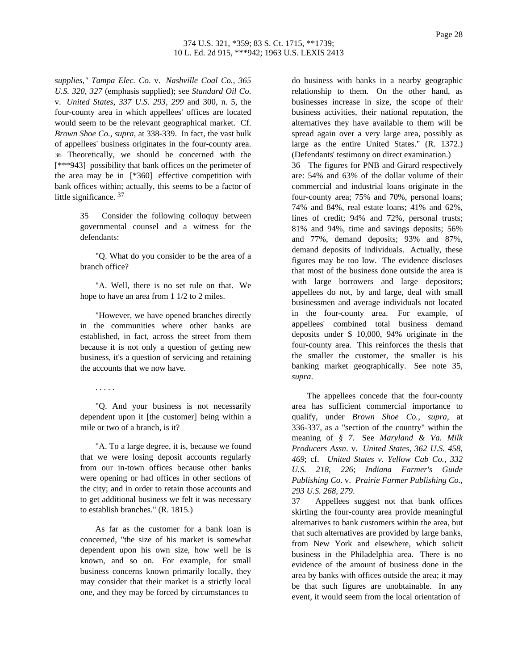*supplies," Tampa Elec. Co*. v. *Nashville Coal Co., 365 U.S. 320, 327* (emphasis supplied); see *Standard Oil Co*. v. *United States, 337 U.S. 293, 299* and 300, n. 5, the four-county area in which appellees' offices are located would seem to be the relevant geographical market. Cf. *Brown Shoe Co., supra*, at 338-339. In fact, the vast bulk of appellees' business originates in the four-county area. 36 Theoretically, we should be concerned with the [\*\*\*943] possibility that bank offices on the perimeter of the area may be in [\*360] effective competition with bank offices within; actually, this seems to be a factor of little significance. 37

> 35 Consider the following colloquy between governmental counsel and a witness for the defendants:

> "Q. What do you consider to be the area of a branch office?

> "A. Well, there is no set rule on that. We hope to have an area from 1 1/2 to 2 miles.

> "However, we have opened branches directly in the communities where other banks are established, in fact, across the street from them because it is not only a question of getting new business, it's a question of servicing and retaining the accounts that we now have.

. . . . .

"Q. And your business is not necessarily dependent upon it [the customer] being within a mile or two of a branch, is it?

"A. To a large degree, it is, because we found that we were losing deposit accounts regularly from our in-town offices because other banks were opening or had offices in other sections of the city; and in order to retain those accounts and to get additional business we felt it was necessary to establish branches." (R. 1815.)

As far as the customer for a bank loan is concerned, "the size of his market is somewhat dependent upon his own size, how well he is known, and so on. For example, for small business concerns known primarily locally, they may consider that their market is a strictly local one, and they may be forced by circumstances to

do business with banks in a nearby geographic relationship to them. On the other hand, as businesses increase in size, the scope of their business activities, their national reputation, the alternatives they have available to them will be spread again over a very large area, possibly as large as the entire United States." (R. 1372.) (Defendants' testimony on direct examination.)

36 The figures for PNB and Girard respectively are: 54% and 63% of the dollar volume of their commercial and industrial loans originate in the four-county area; 75% and 70%, personal loans; 74% and 84%, real estate loans; 41% and 62%, lines of credit; 94% and 72%, personal trusts; 81% and 94%, time and savings deposits; 56% and 77%, demand deposits; 93% and 87%, demand deposits of individuals. Actually, these figures may be too low. The evidence discloses that most of the business done outside the area is with large borrowers and large depositors; appellees do not, by and large, deal with small businessmen and average individuals not located in the four-county area. For example, of appellees' combined total business demand deposits under \$ 10,000, 94% originate in the four-county area. This reinforces the thesis that the smaller the customer, the smaller is his banking market geographically. See note 35, *supra*.

The appellees concede that the four-county area has sufficient commercial importance to qualify, under *Brown Shoe Co., supra*, at 336-337, as a "section of the country" within the meaning of *§ 7*. See *Maryland & Va. Milk Producers Assn*. v. *United States, 362 U.S. 458, 469*; cf. *United States v. Yellow Cab Co., 332 U.S. 218, 226*; *Indiana Farmer's Guide Publishing Co*. v. *Prairie Farmer Publishing Co., 293 U.S. 268, 279*.

37 Appellees suggest not that bank offices skirting the four-county area provide meaningful alternatives to bank customers within the area, but that such alternatives are provided by large banks, from New York and elsewhere, which solicit business in the Philadelphia area. There is no evidence of the amount of business done in the area by banks with offices outside the area; it may be that such figures are unobtainable. In any event, it would seem from the local orientation of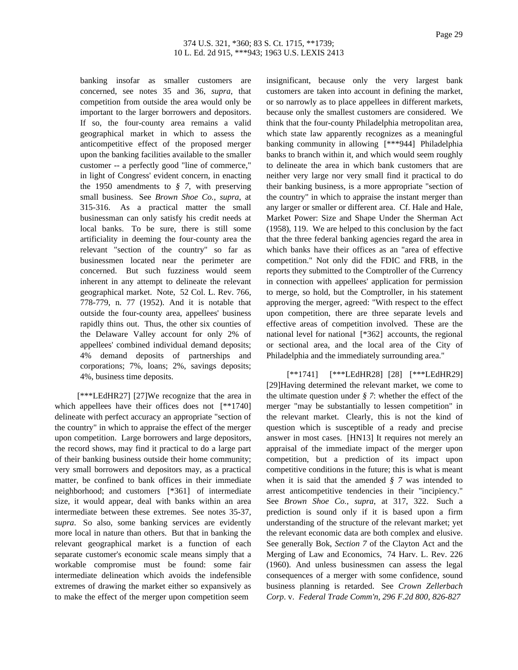#### 374 U.S. 321, \*360; 83 S. Ct. 1715, \*\*1739; 10 L. Ed. 2d 915, \*\*\*943; 1963 U.S. LEXIS 2413

banking insofar as smaller customers are concerned, see notes 35 and 36, *supra*, that competition from outside the area would only be important to the larger borrowers and depositors. If so, the four-county area remains a valid geographical market in which to assess the anticompetitive effect of the proposed merger upon the banking facilities available to the smaller customer -- a perfectly good "line of commerce," in light of Congress' evident concern, in enacting the 1950 amendments to *§ 7*, with preserving small business. See *Brown Shoe Co., supra*, at 315-316. As a practical matter the small businessman can only satisfy his credit needs at local banks. To be sure, there is still some artificiality in deeming the four-county area the relevant "section of the country" so far as businessmen located near the perimeter are concerned. But such fuzziness would seem inherent in any attempt to delineate the relevant geographical market. Note, 52 Col. L. Rev. 766, 778-779, n. 77 (1952). And it is notable that outside the four-county area, appellees' business rapidly thins out. Thus, the other six counties of the Delaware Valley account for only 2% of appellees' combined individual demand deposits; 4% demand deposits of partnerships and corporations; 7%, loans; 2%, savings deposits; 4%, business time deposits.

[\*\*\*LEdHR27] [27]We recognize that the area in which appellees have their offices does not [\*\*1740] delineate with perfect accuracy an appropriate "section of the country" in which to appraise the effect of the merger upon competition. Large borrowers and large depositors, the record shows, may find it practical to do a large part of their banking business outside their home community; very small borrowers and depositors may, as a practical matter, be confined to bank offices in their immediate neighborhood; and customers [\*361] of intermediate size, it would appear, deal with banks within an area intermediate between these extremes. See notes 35-37, *supra*. So also, some banking services are evidently more local in nature than others. But that in banking the relevant geographical market is a function of each separate customer's economic scale means simply that a workable compromise must be found: some fair intermediate delineation which avoids the indefensible extremes of drawing the market either so expansively as to make the effect of the merger upon competition seem

insignificant, because only the very largest bank customers are taken into account in defining the market, or so narrowly as to place appellees in different markets, because only the smallest customers are considered. We think that the four-county Philadelphia metropolitan area, which state law apparently recognizes as a meaningful banking community in allowing [\*\*\*944] Philadelphia banks to branch within it, and which would seem roughly to delineate the area in which bank customers that are neither very large nor very small find it practical to do their banking business, is a more appropriate "section of the country" in which to appraise the instant merger than any larger or smaller or different area. Cf. Hale and Hale, Market Power: Size and Shape Under the Sherman Act (1958), 119. We are helped to this conclusion by the fact that the three federal banking agencies regard the area in which banks have their offices as an "area of effective competition." Not only did the FDIC and FRB, in the reports they submitted to the Comptroller of the Currency in connection with appellees' application for permission to merge, so hold, but the Comptroller, in his statement approving the merger, agreed: "With respect to the effect upon competition, there are three separate levels and effective areas of competition involved. These are the national level for national [\*362] accounts, the regional or sectional area, and the local area of the City of Philadelphia and the immediately surrounding area."

[\*\*1741] [\*\*\*LEdHR28] [28] [\*\*\*LEdHR29] [29]Having determined the relevant market, we come to the ultimate question under *§ 7*: whether the effect of the merger "may be substantially to lessen competition" in the relevant market. Clearly, this is not the kind of question which is susceptible of a ready and precise answer in most cases. [HN13] It requires not merely an appraisal of the immediate impact of the merger upon competition, but a prediction of its impact upon competitive conditions in the future; this is what is meant when it is said that the amended *§ 7* was intended to arrest anticompetitive tendencies in their "incipiency." See *Brown Shoe Co., supra*, at 317, 322. Such a prediction is sound only if it is based upon a firm understanding of the structure of the relevant market; yet the relevant economic data are both complex and elusive. See generally Bok, *Section 7* of the Clayton Act and the Merging of Law and Economics, 74 Harv. L. Rev. 226 (1960). And unless businessmen can assess the legal consequences of a merger with some confidence, sound business planning is retarded. See *Crown Zellerbach Corp*. v. *Federal Trade Comm'n, 296 F.2d 800, 826-827*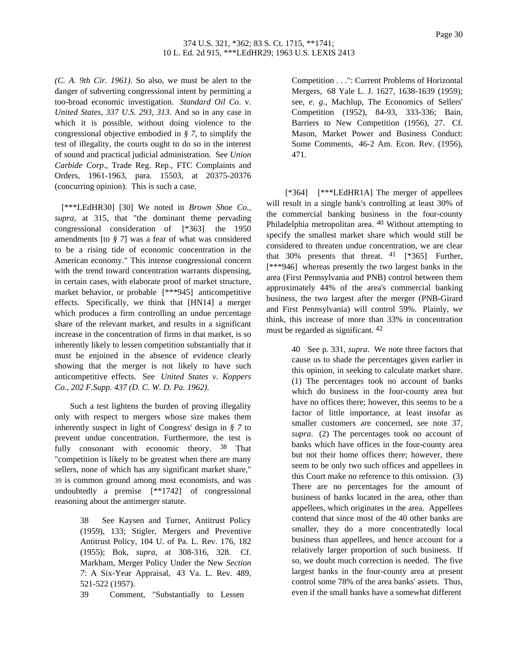*(C. A. 9th Cir. 1961)*. So also, we must be alert to the danger of subverting congressional intent by permitting a too-broad economic investigation. *Standard Oil Co*. v. *United States, 337 U.S. 293, 313*. And so in any case in which it is possible, without doing violence to the congressional objective embodied in *§ 7*, to simplify the test of illegality, the courts ought to do so in the interest of sound and practical judicial administration. See *Union Carbide Corp*., Trade Reg. Rep., FTC Complaints and Orders, 1961-1963, para. 15503, at 20375-20376 (concurring opinion). This is such a case.

[\*\*\*LEdHR30] [30] We noted in *Brown Shoe Co., supra*, at 315, that "the dominant theme pervading congressional consideration of [\*363] the 1950 amendments [to *§ 7*] was a fear of what was considered to be a rising tide of economic concentration in the American economy." This intense congressional concern with the trend toward concentration warrants dispensing, in certain cases, with elaborate proof of market structure, market behavior, or probable [\*\*\*945] anticompetitive effects. Specifically, we think that [HN14] a merger which produces a firm controlling an undue percentage share of the relevant market, and results in a significant increase in the concentration of firms in that market, is so inherently likely to lessen competition substantially that it must be enjoined in the absence of evidence clearly showing that the merger is not likely to have such anticompetitive effects. See *United States v. Koppers Co., 202 F.Supp. 437 (D. C. W. D. Pa. 1962)*.

Such a test lightens the burden of proving illegality only with respect to mergers whose size makes them inherently suspect in light of Congress' design in *§ 7* to prevent undue concentration. Furthermore, the test is fully consonant with economic theory. <sup>38</sup> That "competition is likely to be greatest when there are many sellers, none of which has any significant market share," 39 is common ground among most economists, and was undoubtedly a premise [\*\*1742] of congressional reasoning about the antimerger statute.

> 38 See Kaysen and Turner, Antitrust Policy (1959), 133; Stigler, Mergers and Preventive Antitrust Policy, 104 U. of Pa. L. Rev. 176, 182 (1955); Bok, *supra*, at 308-316, 328. Cf. Markham, Merger Policy Under the New *Section 7*: A Six-Year Appraisal, 43 Va. L. Rev. 489, 521-522 (1957).

39 Comment, "Substantially to Lessen

Competition . . .": Current Problems of Horizontal Mergers, 68 Yale L. J. 1627, 1638-1639 (1959); see, *e. g*., Machlup, The Economics of Sellers' Competition (1952), 84-93, 333-336; Bain, Barriers to New Competition (1956), 27. Cf. Mason, Market Power and Business Conduct: Some Comments, 46-2 Am. Econ. Rev. (1956), 471.

[\*364] [\*\*\*LEdHR1A] The merger of appellees will result in a single bank's controlling at least 30% of the commercial banking business in the four-county Philadelphia metropolitan area. 40 Without attempting to specify the smallest market share which would still be considered to threaten undue concentration, we are clear that 30% presents that threat.  $41$  [\*365] Further, [\*\*\*946] whereas presently the two largest banks in the area (First Pennsylvania and PNB) control between them approximately 44% of the area's commercial banking business, the two largest after the merger (PNB-Girard and First Pennsylvania) will control 59%. Plainly, we think, this increase of more than 33% in concentration must be regarded as significant. 42

> 40 See p. 331, *supra*. We note three factors that cause us to shade the percentages given earlier in this opinion, in seeking to calculate market share. (1) The percentages took no account of banks which do business in the four-county area but have no offices there; however, this seems to be a factor of little importance, at least insofar as smaller customers are concerned, see note 37, *supra*. (2) The percentages took no account of banks which have offices in the four-county area but not their home offices there; however, there seem to be only two such offices and appellees in this Court make no reference to this omission. (3) There are no percentages for the amount of business of banks located in the area, other than appellees, which originates in the area. Appellees contend that since most of the 40 other banks are smaller, they do a more concentratedly local business than appellees, and hence account for a relatively larger proportion of such business. If so, we doubt much correction is needed. The five largest banks in the four-county area at present control some 78% of the area banks' assets. Thus, even if the small banks have a somewhat different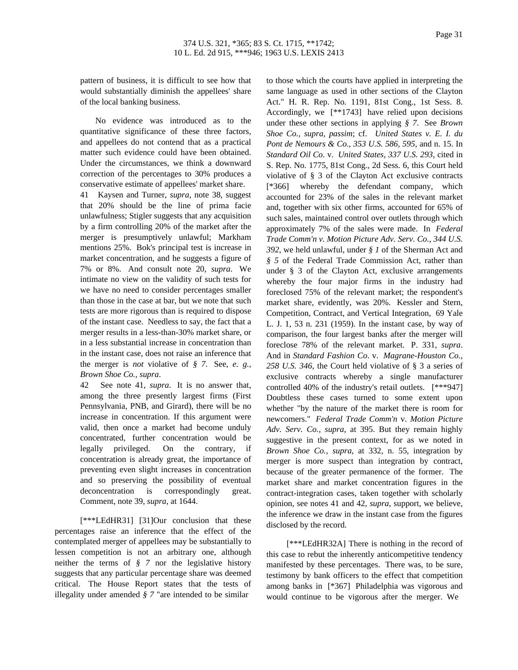pattern of business, it is difficult to see how that would substantially diminish the appellees' share of the local banking business.

No evidence was introduced as to the quantitative significance of these three factors, and appellees do not contend that as a practical matter such evidence could have been obtained. Under the circumstances, we think a downward correction of the percentages to 30% produces a conservative estimate of appellees' market share.

41 Kaysen and Turner, *supra*, note 38, suggest that 20% should be the line of prima facie unlawfulness; Stigler suggests that any acquisition by a firm controlling 20% of the market after the merger is presumptively unlawful; Markham mentions 25%. Bok's principal test is increase in market concentration, and he suggests a figure of 7% or 8%. And consult note 20, *supra*. We intimate no view on the validity of such tests for we have no need to consider percentages smaller than those in the case at bar, but we note that such tests are more rigorous than is required to dispose of the instant case. Needless to say, the fact that a merger results in a less-than-30% market share, or in a less substantial increase in concentration than in the instant case, does not raise an inference that the merger is *not* violative of *§ 7*. See, *e. g., Brown Shoe Co., supra*.

42 See note 41, *supra*. It is no answer that, among the three presently largest firms (First Pennsylvania, PNB, and Girard), there will be no increase in concentration. If this argument were valid, then once a market had become unduly concentrated, further concentration would be legally privileged. On the contrary, if concentration is already great, the importance of preventing even slight increases in concentration and so preserving the possibility of eventual deconcentration is correspondingly great. Comment, note 39, *supra*, at 1644.

[\*\*\*LEdHR31] [31]Our conclusion that these percentages raise an inference that the effect of the contemplated merger of appellees may be substantially to lessen competition is not an arbitrary one, although neither the terms of *§ 7* nor the legislative history suggests that any particular percentage share was deemed critical. The House Report states that the tests of illegality under amended *§ 7* "are intended to be similar

to those which the courts have applied in interpreting the same language as used in other sections of the Clayton Act." H. R. Rep. No. 1191, 81st Cong., 1st Sess. 8. Accordingly, we [\*\*1743] have relied upon decisions under these other sections in applying *§ 7*. See *Brown Shoe Co., supra, passim*; cf. *United States v. E. I. du Pont de Nemours & Co., 353 U.S. 586, 595*, and n. 15. In *Standard Oil Co*. v. *United States, 337 U.S. 293*, cited in S. Rep. No. 1775, 81st Cong., 2d Sess. 6, this Court held violative of § 3 of the Clayton Act exclusive contracts [\*366] whereby the defendant company, which accounted for 23% of the sales in the relevant market and, together with six other firms, accounted for 65% of such sales, maintained control over outlets through which approximately 7% of the sales were made. In *Federal Trade Comm'n v. Motion Picture Adv. Serv. Co., 344 U.S. 392*, we held unlawful, under *§ 1* of the Sherman Act and *§ 5* of the Federal Trade Commission Act, rather than under § 3 of the Clayton Act, exclusive arrangements whereby the four major firms in the industry had foreclosed 75% of the relevant market; the respondent's market share, evidently, was 20%. Kessler and Stern, Competition, Contract, and Vertical Integration, 69 Yale L. J. 1, 53 n. 231 (1959). In the instant case, by way of comparison, the four largest banks after the merger will foreclose 78% of the relevant market. P. 331, *supra*. And in *Standard Fashion Co*. v. *Magrane-Houston Co., 258 U.S. 346*, the Court held violative of § 3 a series of exclusive contracts whereby a single manufacturer controlled 40% of the industry's retail outlets. [\*\*\*947] Doubtless these cases turned to some extent upon whether "by the nature of the market there is room for newcomers." *Federal Trade Comm'n* v. *Motion Picture Adv. Serv. Co., supra*, at 395. But they remain highly suggestive in the present context, for as we noted in *Brown Shoe Co., supra*, at 332, n. 55, integration by merger is more suspect than integration by contract, because of the greater permanence of the former. The market share and market concentration figures in the contract-integration cases, taken together with scholarly opinion, see notes 41 and 42, *supra*, support, we believe, the inference we draw in the instant case from the figures disclosed by the record.

[\*\*\*LEdHR32A] There is nothing in the record of this case to rebut the inherently anticompetitive tendency manifested by these percentages. There was, to be sure, testimony by bank officers to the effect that competition among banks in [\*367] Philadelphia was vigorous and would continue to be vigorous after the merger. We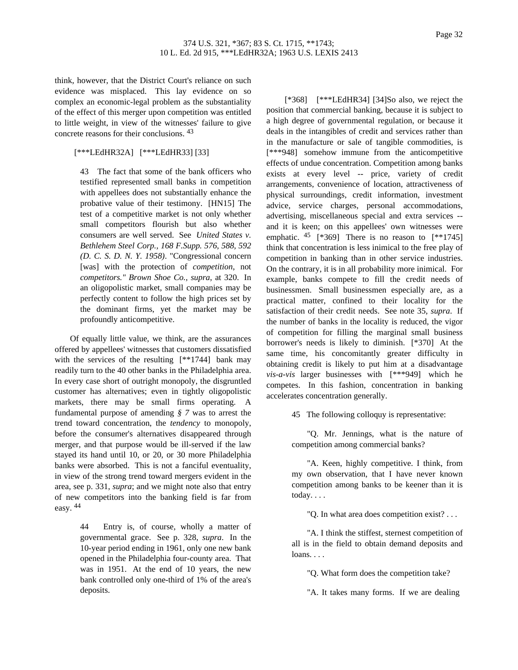think, however, that the District Court's reliance on such evidence was misplaced. This lay evidence on so complex an economic-legal problem as the substantiality of the effect of this merger upon competition was entitled to little weight, in view of the witnesses' failure to give concrete reasons for their conclusions. 43

## [\*\*\*LEdHR32A] [\*\*\*LEdHR33] [33]

43 The fact that some of the bank officers who testified represented small banks in competition with appellees does not substantially enhance the probative value of their testimony. [HN15] The test of a competitive market is not only whether small competitors flourish but also whether consumers are well served. See *United States v. Bethlehem Steel Corp., 168 F.Supp. 576, 588, 592 (D. C. S. D. N. Y. 1958)*. "Congressional concern [was] with the protection of *competition*, not *competitors." Brown Shoe Co., supra*, at 320. In an oligopolistic market, small companies may be perfectly content to follow the high prices set by the dominant firms, yet the market may be profoundly anticompetitive.

Of equally little value, we think, are the assurances offered by appellees' witnesses that customers dissatisfied with the services of the resulting  $[**1744]$  bank may readily turn to the 40 other banks in the Philadelphia area. In every case short of outright monopoly, the disgruntled customer has alternatives; even in tightly oligopolistic markets, there may be small firms operating. A fundamental purpose of amending *§ 7* was to arrest the trend toward concentration, the *tendency* to monopoly, before the consumer's alternatives disappeared through merger, and that purpose would be ill-served if the law stayed its hand until 10, or 20, or 30 more Philadelphia banks were absorbed. This is not a fanciful eventuality, in view of the strong trend toward mergers evident in the area, see p. 331, *supra*; and we might note also that entry of new competitors into the banking field is far from easy. 44

> 44 Entry is, of course, wholly a matter of governmental grace. See p. 328, *supra*. In the 10-year period ending in 1961, only one new bank opened in the Philadelphia four-county area. That was in 1951. At the end of 10 years, the new bank controlled only one-third of 1% of the area's deposits.

[\*368] [\*\*\*LEdHR34] [34]So also, we reject the position that commercial banking, because it is subject to a high degree of governmental regulation, or because it deals in the intangibles of credit and services rather than in the manufacture or sale of tangible commodities, is [\*\*\*948] somehow immune from the anticompetitive effects of undue concentration. Competition among banks exists at every level -- price, variety of credit arrangements, convenience of location, attractiveness of physical surroundings, credit information, investment advice, service charges, personal accommodations, advertising, miscellaneous special and extra services - and it is keen; on this appellees' own witnesses were emphatic.  $45$  [\*369] There is no reason to [\*\*1745] think that concentration is less inimical to the free play of competition in banking than in other service industries. On the contrary, it is in all probability more inimical. For example, banks compete to fill the credit needs of businessmen. Small businessmen especially are, as a practical matter, confined to their locality for the satisfaction of their credit needs. See note 35, *supra*. If the number of banks in the locality is reduced, the vigor of competition for filling the marginal small business borrower's needs is likely to diminish. [\*370] At the same time, his concomitantly greater difficulty in obtaining credit is likely to put him at a disadvantage *vis-a-vis* larger businesses with [\*\*\*949] which he competes. In this fashion, concentration in banking accelerates concentration generally.

45 The following colloquy is representative:

"Q. Mr. Jennings, what is the nature of competition among commercial banks?

"A. Keen, highly competitive. I think, from my own observation, that I have never known competition among banks to be keener than it is today. . . .

"Q. In what area does competition exist? . . .

"A. I think the stiffest, sternest competition of all is in the field to obtain demand deposits and loans. . . .

"Q. What form does the competition take?

"A. It takes many forms. If we are dealing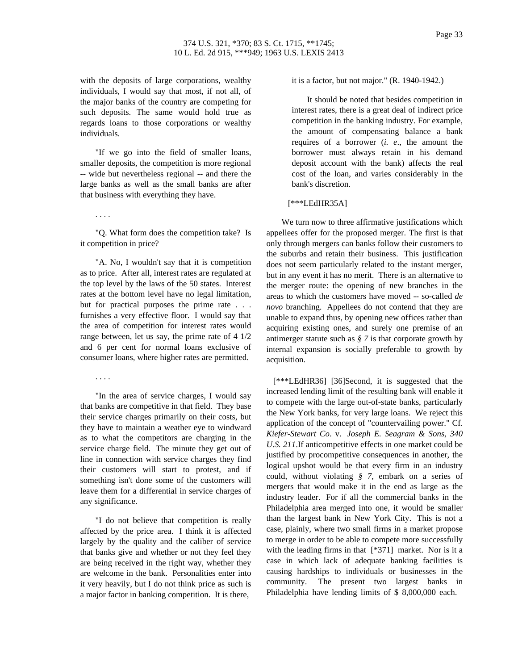with the deposits of large corporations, wealthy individuals, I would say that most, if not all, of the major banks of the country are competing for such deposits. The same would hold true as regards loans to those corporations or wealthy individuals.

"If we go into the field of smaller loans, smaller deposits, the competition is more regional -- wide but nevertheless regional -- and there the large banks as well as the small banks are after that business with everything they have.

"Q. What form does the competition take? Is it competition in price?

"A. No, I wouldn't say that it is competition as to price. After all, interest rates are regulated at the top level by the laws of the 50 states. Interest rates at the bottom level have no legal limitation, but for practical purposes the prime rate . . . furnishes a very effective floor. I would say that the area of competition for interest rates would range between, let us say, the prime rate of 4 1/2 and 6 per cent for normal loans exclusive of consumer loans, where higher rates are permitted.

. . . .

. . . .

"In the area of service charges, I would say that banks are competitive in that field. They base their service charges primarily on their costs, but they have to maintain a weather eye to windward as to what the competitors are charging in the service charge field. The minute they get out of line in connection with service charges they find their customers will start to protest, and if something isn't done some of the customers will leave them for a differential in service charges of any significance.

"I do not believe that competition is really affected by the price area. I think it is affected largely by the quality and the caliber of service that banks give and whether or not they feel they are being received in the right way, whether they are welcome in the bank. Personalities enter into it very heavily, but I do not think price as such is a major factor in banking competition. It is there,

it is a factor, but not major." (R. 1940-1942.)

It should be noted that besides competition in interest rates, there is a great deal of indirect price competition in the banking industry. For example, the amount of compensating balance a bank requires of a borrower (*i. e*., the amount the borrower must always retain in his demand deposit account with the bank) affects the real cost of the loan, and varies considerably in the bank's discretion.

#### [\*\*\*LEdHR35A]

We turn now to three affirmative justifications which appellees offer for the proposed merger. The first is that only through mergers can banks follow their customers to the suburbs and retain their business. This justification does not seem particularly related to the instant merger, but in any event it has no merit. There is an alternative to the merger route: the opening of new branches in the areas to which the customers have moved -- so-called *de novo* branching. Appellees do not contend that they are unable to expand thus, by opening new offices rather than acquiring existing ones, and surely one premise of an antimerger statute such as *§ 7* is that corporate growth by internal expansion is socially preferable to growth by acquisition.

[\*\*\*LEdHR36] [36]Second, it is suggested that the increased lending limit of the resulting bank will enable it to compete with the large out-of-state banks, particularly the New York banks, for very large loans. We reject this application of the concept of "countervailing power." Cf. *Kiefer-Stewart Co*. v. *Joseph E. Seagram & Sons, 340 U.S. 211*.If anticompetitive effects in one market could be justified by procompetitive consequences in another, the logical upshot would be that every firm in an industry could, without violating *§ 7*, embark on a series of mergers that would make it in the end as large as the industry leader. For if all the commercial banks in the Philadelphia area merged into one, it would be smaller than the largest bank in New York City. This is not a case, plainly, where two small firms in a market propose to merge in order to be able to compete more successfully with the leading firms in that [\*371] market. Nor is it a case in which lack of adequate banking facilities is causing hardships to individuals or businesses in the community. The present two largest banks in Philadelphia have lending limits of \$ 8,000,000 each.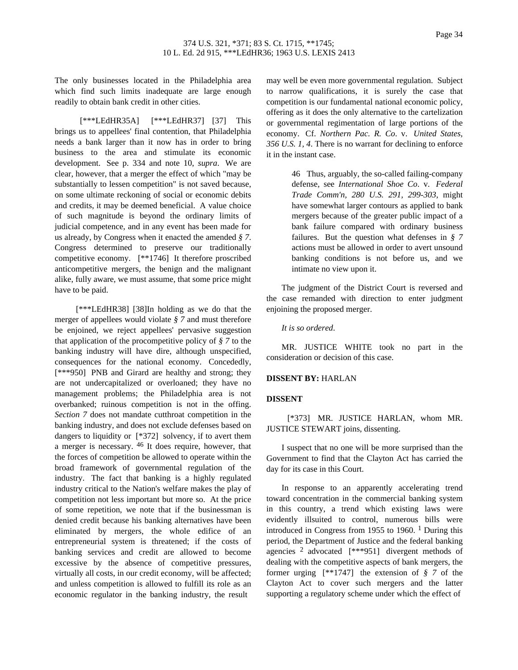The only businesses located in the Philadelphia area which find such limits inadequate are large enough readily to obtain bank credit in other cities.

[\*\*\*LEdHR35A] [\*\*\*LEdHR37] [37] This brings us to appellees' final contention, that Philadelphia needs a bank larger than it now has in order to bring business to the area and stimulate its economic development. See p. 334 and note 10, *supra*. We are clear, however, that a merger the effect of which "may be substantially to lessen competition" is not saved because, on some ultimate reckoning of social or economic debits and credits, it may be deemed beneficial. A value choice of such magnitude is beyond the ordinary limits of judicial competence, and in any event has been made for us already, by Congress when it enacted the amended *§ 7*. Congress determined to preserve our traditionally competitive economy. [\*\*1746] It therefore proscribed anticompetitive mergers, the benign and the malignant alike, fully aware, we must assume, that some price might have to be paid.

[\*\*\*LEdHR38] [38]In holding as we do that the merger of appellees would violate *§ 7* and must therefore be enjoined, we reject appellees' pervasive suggestion that application of the procompetitive policy of *§ 7* to the banking industry will have dire, although unspecified, consequences for the national economy. Concededly, [\*\*\*950] PNB and Girard are healthy and strong; they are not undercapitalized or overloaned; they have no management problems; the Philadelphia area is not overbanked; ruinous competition is not in the offing. *Section 7* does not mandate cutthroat competition in the banking industry, and does not exclude defenses based on dangers to liquidity or [\*372] solvency, if to avert them a merger is necessary. 46 It does require, however, that the forces of competition be allowed to operate within the broad framework of governmental regulation of the industry. The fact that banking is a highly regulated industry critical to the Nation's welfare makes the play of competition not less important but more so. At the price of some repetition, we note that if the businessman is denied credit because his banking alternatives have been eliminated by mergers, the whole edifice of an entrepreneurial system is threatened; if the costs of banking services and credit are allowed to become excessive by the absence of competitive pressures, virtually all costs, in our credit economy, will be affected; and unless competition is allowed to fulfill its role as an economic regulator in the banking industry, the result

may well be even more governmental regulation. Subject to narrow qualifications, it is surely the case that competition is our fundamental national economic policy, offering as it does the only alternative to the cartelization or governmental regimentation of large portions of the economy. Cf. *Northern Pac. R. Co*. v. *United States, 356 U.S. 1, 4*. There is no warrant for declining to enforce it in the instant case.

> 46 Thus, arguably, the so-called failing-company defense, see *International Shoe Co*. v. *Federal Trade Comm'n, 280 U.S. 291, 299-303*, might have somewhat larger contours as applied to bank mergers because of the greater public impact of a bank failure compared with ordinary business failures. But the question what defenses in *§ 7* actions must be allowed in order to avert unsound banking conditions is not before us, and we intimate no view upon it.

The judgment of the District Court is reversed and the case remanded with direction to enter judgment enjoining the proposed merger.

#### *It is so ordered*.

MR. JUSTICE WHITE took no part in the consideration or decision of this case.

#### **DISSENT BY:** HARLAN

#### **DISSENT**

[\*373] MR. JUSTICE HARLAN, whom MR. JUSTICE STEWART joins, dissenting.

I suspect that no one will be more surprised than the Government to find that the Clayton Act has carried the day for its case in this Court.

In response to an apparently accelerating trend toward concentration in the commercial banking system in this country, a trend which existing laws were evidently illsuited to control, numerous bills were introduced in Congress from 1955 to 1960. 1 During this period, the Department of Justice and the federal banking agencies  $2$  advocated  $[***951]$  divergent methods of dealing with the competitive aspects of bank mergers, the former urging [\*\*1747] the extension of *§ 7* of the Clayton Act to cover such mergers and the latter supporting a regulatory scheme under which the effect of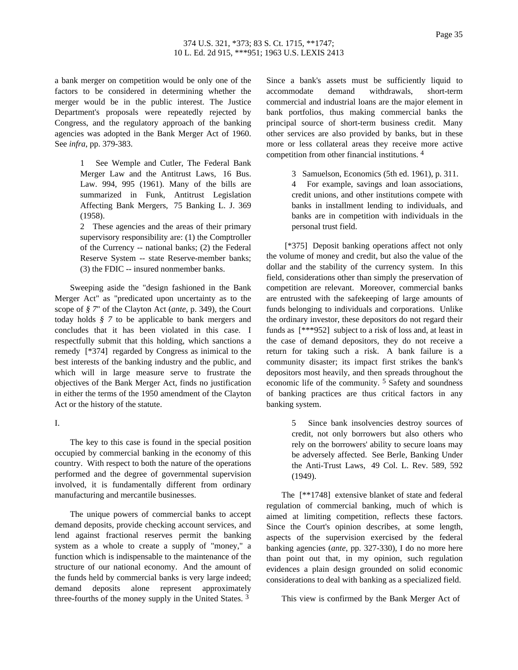a bank merger on competition would be only one of the factors to be considered in determining whether the merger would be in the public interest. The Justice Department's proposals were repeatedly rejected by Congress, and the regulatory approach of the banking agencies was adopted in the Bank Merger Act of 1960. See *infra*, pp. 379-383.

> 1 See Wemple and Cutler, The Federal Bank Merger Law and the Antitrust Laws, 16 Bus. Law. 994, 995 (1961). Many of the bills are summarized in Funk, Antitrust Legislation Affecting Bank Mergers, 75 Banking L. J. 369 (1958).

> 2 These agencies and the areas of their primary supervisory responsibility are: (1) the Comptroller of the Currency -- national banks; (2) the Federal Reserve System -- state Reserve-member banks; (3) the FDIC -- insured nonmember banks.

Sweeping aside the "design fashioned in the Bank Merger Act" as "predicated upon uncertainty as to the scope of *§ 7*" of the Clayton Act (*ante*, p. 349), the Court today holds *§ 7* to be applicable to bank mergers and concludes that it has been violated in this case. I respectfully submit that this holding, which sanctions a remedy [\*374] regarded by Congress as inimical to the best interests of the banking industry and the public, and which will in large measure serve to frustrate the objectives of the Bank Merger Act, finds no justification in either the terms of the 1950 amendment of the Clayton Act or the history of the statute.

I.

The key to this case is found in the special position occupied by commercial banking in the economy of this country. With respect to both the nature of the operations performed and the degree of governmental supervision involved, it is fundamentally different from ordinary manufacturing and mercantile businesses.

The unique powers of commercial banks to accept demand deposits, provide checking account services, and lend against fractional reserves permit the banking system as a whole to create a supply of "money," a function which is indispensable to the maintenance of the structure of our national economy. And the amount of the funds held by commercial banks is very large indeed; demand deposits alone represent approximately three-fourths of the money supply in the United States.<sup>3</sup>

Since a bank's assets must be sufficiently liquid to accommodate demand withdrawals, short-term commercial and industrial loans are the major element in bank portfolios, thus making commercial banks the principal source of short-term business credit. Many other services are also provided by banks, but in these more or less collateral areas they receive more active competition from other financial institutions. 4

> 3 Samuelson, Economics (5th ed. 1961), p. 311. 4 For example, savings and loan associations, credit unions, and other institutions compete with banks in installment lending to individuals, and banks are in competition with individuals in the personal trust field.

[\*375] Deposit banking operations affect not only the volume of money and credit, but also the value of the dollar and the stability of the currency system. In this field, considerations other than simply the preservation of competition are relevant. Moreover, commercial banks are entrusted with the safekeeping of large amounts of funds belonging to individuals and corporations. Unlike the ordinary investor, these depositors do not regard their funds as [\*\*\*952] subject to a risk of loss and, at least in the case of demand depositors, they do not receive a return for taking such a risk. A bank failure is a community disaster; its impact first strikes the bank's depositors most heavily, and then spreads throughout the economic life of the community. 5 Safety and soundness of banking practices are thus critical factors in any banking system.

> 5 Since bank insolvencies destroy sources of credit, not only borrowers but also others who rely on the borrowers' ability to secure loans may be adversely affected. See Berle, Banking Under the Anti-Trust Laws, 49 Col. L. Rev. 589, 592 (1949).

The [\*\*1748] extensive blanket of state and federal regulation of commercial banking, much of which is aimed at limiting competition, reflects these factors. Since the Court's opinion describes, at some length, aspects of the supervision exercised by the federal banking agencies (*ante*, pp. 327-330), I do no more here than point out that, in my opinion, such regulation evidences a plain design grounded on solid economic considerations to deal with banking as a specialized field.

This view is confirmed by the Bank Merger Act of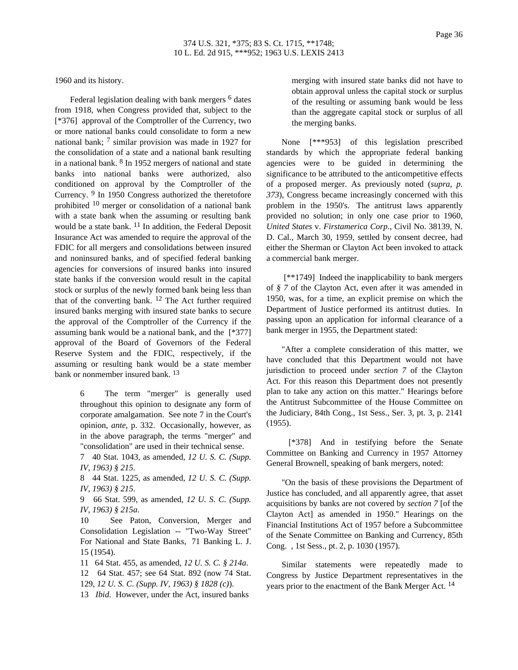1960 and its history.

Federal legislation dealing with bank mergers 6 dates from 1918, when Congress provided that, subject to the [\*376] approval of the Comptroller of the Currency, two or more national banks could consolidate to form a new national bank; 7 similar provision was made in 1927 for the consolidation of a state and a national bank resulting in a national bank. 8 In 1952 mergers of national and state banks into national banks were authorized, also conditioned on approval by the Comptroller of the Currency. <sup>9</sup> In 1950 Congress authorized the theretofore prohibited 10 merger or consolidation of a national bank with a state bank when the assuming or resulting bank would be a state bank.  $11$  In addition, the Federal Deposit Insurance Act was amended to require the approval of the FDIC for all mergers and consolidations between insured and noninsured banks, and of specified federal banking agencies for conversions of insured banks into insured state banks if the conversion would result in the capital stock or surplus of the newly formed bank being less than that of the converting bank. 12 The Act further required insured banks merging with insured state banks to secure the approval of the Comptroller of the Currency if the assuming bank would be a national bank, and the [\*377] approval of the Board of Governors of the Federal Reserve System and the FDIC, respectively, if the assuming or resulting bank would be a state member bank or nonmember insured bank. 13

> 6 The term "merger" is generally used throughout this opinion to designate any form of corporate amalgamation. See note 7 in the Court's opinion, *ante*, p. 332. Occasionally, however, as in the above paragraph, the terms "merger" and "consolidation" are used in their technical sense.

> 7 40 Stat. 1043, as amended, *12 U. S. C. (Supp. IV, 1963) § 215*.

> 8 44 Stat. 1225, as amended, *12 U. S. C. (Supp. IV, 1963) § 215*.

> 9 66 Stat. 599, as amended, *12 U. S. C. (Supp. IV, 1963) § 215a*.

> 10 See Paton, Conversion, Merger and Consolidation Legislation -- "Two-Way Street" For National and State Banks, 71 Banking L. J. 15 (1954).

> 11 64 Stat. 455, as amended, *12 U. S. C. § 214a*. 12 64 Stat. 457; see 64 Stat. 892 (now 74 Stat. 129, *12 U. S. C. (Supp. IV, 1963) § 1828 (c)*).

13 *Ibid*. However, under the Act, insured banks

merging with insured state banks did not have to obtain approval unless the capital stock or surplus of the resulting or assuming bank would be less than the aggregate capital stock or surplus of all the merging banks.

None [\*\*\*953] of this legislation prescribed standards by which the appropriate federal banking agencies were to be guided in determining the significance to be attributed to the anticompetitive effects of a proposed merger. As previously noted (*supra, p. 373*), Congress became increasingly concerned with this problem in the 1950's. The antitrust laws apparently provided no solution; in only one case prior to 1960, *United States* v. *Firstamerica Corp*., Civil No. 38139, N. D. Cal., March 30, 1959, settled by consent decree, had either the Sherman or Clayton Act been invoked to attack a commercial bank merger.

[\*\*1749] Indeed the inapplicability to bank mergers of *§ 7* of the Clayton Act, even after it was amended in 1950, was, for a time, an explicit premise on which the Department of Justice performed its antitrust duties. In passing upon an application for informal clearance of a bank merger in 1955, the Department stated:

"After a complete consideration of this matter, we have concluded that this Department would not have jurisdiction to proceed under *section 7* of the Clayton Act. For this reason this Department does not presently plan to take any action on this matter." Hearings before the Antitrust Subcommittee of the House Committee on the Judiciary, 84th Cong., 1st Sess., Ser. 3, pt. 3, p. 2141 (1955).

[\*378] And in testifying before the Senate Committee on Banking and Currency in 1957 Attorney General Brownell, speaking of bank mergers, noted:

"On the basis of these provisions the Department of Justice has concluded, and all apparently agree, that asset acquisitions by banks are not covered by *section 7* [of the Clayton Act] as amended in 1950." Hearings on the Financial Institutions Act of 1957 before a Subcommittee of the Senate Committee on Banking and Currency, 85th Cong. , 1st Sess., pt. 2, p. 1030 (1957).

Similar statements were repeatedly made to Congress by Justice Department representatives in the years prior to the enactment of the Bank Merger Act. 14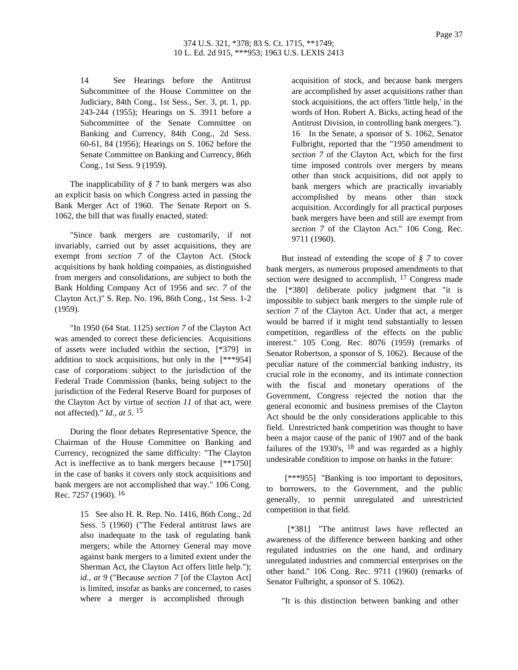14 See Hearings before the Antitrust Subcommittee of the House Committee on the Judiciary, 84th Cong., 1st Sess., Ser. 3, pt. 1, pp. 243-244 (1955); Hearings on S. 3911 before a Subcommittee of the Senate Committee on Banking and Currency, 84th Cong., 2d Sess. 60-61, 84 (1956); Hearings on S. 1062 before the Senate Committee on Banking and Currency, 86th Cong., 1st Sess. 9 (1959).

The inapplicability of *§ 7* to bank mergers was also an explicit basis on which Congress acted in passing the Bank Merger Act of 1960. The Senate Report on S. 1062, the bill that was finally enacted, stated:

"Since bank mergers are customarily, if not invariably, carried out by asset acquisitions, they are exempt from *section 7* of the Clayton Act. (Stock acquisitions by bank holding companies, as distinguished from mergers and consolidations, are subject to both the Bank Holding Company Act of 1956 and *sec. 7* of the Clayton Act.)" S. Rep. No. 196, 86th Cong., 1st Sess. 1-2 (1959).

"In 1950 (64 Stat. 1125) *section 7* of the Clayton Act was amended to correct these deficiencies. Acquisitions of assets were included within the section, [\*379] in addition to stock acquisitions, but only in the [\*\*\*954] case of corporations subject to the jurisdiction of the Federal Trade Commission (banks, being subject to the jurisdiction of the Federal Reserve Board for purposes of the Clayton Act by virtue of *section 11* of that act, were not affected)." *Id., at 5*. 15

During the floor debates Representative Spence, the Chairman of the House Committee on Banking and Currency, recognized the same difficulty: "The Clayton Act is ineffective as to bank mergers because [\*\*1750] in the case of banks it covers only stock acquisitions and bank mergers are not accomplished that way." 106 Cong. Rec. 7257 (1960). 16

> 15 See also H. R. Rep. No. 1416, 86th Cong., 2d Sess. 5 (1960) ("The Federal antitrust laws are also inadequate to the task of regulating bank mergers; while the Attorney General may move against bank mergers to a limited extent under the Sherman Act, the Clayton Act offers little help."); *id., at 9* ("Because *section 7* [of the Clayton Act] is limited, insofar as banks are concerned, to cases where a merger is accomplished through

acquisition of stock, and because bank mergers are accomplished by asset acquisitions rather than stock acquisitions, the act offers 'little help,' in the words of Hon. Robert A. Bicks, acting head of the Antitrust Division, in controlling bank mergers."). 16 In the Senate, a sponsor of S. 1062, Senator Fulbright, reported that the "1950 amendment to *section 7* of the Clayton Act, which for the first time imposed controls over mergers by means other than stock acquisitions, did not apply to bank mergers which are practically invariably accomplished by means other than stock acquisition. Accordingly for all practical purposes bank mergers have been and still are exempt from *section 7* of the Clayton Act." 106 Cong. Rec. 9711 (1960).

But instead of extending the scope of *§ 7* to cover bank mergers, as numerous proposed amendments to that section were designed to accomplish, 17 Congress made the [\*380] deliberate policy judgment that "it is impossible to subject bank mergers to the simple rule of *section 7* of the Clayton Act. Under that act, a merger would be barred if it might tend substantially to lessen competition, regardless of the effects on the public interest." 105 Cong. Rec. 8076 (1959) (remarks of Senator Robertson, a sponsor of S. 1062). Because of the peculiar nature of the commercial banking industry, its crucial role in the economy, and its intimate connection with the fiscal and monetary operations of the Government, Congress rejected the notion that the general economic and business premises of the Clayton Act should be the only considerations applicable to this field. Unrestricted bank competition was thought to have been a major cause of the panic of 1907 and of the bank failures of the 1930's,  $18$  and was regarded as a highly undesirable condition to impose on banks in the future:

[\*\*\*955] "Banking is too important to depositors, to borrowers, to the Government, and the public generally, to permit unregulated and unrestricted competition in that field.

[\*381] "The antitrust laws have reflected an awareness of the difference between banking and other regulated industries on the one hand, and ordinary unregulated industries and commercial enterprises on the other hand." 106 Cong. Rec. 9711 (1960) (remarks of Senator Fulbright, a sponsor of S. 1062).

"It is this distinction between banking and other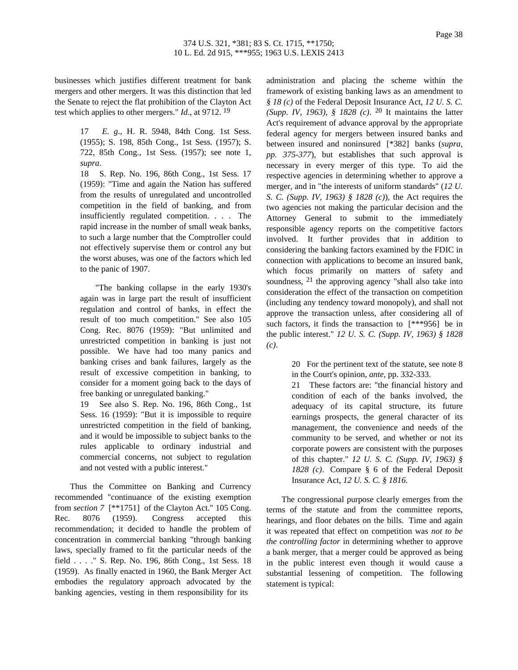businesses which justifies different treatment for bank mergers and other mergers. It was this distinction that led the Senate to reject the flat prohibition of the Clayton Act test which applies to other mergers." *Id*., at 9712. 19

> 17 *E. g*., H. R. 5948, 84th Cong. 1st Sess. (1955); S. 198, 85th Cong., 1st Sess. (1957); S. 722, 85th Cong., 1st Sess. (1957); see note 1, *supra*.

18 S. Rep. No. 196, 86th Cong., 1st Sess. 17 (1959): "Time and again the Nation has suffered from the results of unregulated and uncontrolled competition in the field of banking, and from insufficiently regulated competition. . . . The rapid increase in the number of small weak banks, to such a large number that the Comptroller could not effectively supervise them or control any but the worst abuses, was one of the factors which led to the panic of 1907.

"The banking collapse in the early 1930's again was in large part the result of insufficient regulation and control of banks, in effect the result of too much competition." See also 105 Cong. Rec. 8076 (1959): "But unlimited and unrestricted competition in banking is just not possible. We have had too many panics and banking crises and bank failures, largely as the result of excessive competition in banking, to consider for a moment going back to the days of free banking or unregulated banking."

19 See also S. Rep. No. 196, 86th Cong., 1st Sess. 16 (1959): "But it is impossible to require unrestricted competition in the field of banking, and it would be impossible to subject banks to the rules applicable to ordinary industrial and commercial concerns, not subject to regulation and not vested with a public interest."

Thus the Committee on Banking and Currency recommended "continuance of the existing exemption from *section* 7 [\*\*1751] of the Clayton Act." 105 Cong. Rec. 8076 (1959). Congress accepted this recommendation; it decided to handle the problem of concentration in commercial banking "through banking laws, specially framed to fit the particular needs of the field . . . ." S. Rep. No. 196, 86th Cong., 1st Sess. 18 (1959). As finally enacted in 1960, the Bank Merger Act embodies the regulatory approach advocated by the banking agencies, vesting in them responsibility for its

administration and placing the scheme within the framework of existing banking laws as an amendment to *§ 18 (c)* of the Federal Deposit Insurance Act, *12 U. S. C. (Supp. IV, 1963), § 1828 (c)*. 20 It maintains the latter Act's requirement of advance approval by the appropriate federal agency for mergers between insured banks and between insured and noninsured [\*382] banks (*supra, pp. 375-377*), but establishes that such approval is necessary in every merger of this type. To aid the respective agencies in determining whether to approve a merger, and in "the interests of uniform standards" (*12 U. S. C. (Supp. IV, 1963) § 1828 (c)*), the Act requires the two agencies not making the particular decision and the Attorney General to submit to the immediately responsible agency reports on the competitive factors involved. It further provides that in addition to considering the banking factors examined by the FDIC in connection with applications to become an insured bank, which focus primarily on matters of safety and soundness, 21 the approving agency "shall also take into consideration the effect of the transaction on competition (including any tendency toward monopoly), and shall not approve the transaction unless, after considering all of such factors, it finds the transaction to [\*\*\*956] be in the public interest." *12 U. S. C. (Supp. IV, 1963) § 1828 (c)*.

> 20 For the pertinent text of the statute, see note 8 in the Court's opinion, *ante*, pp. 332-333.

21 These factors are: "the financial history and condition of each of the banks involved, the adequacy of its capital structure, its future earnings prospects, the general character of its management, the convenience and needs of the community to be served, and whether or not its corporate powers are consistent with the purposes of this chapter." *12 U. S. C. (Supp. IV, 1963) § 1828 (c)*. Compare § 6 of the Federal Deposit Insurance Act, *12 U. S. C. § 1816*.

The congressional purpose clearly emerges from the terms of the statute and from the committee reports, hearings, and floor debates on the bills. Time and again it was repeated that effect on competition was *not to be the controlling factor* in determining whether to approve a bank merger, that a merger could be approved as being in the public interest even though it would cause a substantial lessening of competition. The following statement is typical: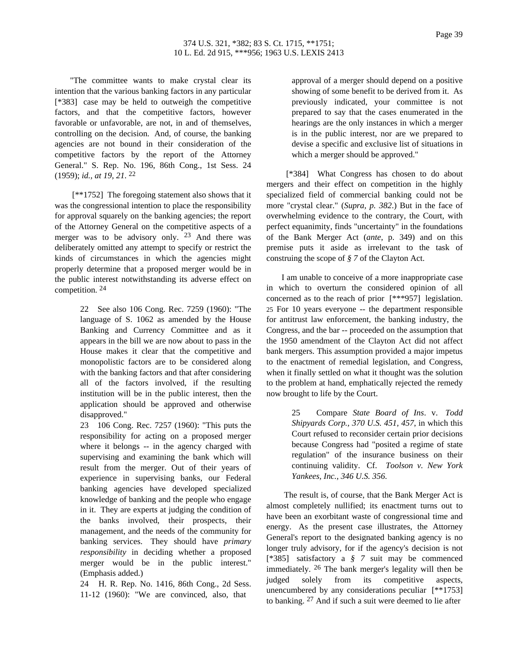"The committee wants to make crystal clear its intention that the various banking factors in any particular [\*383] case may be held to outweigh the competitive factors, and that the competitive factors, however favorable or unfavorable, are not, in and of themselves, controlling on the decision. And, of course, the banking agencies are not bound in their consideration of the competitive factors by the report of the Attorney General." S. Rep. No. 196, 86th Cong., 1st Sess. 24 (1959); *id., at 19, 21*. 22

[\*\*1752] The foregoing statement also shows that it was the congressional intention to place the responsibility for approval squarely on the banking agencies; the report of the Attorney General on the competitive aspects of a merger was to be advisory only. 23 And there was deliberately omitted any attempt to specify or restrict the kinds of circumstances in which the agencies might properly determine that a proposed merger would be in the public interest notwithstanding its adverse effect on competition. 24

> 22 See also 106 Cong. Rec. 7259 (1960): "The language of S. 1062 as amended by the House Banking and Currency Committee and as it appears in the bill we are now about to pass in the House makes it clear that the competitive and monopolistic factors are to be considered along with the banking factors and that after considering all of the factors involved, if the resulting institution will be in the public interest, then the application should be approved and otherwise disapproved."

> 23 106 Cong. Rec. 7257 (1960): "This puts the responsibility for acting on a proposed merger where it belongs -- in the agency charged with supervising and examining the bank which will result from the merger. Out of their years of experience in supervising banks, our Federal banking agencies have developed specialized knowledge of banking and the people who engage in it. They are experts at judging the condition of the banks involved, their prospects, their management, and the needs of the community for banking services. They should have *primary responsibility* in deciding whether a proposed merger would be in the public interest." (Emphasis added.)

24 H. R. Rep. No. 1416, 86th Cong., 2d Sess. 11-12 (1960): "We are convinced, also, that

approval of a merger should depend on a positive showing of some benefit to be derived from it. As previously indicated, your committee is not prepared to say that the cases enumerated in the hearings are the only instances in which a merger is in the public interest, nor are we prepared to devise a specific and exclusive list of situations in which a merger should be approved."

[\*384] What Congress has chosen to do about mergers and their effect on competition in the highly specialized field of commercial banking could not be more "crystal clear." (*Supra, p. 382*.) But in the face of overwhelming evidence to the contrary, the Court, with perfect equanimity, finds "uncertainty" in the foundations of the Bank Merger Act (*ante*, p. 349) and on this premise puts it aside as irrelevant to the task of construing the scope of *§ 7* of the Clayton Act.

I am unable to conceive of a more inappropriate case in which to overturn the considered opinion of all concerned as to the reach of prior [\*\*\*957] legislation. 25 For 10 years everyone -- the department responsible for antitrust law enforcement, the banking industry, the Congress, and the bar -- proceeded on the assumption that the 1950 amendment of the Clayton Act did not affect bank mergers. This assumption provided a major impetus to the enactment of remedial legislation, and Congress, when it finally settled on what it thought was the solution to the problem at hand, emphatically rejected the remedy now brought to life by the Court.

> 25 Compare *State Board of Ins*. v. *Todd Shipyards Corp., 370 U.S. 451, 457*, in which this Court refused to reconsider certain prior decisions because Congress had "posited a regime of state regulation" of the insurance business on their continuing validity. Cf. *Toolson v. New York Yankees, Inc., 346 U.S. 356*.

The result is, of course, that the Bank Merger Act is almost completely nullified; its enactment turns out to have been an exorbitant waste of congressional time and energy. As the present case illustrates, the Attorney General's report to the designated banking agency is no longer truly advisory, for if the agency's decision is not [\*385] satisfactory a *§ 7* suit may be commenced immediately. 26 The bank merger's legality will then be judged solely from its competitive aspects, unencumbered by any considerations peculiar [\*\*1753] to banking. 27 And if such a suit were deemed to lie after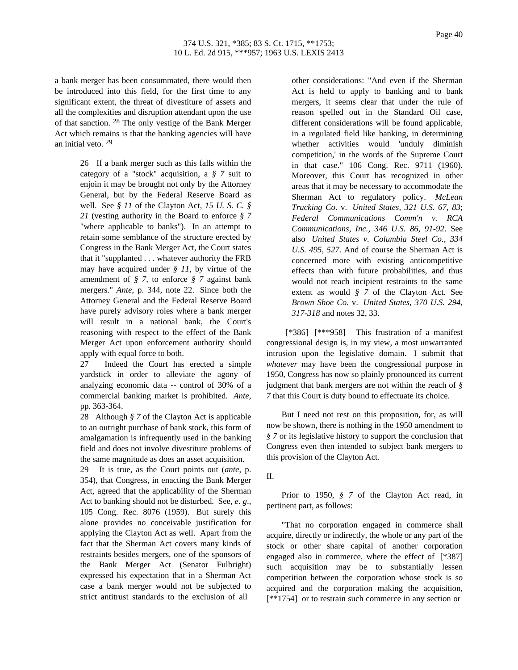a bank merger has been consummated, there would then be introduced into this field, for the first time to any significant extent, the threat of divestiture of assets and all the complexities and disruption attendant upon the use of that sanction. 28 The only vestige of the Bank Merger Act which remains is that the banking agencies will have an initial veto. 29

> 26 If a bank merger such as this falls within the category of a "stock" acquisition, a *§ 7* suit to enjoin it may be brought not only by the Attorney General, but by the Federal Reserve Board as well. See *§ 11* of the Clayton Act, *15 U. S. C. § 21* (vesting authority in the Board to enforce *§ 7* "where applicable to banks"). In an attempt to retain some semblance of the structure erected by Congress in the Bank Merger Act, the Court states that it "supplanted . . . whatever authority the FRB may have acquired under *§ 11*, by virtue of the amendment of *§ 7*, to enforce *§ 7* against bank mergers." *Ante*, p. 344, note 22. Since both the Attorney General and the Federal Reserve Board have purely advisory roles where a bank merger will result in a national bank, the Court's reasoning with respect to the effect of the Bank Merger Act upon enforcement authority should apply with equal force to both.

> 27 Indeed the Court has erected a simple yardstick in order to alleviate the agony of analyzing economic data -- control of 30% of a commercial banking market is prohibited. *Ante*, pp. 363-364.

> 28 Although *§ 7* of the Clayton Act is applicable to an outright purchase of bank stock, this form of amalgamation is infrequently used in the banking field and does not involve divestiture problems of the same magnitude as does an asset acquisition.

> 29 It is true, as the Court points out (*ante*, p. 354), that Congress, in enacting the Bank Merger Act, agreed that the applicability of the Sherman Act to banking should not be disturbed. See, *e. g*., 105 Cong. Rec. 8076 (1959). But surely this alone provides no conceivable justification for applying the Clayton Act as well. Apart from the fact that the Sherman Act covers many kinds of restraints besides mergers, one of the sponsors of the Bank Merger Act (Senator Fulbright) expressed his expectation that in a Sherman Act case a bank merger would not be subjected to strict antitrust standards to the exclusion of all

other considerations: "And even if the Sherman Act is held to apply to banking and to bank mergers, it seems clear that under the rule of reason spelled out in the Standard Oil case, different considerations will be found applicable, in a regulated field like banking, in determining whether activities would 'unduly diminish competition,' in the words of the Supreme Court in that case." 106 Cong. Rec. 9711 (1960). Moreover, this Court has recognized in other areas that it may be necessary to accommodate the Sherman Act to regulatory policy. *McLean Trucking Co*. v. *United States, 321 U.S. 67, 83*; *Federal Communications Comm'n v. RCA Communications, Inc., 346 U.S. 86, 91-92*. See also *United States v. Columbia Steel Co., 334 U.S. 495, 527*. And of course the Sherman Act is concerned more with existing anticompetitive effects than with future probabilities, and thus would not reach incipient restraints to the same extent as would *§ 7* of the Clayton Act. See *Brown Shoe Co*. v. *United States, 370 U.S. 294, 317-318* and notes 32, 33.

[\*386] [\*\*\*958] This frustration of a manifest congressional design is, in my view, a most unwarranted intrusion upon the legislative domain. I submit that *whatever* may have been the congressional purpose in 1950, Congress has now so plainly pronounced its current judgment that bank mergers are not within the reach of *§ 7* that this Court is duty bound to effectuate its choice.

But I need not rest on this proposition, for, as will now be shown, there is nothing in the 1950 amendment to *§ 7* or its legislative history to support the conclusion that Congress even then intended to subject bank mergers to this provision of the Clayton Act.

II.

Prior to 1950, *§ 7* of the Clayton Act read, in pertinent part, as follows:

"That no corporation engaged in commerce shall acquire, directly or indirectly, the whole or any part of the stock or other share capital of another corporation engaged also in commerce, where the effect of [\*387] such acquisition may be to substantially lessen competition between the corporation whose stock is so acquired and the corporation making the acquisition, [\*\*1754] or to restrain such commerce in any section or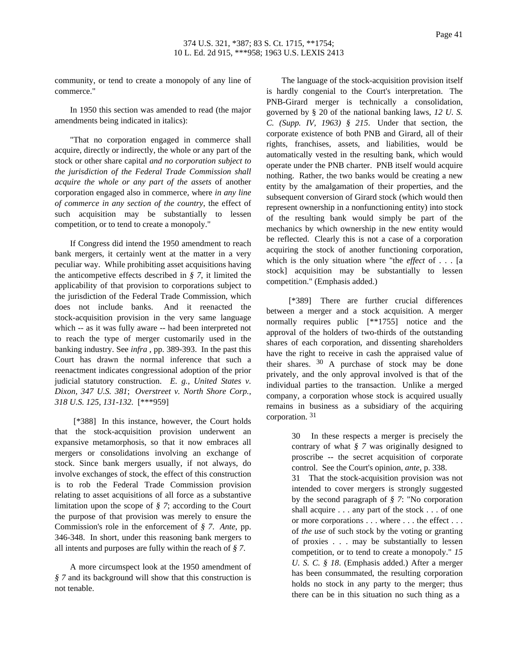community, or tend to create a monopoly of any line of commerce."

In 1950 this section was amended to read (the major amendments being indicated in italics):

"That no corporation engaged in commerce shall acquire, directly or indirectly, the whole or any part of the stock or other share capital *and no corporation subject to the jurisdiction of the Federal Trade Commission shall acquire the whole or any part of the assets* of another corporation engaged also in commerce, where *in any line of commerce in any section of the country*, the effect of such acquisition may be substantially to lessen competition, or to tend to create a monopoly."

If Congress did intend the 1950 amendment to reach bank mergers, it certainly went at the matter in a very peculiar way. While prohibiting asset acquisitions having the anticompetive effects described in *§ 7*, it limited the applicability of that provision to corporations subject to the jurisdiction of the Federal Trade Commission, which does not include banks. And it reenacted the stock-acquisition provision in the very same language which -- as it was fully aware -- had been interpreted not to reach the type of merger customarily used in the banking industry. See *infra* , pp. 389-393. In the past this Court has drawn the normal inference that such a reenactment indicates congressional adoption of the prior judicial statutory construction. *E. g., United States v. Dixon, 347 U.S. 381*; *Overstreet v. North Shore Corp., 318 U.S. 125, 131-132*. [\*\*\*959]

[\*388] In this instance, however, the Court holds that the stock-acquisition provision underwent an expansive metamorphosis, so that it now embraces all mergers or consolidations involving an exchange of stock. Since bank mergers usually, if not always, do involve exchanges of stock, the effect of this construction is to rob the Federal Trade Commission provision relating to asset acquisitions of all force as a substantive limitation upon the scope of *§ 7*; according to the Court the purpose of that provision was merely to ensure the Commission's role in the enforcement of *§ 7*. *Ante*, pp. 346-348. In short, under this reasoning bank mergers to all intents and purposes are fully within the reach of *§ 7*.

A more circumspect look at the 1950 amendment of *§ 7* and its background will show that this construction is not tenable.

The language of the stock-acquisition provision itself is hardly congenial to the Court's interpretation. The PNB-Girard merger is technically a consolidation, governed by § 20 of the national banking laws, *12 U. S. C. (Supp. IV, 1963) § 215*. Under that section, the corporate existence of both PNB and Girard, all of their rights, franchises, assets, and liabilities, would be automatically vested in the resulting bank, which would operate under the PNB charter. PNB itself would acquire nothing. Rather, the two banks would be creating a new entity by the amalgamation of their properties, and the subsequent conversion of Girard stock (which would then represent ownership in a nonfunctioning entity) into stock of the resulting bank would simply be part of the mechanics by which ownership in the new entity would be reflected. Clearly this is not a case of a corporation acquiring the stock of another functioning corporation, which is the only situation where "the *effect* of . . . [a stock] acquisition may be substantially to lessen competition." (Emphasis added.)

[\*389] There are further crucial differences between a merger and a stock acquisition. A merger normally requires public [\*\*1755] notice and the approval of the holders of two-thirds of the outstanding shares of each corporation, and dissenting shareholders have the right to receive in cash the appraised value of their shares. 30 A purchase of stock may be done privately, and the only approval involved is that of the individual parties to the transaction. Unlike a merged company, a corporation whose stock is acquired usually remains in business as a subsidiary of the acquiring corporation. 31

> 30 In these respects a merger is precisely the contrary of what *§ 7* was originally designed to proscribe -- the secret acquisition of corporate control. See the Court's opinion, *ante*, p. 338.

31 That the stock-acquisition provision was not intended to cover mergers is strongly suggested by the second paragraph of *§ 7*: "No corporation shall acquire . . . any part of the stock . . . of one or more corporations . . . where . . . the effect . . . of *the use* of such stock by the voting or granting of proxies . . . may be substantially to lessen competition, or to tend to create a monopoly." *15 U. S. C. § 18*. (Emphasis added.) After a merger has been consummated, the resulting corporation holds no stock in any party to the merger; thus there can be in this situation no such thing as a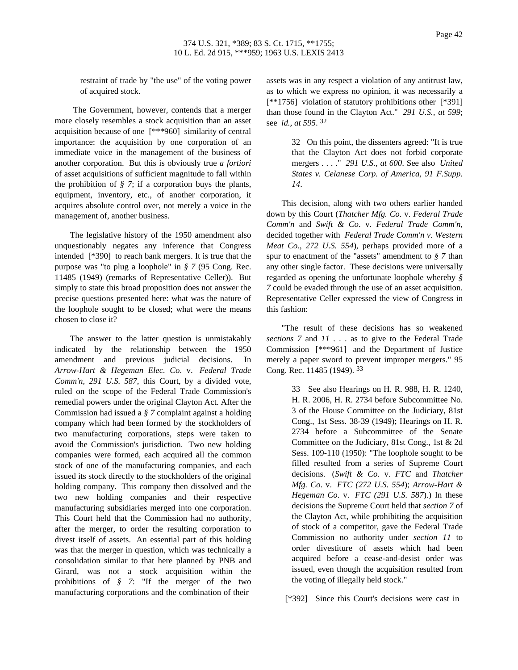restraint of trade by "the use" of the voting power of acquired stock.

The Government, however, contends that a merger more closely resembles a stock acquisition than an asset acquisition because of one [\*\*\*960] similarity of central importance: the acquisition by one corporation of an immediate voice in the management of the business of another corporation. But this is obviously true *a fortiori* of asset acquisitions of sufficient magnitude to fall within the prohibition of  $\frac{8}{3}$  7; if a corporation buys the plants, equipment, inventory, etc., of another corporation, it acquires absolute control over, not merely a voice in the management of, another business.

The legislative history of the 1950 amendment also unquestionably negates any inference that Congress intended [\*390] to reach bank mergers. It is true that the purpose was "to plug a loophole" in *§ 7* (95 Cong. Rec. 11485 (1949) (remarks of Representative Celler)). But simply to state this broad proposition does not answer the precise questions presented here: what was the nature of the loophole sought to be closed; what were the means chosen to close it?

The answer to the latter question is unmistakably indicated by the relationship between the 1950 amendment and previous judicial decisions. In *Arrow-Hart & Hegeman Elec. Co*. v. *Federal Trade Comm'n, 291 U.S. 587*, this Court, by a divided vote, ruled on the scope of the Federal Trade Commission's remedial powers under the original Clayton Act. After the Commission had issued a *§ 7* complaint against a holding company which had been formed by the stockholders of two manufacturing corporations, steps were taken to avoid the Commission's jurisdiction. Two new holding companies were formed, each acquired all the common stock of one of the manufacturing companies, and each issued its stock directly to the stockholders of the original holding company. This company then dissolved and the two new holding companies and their respective manufacturing subsidiaries merged into one corporation. This Court held that the Commission had no authority, after the merger, to order the resulting corporation to divest itself of assets. An essential part of this holding was that the merger in question, which was technically a consolidation similar to that here planned by PNB and Girard, was not a stock acquisition within the prohibitions of *§ 7*: "If the merger of the two manufacturing corporations and the combination of their

assets was in any respect a violation of any antitrust law, as to which we express no opinion, it was necessarily a [\*\*1756] violation of statutory prohibitions other [\*391] than those found in the Clayton Act." *291 U.S., at 599*; see *id., at 595*. 32

> 32 On this point, the dissenters agreed: "It is true that the Clayton Act does not forbid corporate mergers . . . ." *291 U.S., at 600*. See also *United States v. Celanese Corp. of America, 91 F.Supp. 14*.

This decision, along with two others earlier handed down by this Court (*Thatcher Mfg. Co*. v. *Federal Trade Comm'n* and *Swift & Co*. v. *Federal Trade Comm'n*, decided together with *Federal Trade Comm'n v. Western Meat Co., 272 U.S. 554*), perhaps provided more of a spur to enactment of the "assets" amendment to *§ 7* than any other single factor. These decisions were universally regarded as opening the unfortunate loophole whereby *§ 7* could be evaded through the use of an asset acquisition. Representative Celler expressed the view of Congress in this fashion:

"The result of these decisions has so weakened *sections 7* and *11* . . . as to give to the Federal Trade Commission [\*\*\*961] and the Department of Justice merely a paper sword to prevent improper mergers." 95 Cong. Rec. 11485 (1949). 33

> 33 See also Hearings on H. R. 988, H. R. 1240, H. R. 2006, H. R. 2734 before Subcommittee No. 3 of the House Committee on the Judiciary, 81st Cong., 1st Sess. 38-39 (1949); Hearings on H. R. 2734 before a Subcommittee of the Senate Committee on the Judiciary, 81st Cong., 1st & 2d Sess. 109-110 (1950): "The loophole sought to be filled resulted from a series of Supreme Court decisions. (*Swift & Co*. v. *FTC* and *Thatcher Mfg. Co*. v. *FTC (272 U.S. 554*); *Arrow-Hart & Hegeman Co*. v. *FTC (291 U.S. 587*).) In these decisions the Supreme Court held that *section 7* of the Clayton Act, while prohibiting the acquisition of stock of a competitor, gave the Federal Trade Commission no authority under *section 11* to order divestiture of assets which had been acquired before a cease-and-desist order was issued, even though the acquisition resulted from the voting of illegally held stock."

[\*392] Since this Court's decisions were cast in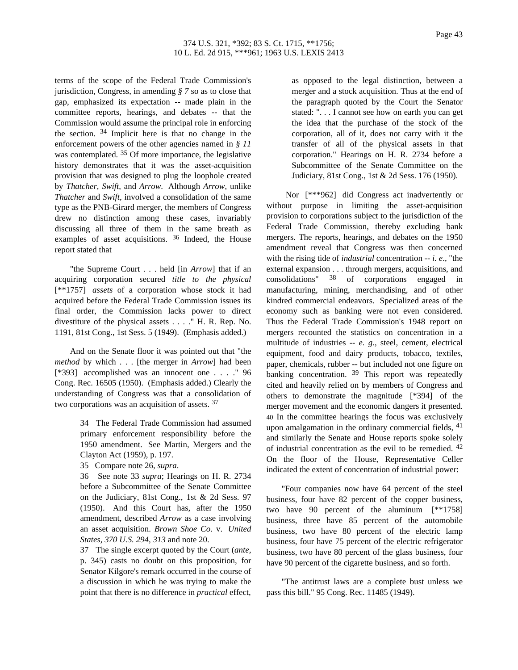terms of the scope of the Federal Trade Commission's jurisdiction, Congress, in amending *§ 7* so as to close that gap, emphasized its expectation -- made plain in the committee reports, hearings, and debates -- that the Commission would assume the principal role in enforcing the section. 34 Implicit here is that no change in the enforcement powers of the other agencies named in *§ 11* was contemplated. <sup>35</sup> Of more importance, the legislative history demonstrates that it was the asset-acquisition provision that was designed to plug the loophole created by *Thatcher, Swift*, and *Arrow*. Although *Arrow*, unlike *Thatcher* and *Swift*, involved a consolidation of the same type as the PNB-Girard merger, the members of Congress drew no distinction among these cases, invariably discussing all three of them in the same breath as examples of asset acquisitions. <sup>36</sup> Indeed, the House report stated that

"the Supreme Court . . . held [in *Arrow*] that if an acquiring corporation secured *title to the physical* [\*\*1757] *assets* of a corporation whose stock it had acquired before the Federal Trade Commission issues its final order, the Commission lacks power to direct divestiture of the physical assets . . . ." H. R. Rep. No. 1191, 81st Cong., 1st Sess. 5 (1949). (Emphasis added.)

And on the Senate floor it was pointed out that "the *method* by which . . . [the merger in *Arrow*] had been [\*393] accomplished was an innocent one . . . ." 96 Cong. Rec. 16505 (1950). (Emphasis added.) Clearly the understanding of Congress was that a consolidation of two corporations was an acquisition of assets. 37

> 34 The Federal Trade Commission had assumed primary enforcement responsibility before the 1950 amendment. See Martin, Mergers and the Clayton Act (1959), p. 197.

35 Compare note 26, *supra*.

36 See note 33 *supra*; Hearings on H. R. 2734 before a Subcommittee of the Senate Committee on the Judiciary, 81st Cong., 1st & 2d Sess. 97 (1950). And this Court has, after the 1950 amendment, described *Arrow* as a case involving an asset acquisition. *Brown Shoe Co*. v. *United States, 370 U.S. 294, 313* and note 20.

37 The single excerpt quoted by the Court (*ante*, p. 345) casts no doubt on this proposition, for Senator Kilgore's remark occurred in the course of a discussion in which he was trying to make the point that there is no difference in *practical* effect,

as opposed to the legal distinction, between a merger and a stock acquisition. Thus at the end of the paragraph quoted by the Court the Senator stated: ". . . I cannot see how on earth you can get the idea that the purchase of the stock of the corporation, all of it, does not carry with it the transfer of all of the physical assets in that corporation." Hearings on H. R. 2734 before a Subcommittee of the Senate Committee on the Judiciary, 81st Cong., 1st & 2d Sess. 176 (1950).

Nor [\*\*\*962] did Congress act inadvertently or without purpose in limiting the asset-acquisition provision to corporations subject to the jurisdiction of the Federal Trade Commission, thereby excluding bank mergers. The reports, hearings, and debates on the 1950 amendment reveal that Congress was then concerned with the rising tide of *industrial* concentration *-- i. e*., "the external expansion . . . through mergers, acquisitions, and consolidations" 38 of corporations engaged in manufacturing, mining, merchandising, and of other kindred commercial endeavors. Specialized areas of the economy such as banking were not even considered. Thus the Federal Trade Commission's 1948 report on mergers recounted the statistics on concentration in a multitude of industries *-- e. g*., steel, cement, electrical equipment, food and dairy products, tobacco, textiles, paper, chemicals, rubber -- but included not one figure on banking concentration. <sup>39</sup> This report was repeatedly cited and heavily relied on by members of Congress and others to demonstrate the magnitude [\*394] of the merger movement and the economic dangers it presented. 40 In the committee hearings the focus was exclusively upon amalgamation in the ordinary commercial fields, 41 and similarly the Senate and House reports spoke solely of industrial concentration as the evil to be remedied. 42 On the floor of the House, Representative Celler indicated the extent of concentration of industrial power:

"Four companies now have 64 percent of the steel business, four have 82 percent of the copper business, two have 90 percent of the aluminum [\*\*1758] business, three have 85 percent of the automobile business, two have 80 percent of the electric lamp business, four have 75 percent of the electric refrigerator business, two have 80 percent of the glass business, four have 90 percent of the cigarette business, and so forth.

"The antitrust laws are a complete bust unless we pass this bill." 95 Cong. Rec. 11485 (1949).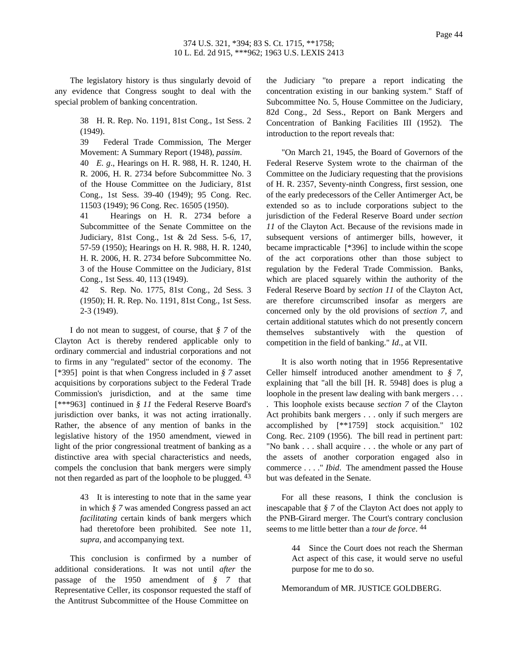The legislatory history is thus singularly devoid of any evidence that Congress sought to deal with the special problem of banking concentration.

> 38 H. R. Rep. No. 1191, 81st Cong., 1st Sess. 2 (1949).

> 39 Federal Trade Commission, The Merger Movement: A Summary Report (1948), *passim*.

> 40 *E. g*., Hearings on H. R. 988, H. R. 1240, H. R. 2006, H. R. 2734 before Subcommittee No. 3 of the House Committee on the Judiciary, 81st Cong., 1st Sess. 39-40 (1949); 95 Cong. Rec. 11503 (1949); 96 Cong. Rec. 16505 (1950).

> 41 Hearings on H. R. 2734 before a Subcommittee of the Senate Committee on the Judiciary, 81st Cong., 1st & 2d Sess. 5-6, 17, 57-59 (1950); Hearings on H. R. 988, H. R. 1240, H. R. 2006, H. R. 2734 before Subcommittee No. 3 of the House Committee on the Judiciary, 81st Cong., 1st Sess. 40, 113 (1949).

> 42 S. Rep. No. 1775, 81st Cong., 2d Sess. 3 (1950); H. R. Rep. No. 1191, 81st Cong., 1st Sess. 2-3 (1949).

I do not mean to suggest, of course, that *§ 7* of the Clayton Act is thereby rendered applicable only to ordinary commercial and industrial corporations and not to firms in any "regulated" sector of the economy. The [\*395] point is that when Congress included in *§ 7* asset acquisitions by corporations subject to the Federal Trade Commission's jurisdiction, and at the same time [\*\*\*963] continued in *§ 11* the Federal Reserve Board's jurisdiction over banks, it was not acting irrationally. Rather, the absence of any mention of banks in the legislative history of the 1950 amendment, viewed in light of the prior congressional treatment of banking as a distinctive area with special characteristics and needs, compels the conclusion that bank mergers were simply not then regarded as part of the loophole to be plugged. <sup>43</sup>

> 43 It is interesting to note that in the same year in which *§ 7* was amended Congress passed an act *facilitating* certain kinds of bank mergers which had theretofore been prohibited. See note 11, *supra*, and accompanying text.

This conclusion is confirmed by a number of additional considerations. It was not until *after* the passage of the 1950 amendment of *§ 7* that Representative Celler, its cosponsor requested the staff of the Antitrust Subcommittee of the House Committee on

the Judiciary "to prepare a report indicating the concentration existing in our banking system." Staff of Subcommittee No. 5, House Committee on the Judiciary, 82d Cong., 2d Sess., Report on Bank Mergers and Concentration of Banking Facilities III (1952). The introduction to the report reveals that:

"On March 21, 1945, the Board of Governors of the Federal Reserve System wrote to the chairman of the Committee on the Judiciary requesting that the provisions of H. R. 2357, Seventy-ninth Congress, first session, one of the early predecessors of the Celler Antimerger Act, be extended so as to include corporations subject to the jurisdiction of the Federal Reserve Board under *section 11* of the Clayton Act. Because of the revisions made in subsequent versions of antimerger bills, however, it became impracticable [\*396] to include within the scope of the act corporations other than those subject to regulation by the Federal Trade Commission. Banks, which are placed squarely within the authority of the Federal Reserve Board by *section 11* of the Clayton Act, are therefore circumscribed insofar as mergers are concerned only by the old provisions of *section 7*, and certain additional statutes which do not presently concern themselves substantively with the question of competition in the field of banking." *Id*., at VII.

It is also worth noting that in 1956 Representative Celler himself introduced another amendment to *§ 7*, explaining that "all the bill [H. R. 5948] does is plug a loophole in the present law dealing with bank mergers . . .

. This loophole exists because *section 7* of the Clayton Act prohibits bank mergers . . . only if such mergers are accomplished by [\*\*1759] stock acquisition." 102 Cong. Rec. 2109 (1956). The bill read in pertinent part: "No bank . . . shall acquire . . . the whole or any part of the assets of another corporation engaged also in commerce . . . ." *Ibid*. The amendment passed the House but was defeated in the Senate.

For all these reasons, I think the conclusion is inescapable that *§ 7* of the Clayton Act does not apply to the PNB-Girard merger. The Court's contrary conclusion seems to me little better than a *tour de force*. 44

> 44 Since the Court does not reach the Sherman Act aspect of this case, it would serve no useful purpose for me to do so.

Memorandum of MR. JUSTICE GOLDBERG.